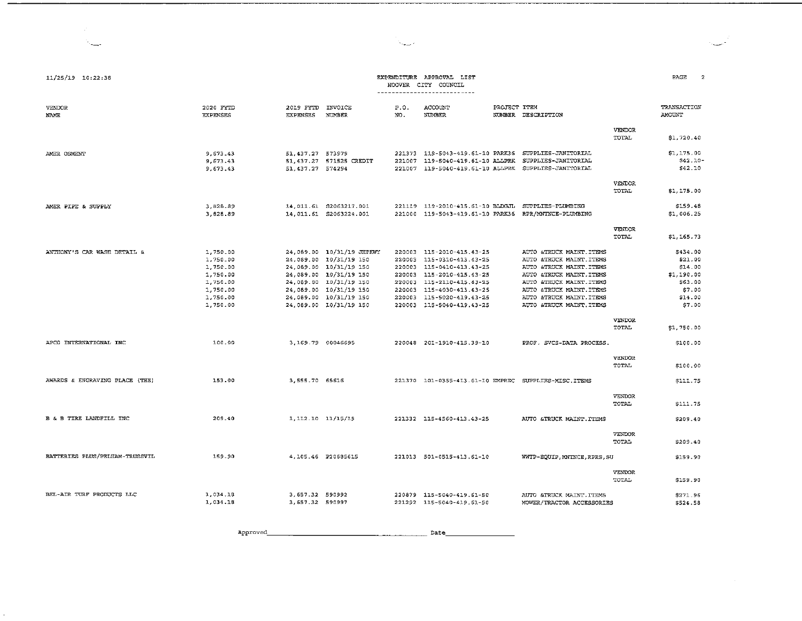| $11/25/19$ $10:22:38$          |                                                                                              |                                        |                                                                                                                                                                                                                 |                                      | EXPENDITURE APPROVAL LIST<br>HOOVER CITY COUNCIL<br><u>__________________________</u>                                                                                                                    |                                                                                                                                                                                                                             |                        | PAGE<br>$\overline{2}$                                                                 |
|--------------------------------|----------------------------------------------------------------------------------------------|----------------------------------------|-----------------------------------------------------------------------------------------------------------------------------------------------------------------------------------------------------------------|--------------------------------------|----------------------------------------------------------------------------------------------------------------------------------------------------------------------------------------------------------|-----------------------------------------------------------------------------------------------------------------------------------------------------------------------------------------------------------------------------|------------------------|----------------------------------------------------------------------------------------|
| <b>VENDOR</b><br><b>NAME</b>   | 2020 FYTD<br><b>EXPENSES</b>                                                                 | 2019 FYTD<br><b>EXPENSES</b>           | INVOICE<br>NUMBER                                                                                                                                                                                               | P.O.<br>NO.                          | ACCOUNT<br><b>NUMBER</b>                                                                                                                                                                                 | PROJECT ITEM<br>NUMBER DESCRIPTION                                                                                                                                                                                          |                        | TRANSACTION<br>AMOUNT                                                                  |
|                                |                                                                                              |                                        |                                                                                                                                                                                                                 |                                      |                                                                                                                                                                                                          |                                                                                                                                                                                                                             | VENDOR<br>TOTAL        | \$1,720.40                                                                             |
| AMER OSMENT                    | 9,673.43<br>9,673.43<br>9,673.43                                                             | 51, 437.27 573979<br>51, 437.27 574294 | 51,437.27 571525 CREDIT                                                                                                                                                                                         | 221007<br>221007                     | 221373 119-5043-419.61-10 PARK36<br>119-5040-419.61-10 ALLPRK                                                                                                                                            | SUPPLIES-JANITORIAL<br>SUPPLIES-JANITORIAL<br>119-5040-419.61-10 ALLPRK SUPPLIES-JANITORIAL                                                                                                                                 |                        | \$1,175.00<br>\$42.10-<br>\$42.10                                                      |
|                                |                                                                                              |                                        |                                                                                                                                                                                                                 |                                      |                                                                                                                                                                                                          |                                                                                                                                                                                                                             | <b>VENDOR</b><br>TOTAL | \$1,175.00                                                                             |
| AMER PIPE & SUPPLY             | 3,828.89<br>3,828.89                                                                         |                                        | 14,011.61 \$2063217.001<br>14.011.61 S2063224.001                                                                                                                                                               |                                      |                                                                                                                                                                                                          | 221119 119-2010-415.61-10 BLDGJL SUPPLIES-PLUMBING<br>221000 119-5043-419.61-10 PARK36 RPR/MNTNCE-PLUMBING                                                                                                                  |                        | \$159.48<br>\$1,006.25                                                                 |
|                                |                                                                                              |                                        |                                                                                                                                                                                                                 |                                      |                                                                                                                                                                                                          |                                                                                                                                                                                                                             | <b>VENDOR</b><br>TOTAL | \$1,165.73                                                                             |
| ANTHONY'S CAR WASH DETAIL &    | 1,750.00<br>1,750.00<br>1,750.00<br>1,750.00<br>1,750.00<br>1,750.00<br>1,750.00<br>1,750.00 |                                        | 24,089.00 10/31/19 JHPKWY<br>24,089.00 10/31/19 150<br>24,089.00 10/31/19 150<br>24,089.00 10/31/19 150<br>24.089.00 10/31/19 150<br>24,089.00 10/31/19 150<br>24.089.00 10/31/19 150<br>24,089.00 10/31/19 150 | 220003<br>220003<br>220003<br>220003 | 220003 115-2010-415.43-25<br>115-0310-413.43-25<br>220003 115-0410-413.43-25<br>220003 115-2010-415.43-25<br>115-2110-415.43-25<br>115-4030-413.43-25<br>115-5020-419.43-25<br>220003 115-5040-419.43-25 | AUTO &TRUCK MAINT. ITEMS<br>AUTO &TRUCK MAINT ITEMS<br>AUTO &TRUCK MAINT. ITEMS<br>AUTO &TRUCK MAINT. ITEMS<br>AUTO &TRUCK MAINT ITEMS<br>AUTO &TRUCK MAINT. ITEMS<br>AUTO &TRUCK MAINT. ITEMS<br>AUTO & TRUCK MAINT, ITEMS |                        | \$434.00<br>\$21.00<br>\$14.00<br>\$1,190.00<br>\$63.00<br>\$7,00<br>\$14.00<br>\$7.00 |
|                                |                                                                                              |                                        |                                                                                                                                                                                                                 |                                      |                                                                                                                                                                                                          |                                                                                                                                                                                                                             | VENDOR<br>TOTAL        | \$1,750.00                                                                             |
| APCO INTERNATIONAL INC         | 100.00                                                                                       | 3.169.79 00046695                      |                                                                                                                                                                                                                 |                                      | 220048 201-1910-415.39-10                                                                                                                                                                                | PROF. SVCS-DATA PROCESS.                                                                                                                                                                                                    |                        | \$100.00                                                                               |
|                                |                                                                                              |                                        |                                                                                                                                                                                                                 |                                      |                                                                                                                                                                                                          |                                                                                                                                                                                                                             | VENDOR<br>TOTAL        | \$100.00                                                                               |
| AWARDS & ENGRAVING PLACE (THE) | 153.00                                                                                       | 3,555.70 65616                         |                                                                                                                                                                                                                 |                                      |                                                                                                                                                                                                          | 221370 101-0355-413.61-10 EMPREC SUPPLIES-MISC.ITEMS                                                                                                                                                                        |                        | \$111.75                                                                               |
|                                |                                                                                              |                                        |                                                                                                                                                                                                                 |                                      |                                                                                                                                                                                                          |                                                                                                                                                                                                                             | <b>VENDOR</b><br>TOTAL | \$111.75                                                                               |
| B & B TIRE LANDFILL INC        | 209.40                                                                                       | 1,112.10 11/15/19                      |                                                                                                                                                                                                                 |                                      | 221332 115-4560-413.43-25                                                                                                                                                                                | AUTO &TRUCK MAINT. ITEMS                                                                                                                                                                                                    | <b>VENDOR</b>          | \$209.40                                                                               |
|                                |                                                                                              |                                        |                                                                                                                                                                                                                 |                                      |                                                                                                                                                                                                          |                                                                                                                                                                                                                             | TOTAL                  | \$209.40                                                                               |
| BATTERIES PLUS/PELHAM-TRUSSVIL | 159.90                                                                                       |                                        | 4,105.46 P20685615                                                                                                                                                                                              |                                      | 221013 501-0515-413.61-10                                                                                                                                                                                | WWTP-EQUIP, MNTNCE, RPRS, SU                                                                                                                                                                                                | <b>VENDOR</b><br>TOTAL | \$159.90<br>\$159.90                                                                   |
| BEL-AIR TURF PRODUCTS LLC      | 1,034.18<br>1,034.18                                                                         | 3, 657.32 590992<br>3,657.32 590997    |                                                                                                                                                                                                                 |                                      | 220879 115-5040-419.61-50<br>221292 115-5040-419.61-50                                                                                                                                                   | AUTO &TRUCK MAINT. ITEMS<br>MOWER/TRACTOR ACCESSORIES                                                                                                                                                                       |                        | \$271.96<br>\$524.58                                                                   |

a<br>Ngjarje

Approved\_  $Rate$ 

 $\mathbb{N}_{\text{max}}$ 

 $\sim 10^{-1}$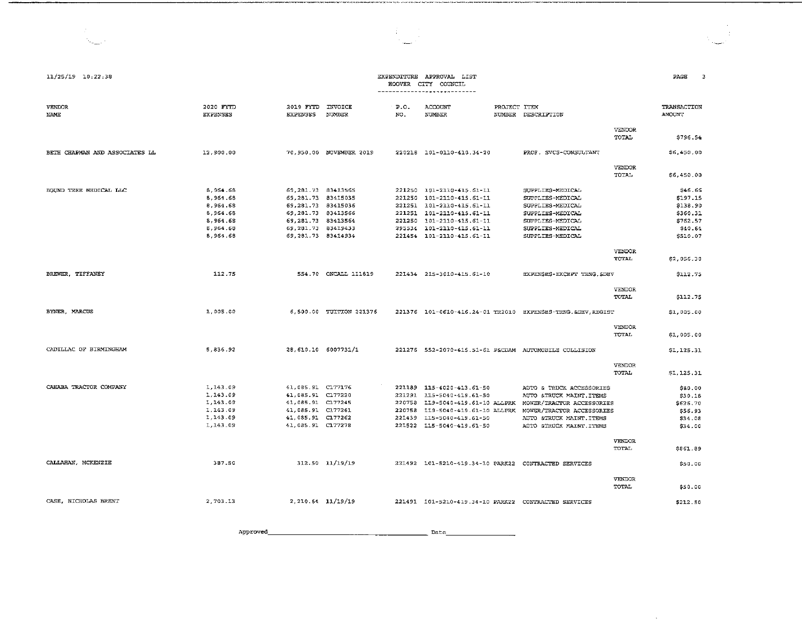| 11/25/19 10:22:38              |                                                                                   |                                                                                                                                                             |                         |                            | EXPENDITURE APPROVAL LIST<br>HOOVER CITY COUNCIL<br>----------------------------                                                                                                                 |              |                                                                                                                                                                        |                               | PAGE                                                                           |
|--------------------------------|-----------------------------------------------------------------------------------|-------------------------------------------------------------------------------------------------------------------------------------------------------------|-------------------------|----------------------------|--------------------------------------------------------------------------------------------------------------------------------------------------------------------------------------------------|--------------|------------------------------------------------------------------------------------------------------------------------------------------------------------------------|-------------------------------|--------------------------------------------------------------------------------|
| <b>VENDOR</b><br>NAME          | 2020 FYTD<br><b>EXPENSES</b>                                                      | 2019 FYTD<br><b>EXPENSES</b>                                                                                                                                | INVOICE<br>NUMBER       | $E = 0.1$<br>NO.           | ACCOUNT<br><b>NUMBER</b>                                                                                                                                                                         | PROJECT ITEM | NUMBER DESCRIPTION                                                                                                                                                     |                               | TRANSACTION<br><b>AMOUNT</b>                                                   |
|                                |                                                                                   |                                                                                                                                                             |                         |                            |                                                                                                                                                                                                  |              |                                                                                                                                                                        | <b>VENDOR</b><br>TOTAL        | \$796.54                                                                       |
| BETH CHAPMAN AND ASSOCIATES LL | 12,900.00                                                                         |                                                                                                                                                             | 70.950.00 NOVEMBER 2019 |                            | 220218 101-0110-410.34-20                                                                                                                                                                        |              | PROF. SVCS-CONSULTANT                                                                                                                                                  |                               | \$6,450.00                                                                     |
|                                |                                                                                   |                                                                                                                                                             |                         |                            |                                                                                                                                                                                                  |              |                                                                                                                                                                        | <b>VENDOR</b><br><b>TOTAL</b> | \$6,450.00                                                                     |
| BOUND TREE MEDICAL LLC         | 8.964.68<br>8,964.68<br>8,964.68<br>8, 964.68<br>8.964.68<br>8.964.68<br>8.964.68 | 69, 281. 73 83413565<br>69, 281. 73 83415035<br>69,281.73 83415036<br>69.281.73 83413566<br>69 281.73 83413564<br>69, 281.73 83419433<br>69.281.73 83414934 |                         | 221250                     | 221250 101-2110-415.61-11<br>221250 101-2110-415.61-11<br>221251 101-2110-415.61-11<br>221251 101-2110-415.61-11<br>101-2110-415.61-11<br>295534 101-2110-415.61-11<br>221454 101-2110-415.61-11 |              | SUPPLIES-MEDICAL<br>SUPPLIES-MEDICAL<br>SUPPLIES-MEDICAL<br>SUPPLIES-MEDICAL<br>SUPPLIES-MEDICAL<br>SUPPLIES-MEDICAL<br>SUPPLIES-MEDICAL                               |                               | \$46.66<br>\$197.15<br>\$138.90<br>\$360.31<br>\$762.57<br>\$40.64<br>\$510.07 |
|                                |                                                                                   |                                                                                                                                                             |                         |                            |                                                                                                                                                                                                  |              |                                                                                                                                                                        | <b>VENDOR</b><br>TOTAL        | \$2,056.30                                                                     |
| BREWER, TIFFANEY               | 112.75                                                                            |                                                                                                                                                             | 554.70 ONCALL 111819    |                            | 221434 215-3010-415.61-10                                                                                                                                                                        |              | EXPENSES-EXCEPT TRNG SDEV                                                                                                                                              |                               | \$112.75                                                                       |
|                                |                                                                                   |                                                                                                                                                             |                         |                            |                                                                                                                                                                                                  |              |                                                                                                                                                                        | <b>VENDOR</b><br>TOTAL        | \$112.75                                                                       |
| BYNER, MARCUS                  | 1,005.00                                                                          |                                                                                                                                                             | 6.500.00 TUITION 221376 |                            |                                                                                                                                                                                                  |              | 221376 101-0610-416.24-01 TR2010 EXPENSES-TRNG. &DEV, REGIST                                                                                                           |                               | \$1,005.00                                                                     |
|                                |                                                                                   |                                                                                                                                                             |                         |                            |                                                                                                                                                                                                  |              |                                                                                                                                                                        | <b>VENDOR</b><br>TOTAL        | \$1,005.00                                                                     |
| CADILLAC OF BIRMINGHAM         | 5 836.92                                                                          | 28.610.10 6007731/1                                                                                                                                         |                         |                            | 221276 552-2070-415.51-61 PACDAM AUTOMOBILE COLLISION                                                                                                                                            |              |                                                                                                                                                                        |                               | \$1,125.31                                                                     |
|                                |                                                                                   |                                                                                                                                                             |                         |                            |                                                                                                                                                                                                  |              |                                                                                                                                                                        | VENDOR<br>TOTAL               | \$1,125.31                                                                     |
| CAHABA TRACTOR COMPANY         | 1.143.09<br>1,143.09<br>1,143.09<br>1,143.09<br>1,143.09<br>1,143.09              | 41,085.91 C177176<br>41,085.91 C177220<br>41.085.91 C177245<br>41,085.91 C177261<br>41,085.91 C177262<br>41,085.91 C177278                                  |                         | 220758<br>220758<br>221439 | 221189 115-4020-413.61-50<br>221291 115-5040-419.61-50<br>119-5040-419.61-10 ALLPRK<br>119-5040-419.61-10 ALLPRK<br>115-5040-419.61-50<br>221522 115-5040-419.61-50                              |              | AUTO & TRUCK ACCESSORIES<br>AUTO &TRUCK MAINT. ITEMS<br>MOWER/TRACTOR ACCESSORIES<br>MOWER/TRACTOR ACCESSORIES<br>AUTO & TRUCK MAINT. ITEMS<br>AUTO &TRUCK MAINT ITEMS |                               | \$80.00<br>\$30.18<br>\$626.70<br>\$56.93<br>\$34.08<br>\$34.00                |
|                                |                                                                                   |                                                                                                                                                             |                         |                            |                                                                                                                                                                                                  |              |                                                                                                                                                                        | <b>VENDOR</b><br>TOTAL        | \$861.89                                                                       |
| CALLAHAN, MCKENZIE             | 387.50                                                                            |                                                                                                                                                             | 312.50 11/19/19         |                            | 221492 101-5210-419.34-10 PARK22 CONTRACTED SERVICES                                                                                                                                             |              |                                                                                                                                                                        |                               | \$50.00                                                                        |
|                                |                                                                                   |                                                                                                                                                             |                         |                            |                                                                                                                                                                                                  |              |                                                                                                                                                                        | <b>VENDOR</b><br>TOTAL        | \$50.00                                                                        |
| CASE, NICHOLAS BRENT           | 2,703.13                                                                          | 2, 210.64 11/19/19                                                                                                                                          |                         |                            | 221491   101-5210-419.34-10   PARK22   CONTRACTED SERVICES                                                                                                                                       |              |                                                                                                                                                                        |                               | \$212.50                                                                       |

Approved\_ Date

--

 $\sim 100$  km s  $^{-1}$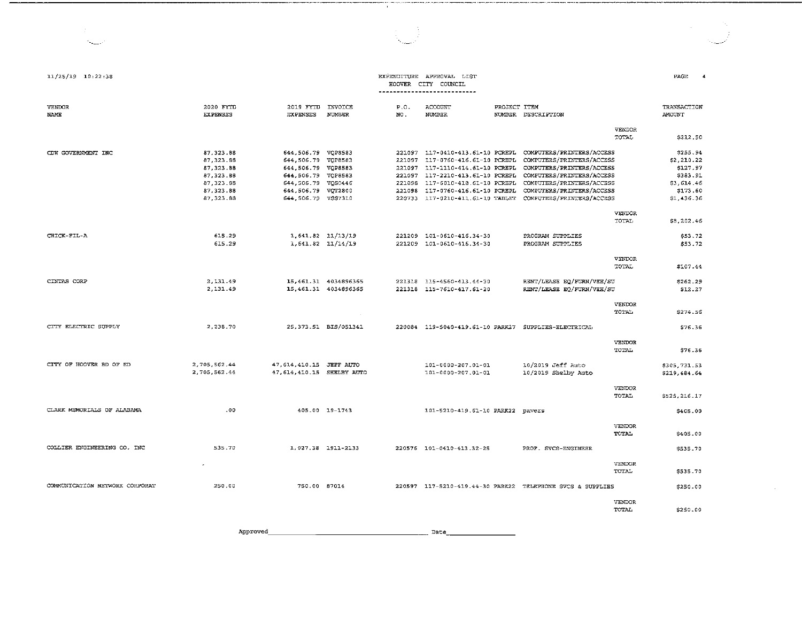| $11/25/19$ $10:22:38$          |                                                                                              |                                                                                                                                                        |                                              |                                                | EXPENDITURE APPROVAL LIST<br>HOOVER CITY COUNCIL<br>----------------------------                                                                                                                                      |                     |                                                                                                                                                                                                         |                               | PAGE<br>4                                                                              |
|--------------------------------|----------------------------------------------------------------------------------------------|--------------------------------------------------------------------------------------------------------------------------------------------------------|----------------------------------------------|------------------------------------------------|-----------------------------------------------------------------------------------------------------------------------------------------------------------------------------------------------------------------------|---------------------|---------------------------------------------------------------------------------------------------------------------------------------------------------------------------------------------------------|-------------------------------|----------------------------------------------------------------------------------------|
| <b>VENDOR</b><br>NAME          | 2020 FYTD<br><b>EXPENSES</b>                                                                 | 2019 FYTD<br><b>EXPENSES</b>                                                                                                                           | INVOICE<br>NUMBER                            | P.0.<br>NO.                                    | ACCOUNT<br>NUMBER                                                                                                                                                                                                     | <b>FROJECT ITEM</b> | NUMBER DESCRIPTION                                                                                                                                                                                      |                               | TRANSACTION<br><b>AMOUNT</b>                                                           |
|                                |                                                                                              |                                                                                                                                                        |                                              |                                                |                                                                                                                                                                                                                       |                     |                                                                                                                                                                                                         | VENDOR<br>TOTAL               | \$212.50                                                                               |
| CDW GOVERNMENT INC             | 87, 323.88<br>87, 323.88<br>87.323.88<br>87, 323.88<br>87.323.88<br>87, 323.88<br>87, 323.88 | 644,506.79 VQP8583<br>644,506.79 VQP8583<br>644.506.79 VOP8583<br>644,506.79 VQP8583<br>644,506.79 VOS0446<br>644.506.79 VOT2800<br>644.506.79 VSS7310 |                                              | 221097<br>221097<br>221097<br>221098<br>221098 | 221097 117-0410-413.61-10 PCREPL<br>117-0760-416.61-10 PCREPL<br>117-1110-414.61-10 PCREPL<br>117-2210-413.61-10 PCREPL<br>117-6010-418.61-10 PCREPL<br>117-0760-416.61-10 PCREPL<br>220733 117-0210-411.61-10 TABLET |                     | COMPUTERS/PRINTERS/ACCESS<br>COMPUTERS/PRINTERS/ACCESS<br>COMPUTERS/PRINTERS/ACCESS<br>COMPUTERS/PRINTERS/ACCESS<br>COMPUTERS/PRINTERS/ACCESS<br>COMPUTERS/PRINTERS/ACCESS<br>COMPUTERS/FRINTERS/ACCESS | VENDOR                        | \$255.94<br>\$2,210.22<br>\$127.97<br>\$383.91<br>\$3,614.46<br>\$173.60<br>\$1,436.36 |
|                                |                                                                                              |                                                                                                                                                        |                                              |                                                |                                                                                                                                                                                                                       |                     |                                                                                                                                                                                                         | TOTAL                         | \$3,202.46                                                                             |
| CHICK-FIL-A                    | 615.29<br>615.29                                                                             | $1.641.82$ $11/13/19$<br>1,641.82 11/14/19                                                                                                             |                                              |                                                | 221209 101-0610-416.34-30<br>221209 101-0610-416.34-30                                                                                                                                                                |                     | PROGRAM SUPPLIES<br>PROGRAM SUPPLIES                                                                                                                                                                    |                               | \$53.72<br>\$53.72                                                                     |
|                                |                                                                                              |                                                                                                                                                        |                                              |                                                |                                                                                                                                                                                                                       |                     |                                                                                                                                                                                                         | <b>VENDOR</b><br>TOTAL        | \$107.44                                                                               |
| CINTAS CORP                    | 2,131.49<br>2,131.49                                                                         |                                                                                                                                                        | 15,461.31 4034896365<br>15.461.31 4034896365 |                                                | 221318 115-4560-413.44-30<br>221318 115-7610-417.61-20                                                                                                                                                                |                     | RENT/LEASE EQ/FURN/VEH/SU<br>RENT/LEASE EQ/FURN/VEH/SU                                                                                                                                                  |                               | \$262.29<br>S12.27                                                                     |
|                                |                                                                                              |                                                                                                                                                        | $\sim$                                       |                                                |                                                                                                                                                                                                                       |                     |                                                                                                                                                                                                         | <b>VENDOR</b><br>TOTAL        | \$274.56                                                                               |
| CITY ELECTRIC SUPPLY           | 2,238.70                                                                                     |                                                                                                                                                        | 25, 373.51 BIS/051341                        |                                                | 220084 119-5040-419.61-10 PARK27 SUPPLIES-ELECTRICAL                                                                                                                                                                  |                     |                                                                                                                                                                                                         |                               | \$76.36                                                                                |
|                                |                                                                                              |                                                                                                                                                        |                                              |                                                |                                                                                                                                                                                                                       |                     |                                                                                                                                                                                                         | <b>VENDOR</b><br><b>TOTAL</b> | \$76.36                                                                                |
| CITY OF HOOVER BD OF ED        | 2,705.562.44<br>2,705.562.44                                                                 | 47, 614, 410.15 JEFF AUTO<br>47, 614, 410.15 SHELBY AUTO                                                                                               |                                              |                                                | 101-0000-207.01-01<br>101-0000-207.01-01                                                                                                                                                                              |                     | 10/2019 Jeff Auto<br>10/2019 Shelby Auto                                                                                                                                                                |                               | \$305,731.53<br>\$219,484.64                                                           |
|                                |                                                                                              |                                                                                                                                                        |                                              |                                                |                                                                                                                                                                                                                       |                     |                                                                                                                                                                                                         | VENDOR<br>TOTAL               | \$525,216.17                                                                           |
| CLARK MEMORIALS OF ALABAMA     | .00.                                                                                         |                                                                                                                                                        | 405.00 19-1743                               |                                                | 101-5210-419.61-10 PARK22 pavers                                                                                                                                                                                      |                     |                                                                                                                                                                                                         |                               | \$405.00                                                                               |
|                                |                                                                                              |                                                                                                                                                        |                                              |                                                |                                                                                                                                                                                                                       |                     |                                                                                                                                                                                                         | <b>VENDOR</b><br>TOTAL        | \$405.00                                                                               |
| COLLIER ENGINEERING CO. INC    | 535.70                                                                                       |                                                                                                                                                        | 1,027.38 1911-2133                           |                                                | 220576 101-0410-413.32-25                                                                                                                                                                                             |                     | PROF. SVCS-ENGINEER                                                                                                                                                                                     |                               | \$535.70                                                                               |
|                                |                                                                                              |                                                                                                                                                        |                                              |                                                |                                                                                                                                                                                                                       |                     |                                                                                                                                                                                                         | VENDOR<br><b>TOTAL</b>        | \$535.70                                                                               |
| COMMUNICATION NETWORK CORPORAT | 250.00                                                                                       | 750.00 87014                                                                                                                                           |                                              |                                                |                                                                                                                                                                                                                       |                     | 220597 117-5210-419.44-30 PARK22 TELEPHONE SVCS & SUPPLIES                                                                                                                                              |                               | \$250.00                                                                               |
|                                |                                                                                              |                                                                                                                                                        |                                              |                                                |                                                                                                                                                                                                                       |                     |                                                                                                                                                                                                         | VENDOR<br>TOTAL               | \$250.00                                                                               |

T,

 $\label{eq:2.1} \begin{split} \mathcal{L}_{\text{max}}(\mathbf{r}) = \mathcal{L}_{\text{max}}(\mathbf{r}) \,, \end{split}$ 

 $\Delta \sim 1$ 

Approved. \_\_\_\_\_\_\_\_\_\_\_\_\_\_\_\_\_\_\_\_ Date. \_\_\_\_\_\_\_\_ \_

 $\overline{\phantom{a}}$ 

 $\gamma_{\rm{max}}$  .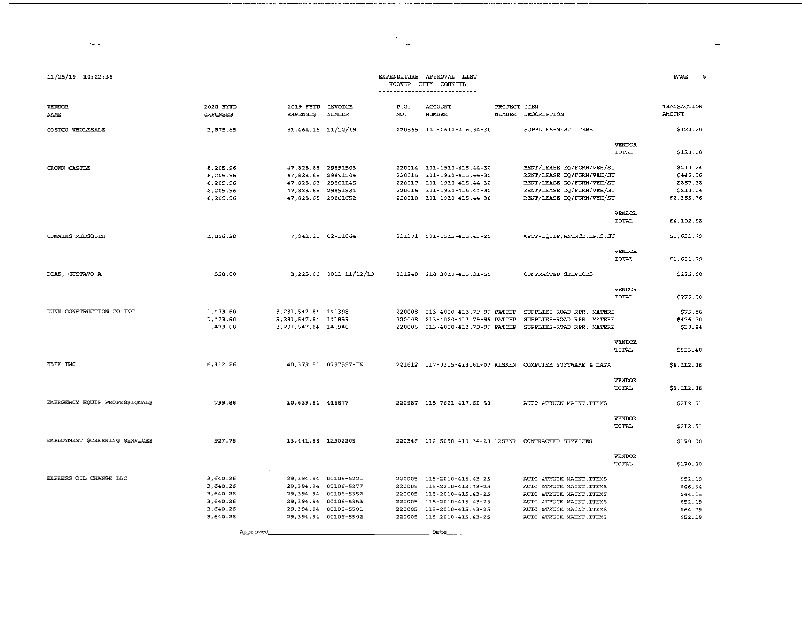| 11/25/19 10:22:38             |                                                          |                                                                                                              |                        | HOOVER      | EXPENDITURE APPROVAL LIST<br>CITY COUNCIL                                                                                                     |                                                                                                                                                          |                               | PAGE                                                       |
|-------------------------------|----------------------------------------------------------|--------------------------------------------------------------------------------------------------------------|------------------------|-------------|-----------------------------------------------------------------------------------------------------------------------------------------------|----------------------------------------------------------------------------------------------------------------------------------------------------------|-------------------------------|------------------------------------------------------------|
| VENDOR<br>NAME                | 2020 FYTD<br><b>EXPENSES</b>                             | 2019 FYTD INVOICE<br><b>EXPENSES</b>                                                                         | NUMBER                 | P.O.<br>NO. | ACCOUNT<br>NUMBER                                                                                                                             | PROJECT ITEM<br>NUMBER DESCRIPTION                                                                                                                       |                               | TRANSACTION<br>AMOUNT                                      |
| COSTCO WHOLESALE              | 3.875.85                                                 | 31, 464.15 11/12/19                                                                                          |                        |             | 220565 101-0610-416.34-30                                                                                                                     | SUPPLIES-MISC.ITEMS                                                                                                                                      |                               | \$120.20                                                   |
|                               |                                                          |                                                                                                              |                        |             |                                                                                                                                               |                                                                                                                                                          | <b>VENDOR</b><br>TOTAL        | \$120.20                                                   |
| CROWN CASTLE                  | 8,205.96<br>8,205.96<br>8.205.96<br>8,205.96<br>8,205.96 | 47,828.68 29891503<br>47,828.68 29891504<br>47, 828.68 29861145<br>47.828.68 29891884<br>47, 828.68 29861652 |                        |             | 220014 101-1910-415.44-30<br>220015 101-1910-415.44-30<br>220017 101-1910-415.44-30<br>220016 101-1910-415.44-30<br>220018 101-1910-415.44-30 | RENT/LEASE EQ/FURN/VEH/SU<br>RENT/LEASE EQ/FURN/VEH/SU<br>RENT/LEASE EQ/FURN/VEH/SU<br>RENT/LEASE EQ/FURN/VEH/SU<br>RENT/LEASE EQ/FURN/VEH/SU            |                               | \$210.24<br>\$449.06<br>\$867.68<br>\$210.24<br>\$2,365.76 |
|                               |                                                          |                                                                                                              |                        |             |                                                                                                                                               |                                                                                                                                                          | VENDOR<br>TOTAL               | \$4,102.98                                                 |
| CUMMINS MIDSOUTH              | 1,856.28                                                 | 7.942.29 C2-11864                                                                                            |                        |             | 221371 501-0515-413.43-20                                                                                                                     | WWTP-EQUIP, MNINCE, RPRS, SU                                                                                                                             |                               | \$1,631.79                                                 |
|                               |                                                          |                                                                                                              |                        |             |                                                                                                                                               |                                                                                                                                                          | <b>VENDOR</b><br><b>TOTAL</b> | \$1,631.79                                                 |
| DIAZ, GUSTAVO A               | 550.00                                                   |                                                                                                              | 3,225.00 0011 11/12/19 |             | 221248 218-3010-415.31-50                                                                                                                     | CONTRACTED SERVICES                                                                                                                                      |                               | \$275.00                                                   |
|                               |                                                          |                                                                                                              |                        |             |                                                                                                                                               |                                                                                                                                                          | <b>VENDOR</b><br>TOTAL        | \$275.00                                                   |
| DUNN CONSTRUCTION CO INC      | 1,473.60<br>1,473.60<br>1,473.60                         | 3, 231, 547.84 141398<br>3, 231, 547.84 141853<br>3, 231, 547.84 141946                                      |                        |             | 220008 213-4020-413.79-99 PATCHP                                                                                                              | 220008  213-4020-413.79-99  PATCHP  SUPPLIES-ROAD RPR. MATERI<br>SUPPLIES-ROAD RPR. MATERI<br>220008 213-4020-413.79-99 PATCHP SUPPLIES-ROAD RPR. MATERI |                               | \$75.86<br>\$426.70<br>\$50.84                             |
|                               |                                                          |                                                                                                              |                        |             |                                                                                                                                               |                                                                                                                                                          | <b>VENDOR</b><br>TOTAL        | \$553.40                                                   |
| EBIX INC                      | 6,112.26                                                 |                                                                                                              | 40,379.51 0787597-IN   |             |                                                                                                                                               | 221612 117-0315-413.61-07 RISKEN COMPUTER SOFTWARE & DATA                                                                                                |                               | \$6,112.26                                                 |
|                               |                                                          |                                                                                                              |                        |             |                                                                                                                                               |                                                                                                                                                          | <b>VENDOR</b><br>TOTAL        | \$6,112.26                                                 |
| EMERGENCY EQUIP PROFESSIONALS | 799.88                                                   | 10.639.84 446877                                                                                             |                        |             | 220987 115-7621-417.61-50                                                                                                                     | AUTO &TRUCK MAINT.ITEMS                                                                                                                                  |                               | \$212.51                                                   |
|                               |                                                          |                                                                                                              |                        |             |                                                                                                                                               |                                                                                                                                                          | <b>VENDOR</b><br>TOTAL        | \$212.51                                                   |
| EMPLOYMENT SCREENING SERVICES | 927.75                                                   | 13, 441.88 12902205                                                                                          |                        |             |                                                                                                                                               | 220346 112-5050-419.34-20 12SENR CONTRACTED SERVICES                                                                                                     |                               | \$170.00                                                   |
|                               |                                                          |                                                                                                              |                        |             |                                                                                                                                               |                                                                                                                                                          | VENDOR<br>TOTAL               | \$170.00                                                   |
| EXPRESS OIL CHANGE LLC        | 3,640.26                                                 |                                                                                                              | 29,394.94 00106-5221   |             | 220005 115-2010-415.43-25                                                                                                                     | AUTO & TRUCK MAINT. ITEMS                                                                                                                                |                               | \$52.19                                                    |
|                               | 3.640.26                                                 |                                                                                                              | 29,394.94 00106-5277   |             | 220005 115-2210-413.43-25                                                                                                                     | AUTO &TRUCK MAINT.ITEMS                                                                                                                                  |                               | \$46.34                                                    |
|                               | 3,640.26                                                 |                                                                                                              | 29,394.94 00106-5352   |             | 220005 115-2010-415.43-25                                                                                                                     | AUTO &TRUCK MAINT.ITEMS                                                                                                                                  |                               | S44.15                                                     |
|                               | 3,640.26                                                 |                                                                                                              | 29,394.94 00106-5353   |             | 220005 115-2010-415.43-25                                                                                                                     | AUTO &TRUCK MAINT ITEMS                                                                                                                                  |                               | \$52.19                                                    |
|                               | 3,640.26                                                 |                                                                                                              | 29,394.94 00106-5501   |             | 220005 115-2010-415.43-25                                                                                                                     | AUTO &TRUCK MAINT. ITEMS                                                                                                                                 |                               | \$64.79                                                    |
|                               | 3.640.26                                                 |                                                                                                              | 29,394.94 00106-5502   |             | 220005 115-2010-415.43-25                                                                                                                     | AUTO &TRUCK MAINT . ITEMS                                                                                                                                |                               | \$52.19                                                    |

Date

Approved\_

# $\lambda_{\rm max}$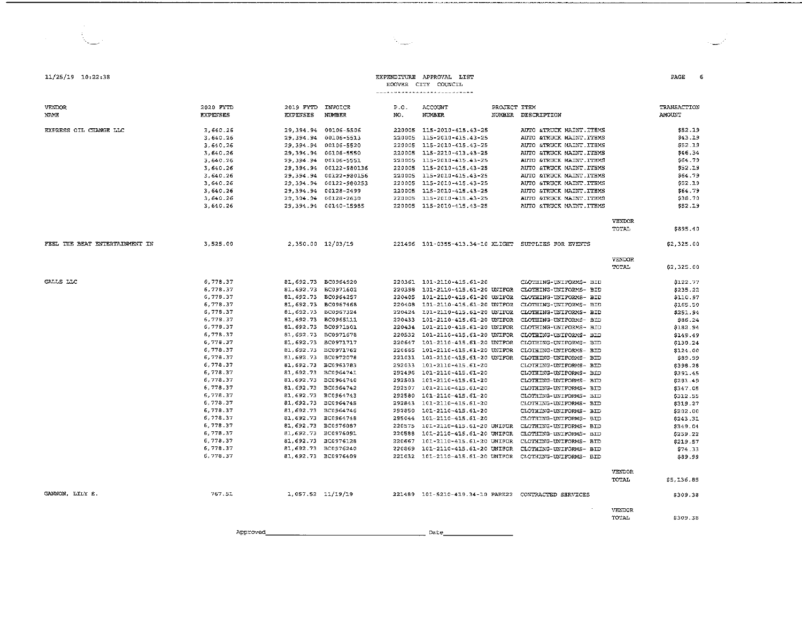| <b>VENDOR</b>                  | 2020 FYTD       | 2019 FYTD           | INVOICE                | P.O.   | ACCOUNT                                                       | PROJECT ITEM |                                       |               | TRANSACTION |
|--------------------------------|-----------------|---------------------|------------------------|--------|---------------------------------------------------------------|--------------|---------------------------------------|---------------|-------------|
| NAME                           | <b>EXPENSES</b> | <b>EXPENSES</b>     | <b>NUMBER</b>          | NO.    | NUMBER                                                        | NUMBER       | DESCRIPTION                           |               | AMOUNT      |
|                                |                 |                     |                        |        |                                                               |              |                                       |               |             |
| EXPRESS OIL CHANGE LLC         | 3,640.26        | 29,394.94           | 00106-5506             |        | 220005 115-2010-415.43-25                                     |              | AUTO &TRUCK MAINT.ITEMS               |               | \$52.19     |
|                                | 3,640.26        | 29,394.94           | 00106-5513             |        | 220005 115-2010-415.43-25                                     |              | AUTO &TRUCK MAINT. ITEMS              |               | \$43.19     |
|                                | 3,640.26        |                     | 29, 394.94 00106-5520  | 220005 | 115-2010-415.43-25                                            |              | AUTO &TRUCK MAINT . ITEMS             |               | \$52.19     |
|                                | 3,640.26        |                     | 29,394.94 00106-5550   | 220005 | 115-2210-413.43-25                                            |              | <b>&amp;TRUCK MAINT.ITEMS</b><br>AUTO |               | \$46.34     |
|                                | 3,640.26        |                     | 29,394.94 00106-5551   |        | 220005 115-2010-415.43-25                                     |              | AUTO &TRUCK MAINT.ITEMS               |               | \$64.79     |
|                                | 3,640.26        |                     | 29,394.94 00122-980136 | 220005 | 115-2010-415.43-25                                            |              | &TRUCK MAINT. ITEMS<br>AUTO           |               | \$52.19     |
|                                | 3,640.26        |                     | 29,394.94 00122-980156 | 220005 | 115-2010-415.43-25                                            |              | AUTO &TRUCK MAINT . ITEMS             |               | \$64.79     |
|                                | 3,640.26        | 29, 394.94          | 00122-980253           | 220005 | 115-2010-415.43-25                                            |              | &TRUCK MAINT . ITEMS<br>AUTO          |               | \$52.19     |
|                                | 3,640.26        |                     | 29,394.94 00128-2499   | 220005 | 115-2010-415.43-25                                            |              | STRUCK MAINT ITEMS<br>AUTO            |               | \$64.79     |
|                                | 3, 540.26       |                     | 29,394.94 00128-2630   | 220005 | 115-2010-415.43-25                                            |              | AUTO &TRUCK MAINT.ITEMS               |               | \$38.70     |
|                                | 3,640.26        |                     | 29,394.94 00140-15985  |        | 220005 115-2010-415.43-25                                     |              | AUTO &TRUCK MAINT.ITEMS               |               | \$52.19     |
|                                |                 |                     |                        |        |                                                               |              |                                       | VENDOR        |             |
|                                |                 |                     |                        |        |                                                               |              |                                       | TOTAL         | \$895.40    |
|                                |                 |                     |                        |        |                                                               |              |                                       |               |             |
| FEEL THE BEAT ENTERTAINMENT IN | 3,525.00        |                     | 2,350.00 12/03/19      |        | 221496 101-0355-413.34-10 XLIGHT                              |              | SUPPLIES FOR EVENTS                   |               | \$2,325.00  |
|                                |                 |                     |                        |        |                                                               |              |                                       | VENDOR        |             |
|                                |                 |                     |                        |        |                                                               |              |                                       | TOTAL         | \$2,325.00  |
|                                |                 |                     |                        |        |                                                               |              |                                       |               |             |
| GALLS LLC                      | 6,778.37        | 81,692.73 BC0964920 |                        |        | 220361 101-2110-415.61-20                                     |              | CLOTHING-UNIFORMS- BID                |               | \$122.77    |
|                                | 6,778.37        | 81,692.73           | BC0971602              | 220398 | 101-2110-415.61-20 UNIFOR                                     |              | CLOTHING-UNIFORMS- BID                |               | \$235.22    |
|                                | 6,778.37        | 81,692.73 BC0964257 |                        |        | 220405 101-2110-415.61-20 UNIFOR                              |              | CLOTHING-UNIFORMS- BID                |               | \$110.97    |
|                                | 6,778.37        | 81,692.73 BC0967468 |                        | 220408 | 101-2110-415.61-20 UNIFOR                                     |              | CLOTHING-UNIFORMS- BID                |               | \$155.50    |
|                                | 6,778.37        | 81,692.73 BC0967324 |                        |        | 220424 101-2110-415.61-20 UNIFOR                              |              | CLOTHING-UNIFORMS- BID                |               | \$251.94    |
|                                | 6,778.37        | 81,692.73 BC0965111 |                        | 220433 | 101-2110-415.61-20 UNIFOR                                     |              | CLOTHING-UNIFORMS- BID                |               | \$86.24     |
|                                | 6,778.37        | 81,692.73 BC0971501 |                        |        | 220434 L01-2110-415.61-20 UNIFOR                              |              | CLOTHING-UNIFORMS- BID                |               | \$182.94    |
|                                | 6,778.37        | 81,692.73 BC0971678 |                        | 220532 | 101-2110-415.61-20 UNIFOR                                     |              | CLOTHING-UNIFORMS- BID                |               | \$149.49    |
|                                | 6,778.37        | 81,692.73           | BC0971717              | 220647 | 101-2110-415.61-20 UNIFOR                                     |              | CLOTHING-UNIFORMS- BID                |               | \$130.24    |
|                                | 6,778.37        | 81,692.73 BC0971762 |                        |        | 220665 101-2110-415.61-20 UNIFOR                              |              | CLOTHING-UNIFORMS- BID                |               | \$124.00    |
|                                | 6,778.37        | 81,692.73           | BC0972078              | 221031 | 101-2110-415.61-20 UNIFOR                                     |              | CLOTHING-UNIFORMS- BID                |               | \$89.99     |
|                                | 6,778.37        | 81,692.73 BC0963783 |                        | 292033 | 101-2110-415.61-20                                            |              | CLOTHING-UNIFORMS~ BID                |               | \$398.28    |
|                                | 6,778.37        | 81,692.73 BC0964741 |                        |        | 292496 101-2110-415.61-20                                     |              | CLOTHING-UNIFORMS- BID                |               | \$391.45    |
|                                | 6,778.37        | 81,692.73 BC0964740 |                        |        | 292503 101-2110-415.61-20                                     |              | CLOTHING-UNIFORMS- BID                |               | \$281.49    |
|                                | 6.778.37        | 81.692.73 BC0964742 |                        | 292507 | 101-2110-415.61-20                                            |              | CLOTHING-UNIFORMS- BID                |               | \$347.05    |
|                                | 6.778.37        | 81,692.73 BC0964743 |                        | 292580 | 101-2110-415.61-20                                            |              | CLOTHING-UNIFORMS- BID                |               | \$312.55    |
|                                | 6,778.37        | 81,692.73 BC0964745 |                        | 292843 | 101-2110-415.61-20                                            |              | CLOTHING-UNIFORMS- BID                |               | \$319.27    |
|                                | 6,778.37        | 81,692.73 BC0964746 |                        | 292850 | 101-2110-415.61-20                                            |              | CLOTHING-UNIFORMS- BID                |               | \$202.00    |
|                                | 6,778.37        | 81,692.73 BC0964748 |                        |        | 295044 101-2110-415.61-20                                     |              | CLOTHING-UNIFORMS- BID                |               | \$243.31    |
|                                | 6,778.37        | 81,692.73 BC0976087 |                        | 220575 | 101-2110-415.61-20 UNIFOR                                     |              | CLOTHING-UNIFORMS- BID                |               | \$349.04    |
|                                | 6,778.37        | 81,692.73 BC0976091 |                        | 220588 | 101-2110-415.61-20 UNIFOR                                     |              | CLOTHING-UNIFORMS- BID                |               | \$259.22    |
|                                | 6,778.37        | 81,692.73 BC0976128 |                        | 220667 | 101-2110-415.61-20 UNIFOR                                     |              | CLOTHING-UNIFORMS- BID                |               | \$219.57    |
|                                | 6,778.37        | 81,692.73 BC0976240 |                        | 220869 | 101-2110-415.61-20 UNIFOR                                     |              | CLOTHING-UNIFORMS- BID                |               | \$74.33     |
|                                | 6,778.37        | 81,692.73 BC0976409 |                        |        | 221032 101-2110-415.61-20 UNIFOR                              |              | CLOTHING-UNIFORMS- BID                |               | \$89.99     |
|                                |                 |                     |                        |        |                                                               |              |                                       |               |             |
|                                |                 |                     |                        |        |                                                               |              |                                       | <b>VENDOR</b> |             |
|                                |                 |                     |                        |        |                                                               |              |                                       | <b>TOTAL</b>  | \$5,136.85  |
| GANNON, LILY E.                | 767.51          | 1,057.52 11/19/19   |                        |        | 221489    101-5210-419.34-10    PARK22    CONTRACTED SERVICES |              |                                       |               | \$309.38    |

VENDOR \$309.38

TOTAL

 $\sim$ 

Approved Date \_\_\_\_\_\_\_\_ \_

6

PAGE

## EXPENDITURE APPROVAL LIST

## HOOVER CITY COUNCIL

 $\mathcal{H}_{\text{max}}$ 

11/25/19 10,22:38

 $\sim$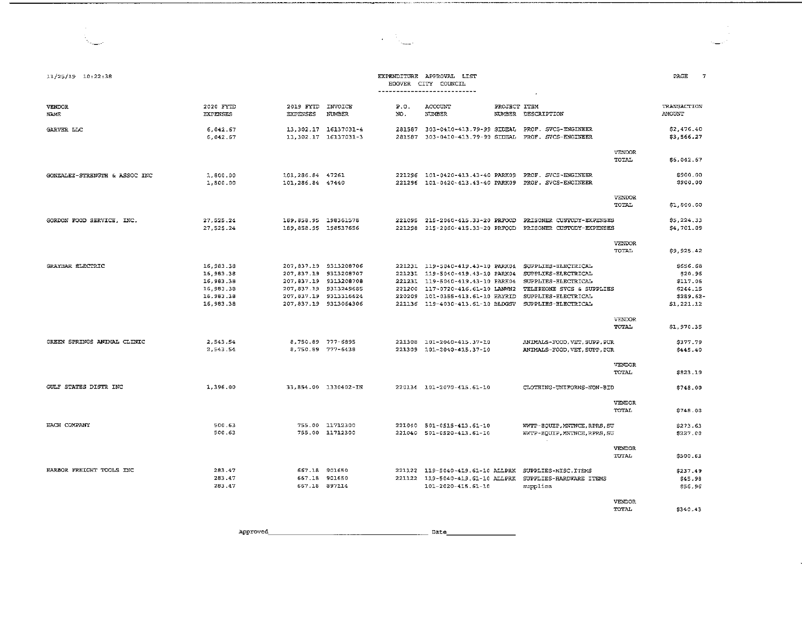| 11/25/19 10:22:38             |                                                                              |                                              |                                                                                                                                                    |                  | EXPENDITURE APPROVAL LIST<br>HOOVER CITY COUNCIL<br>----------------------------                                                                                                                       |              | $\bullet$                                                                                                                                    |                        | PAGE<br>$\overline{7}$                                                 |
|-------------------------------|------------------------------------------------------------------------------|----------------------------------------------|----------------------------------------------------------------------------------------------------------------------------------------------------|------------------|--------------------------------------------------------------------------------------------------------------------------------------------------------------------------------------------------------|--------------|----------------------------------------------------------------------------------------------------------------------------------------------|------------------------|------------------------------------------------------------------------|
| <b>VENDOR</b><br><b>NAME</b>  | 2020 FYTD<br><b>EXPENSES</b>                                                 | 2019 FYTD INVOICE<br><b>EXPENSES</b>         | NUMBER                                                                                                                                             | P.0.<br>NO.      | ACCOUNT<br>NUMBER                                                                                                                                                                                      | PROJECT ITEM | NUMBER DESCRIPTION                                                                                                                           |                        | TRANSACTION<br><b>AMOUNT</b>                                           |
| GARVER LLC                    | 6.042.67<br>6.042.67                                                         |                                              | 13 302.17 16137031-4<br>13.302.17 16137031-3                                                                                                       |                  |                                                                                                                                                                                                        |              | 281587  303-0410-413.79-99  SIDEAL  PROF. SVCS-ENGINEER<br>281587 303-0410-413.79-99 SIDEAL PROF. SVCS-ENGINEER                              |                        | \$2,476.40<br>\$3,566.27                                               |
|                               |                                                                              |                                              |                                                                                                                                                    |                  |                                                                                                                                                                                                        |              |                                                                                                                                              | VENDOR<br>TOTAL        | \$6,042.67                                                             |
| GONZALEZ-STRENGTH & ASSOC INC | 1,800.00<br>1,800.00                                                         | 101, 286.84 47261<br>101.286.84 47440        |                                                                                                                                                    |                  | 221296 101-0420-413.43-40 PARK09                                                                                                                                                                       |              | 221296 101-0420-413.43-40 PARK09 PROF. SVCS-ENGINEER<br>PROF. SVCS-ENGINEER                                                                  |                        | \$900.00<br>\$900.00                                                   |
|                               |                                                                              |                                              |                                                                                                                                                    |                  |                                                                                                                                                                                                        |              |                                                                                                                                              | VENDOR<br>TOTAL        | \$1,800.00                                                             |
| GORDON FOOD SERVICE, INC.     | 27.525.24<br>27, 525.24                                                      | 189.858.95 198361578<br>189.858.95 198537656 |                                                                                                                                                    |                  |                                                                                                                                                                                                        |              |                                                                                                                                              |                        | \$5,224.33<br>\$4,701.09                                               |
|                               |                                                                              |                                              |                                                                                                                                                    |                  |                                                                                                                                                                                                        |              |                                                                                                                                              | VENDOR<br>TOTAL        | \$9.925.42                                                             |
| GRAYBAR ELECTRIC              | 16, 983.38<br>16,983.38<br>16,983.38<br>16, 983.38<br>16,983.38<br>16,983.38 |                                              | 207.837.19 9313208706<br>207.837.19 9313208707<br>207.837.19 9313208708<br>207.837.19 9313249685<br>207,837.19 9313316624<br>207,837.19 9313064306 | 221200<br>220209 | 221231 119-5040-419.43-10 PARK04<br>221231 119-5040-419.43-10 PARK04<br>221231 119-5040-419.43-10 PARK04<br>117-0720-416.61-10 LANWN2<br>101-0355-413.61-10 HAYRID<br>221136 119-4030-413.61-10 BLDGSV |              | SUPPLIES-ELECTRICAL<br>SUPPLIES-ELECTRICAL<br>SUPPLIES-ELECTRICAL<br>TELEPHONE SVCS & SUPPLIES<br>SUPPLIES-ELECTRICAL<br>SUPPLIES-ELECTRICAL |                        | \$656.68<br>\$20.96<br>\$117.06<br>\$244.15<br>\$289.62-<br>\$1,221.12 |
|                               |                                                                              |                                              |                                                                                                                                                    |                  |                                                                                                                                                                                                        |              |                                                                                                                                              | <b>VENDOR</b><br>TOTAL | \$1,970.35                                                             |
| GREEN SPRINGS ANIMAL CLINIC   | 2.543.54<br>2.543.54                                                         |                                              | 8.750.89 777-6895<br>8,750.89 777-6438                                                                                                             |                  | 221308 101-2040-415.37-10<br>221309 101-2040-415.37-10                                                                                                                                                 |              | ANIMALS-FOOD, VET, SUPP, PUR<br>ANIMALS-FOOD, VET, SUPP, PUR                                                                                 |                        | \$377.79<br>\$445.40                                                   |
|                               |                                                                              |                                              |                                                                                                                                                    |                  |                                                                                                                                                                                                        |              |                                                                                                                                              | <b>VENDOR</b><br>TOTAL | \$823.19                                                               |
| GULF STATES DISTR INC         | 1.396.00                                                                     |                                              | 33,854.00 1330402-IN                                                                                                                               |                  | 220134 101-2070-415.61-10                                                                                                                                                                              |              | CLOTHING-UNIFORMS-NON-BID                                                                                                                    |                        | \$748.00                                                               |
|                               |                                                                              |                                              |                                                                                                                                                    |                  |                                                                                                                                                                                                        |              |                                                                                                                                              | VENDOR<br>TOTAL        | \$748.00                                                               |
| HACH COMPANY                  | 500.63<br>500.63                                                             |                                              | 755.00 11712300<br>755.00 11712300                                                                                                                 |                  | 221040 501-0515-413.61-10<br>221040 501-0520-413.61-10                                                                                                                                                 |              | WWTP-EQUIP, MNTNCE, RPRS, SU<br>WWTP-EQUIP, MNTNCE, RPRS, SU                                                                                 |                        | \$273.63<br>\$227.00                                                   |
|                               |                                                                              |                                              |                                                                                                                                                    |                  |                                                                                                                                                                                                        |              |                                                                                                                                              | VENDOR<br>TOTAL        | \$500.63                                                               |
| HARBOR FREIGHT TOOLS INC      | 283.47<br>283.47<br>283.47                                                   |                                              | 667.18 901650<br>667.18 901650<br>667.18 897114                                                                                                    |                  | 221122 119-5040-419.61-10 ALLPRK SUPPLIES-MISC.ITEMS<br>221122 119-5040-419.61-10 ALLPRK<br>101-2020-415.61-10                                                                                         |              | SUPPLIES-HARDWARE ITEMS<br>supplies                                                                                                          |                        | \$237.49<br>\$45.98<br>\$56.96                                         |
|                               |                                                                              |                                              |                                                                                                                                                    |                  |                                                                                                                                                                                                        |              |                                                                                                                                              | <b>VENDOR</b><br>TOTAL | \$340.43                                                               |
|                               | Approved                                                                     |                                              |                                                                                                                                                    |                  | Date                                                                                                                                                                                                   |              |                                                                                                                                              |                        |                                                                        |

--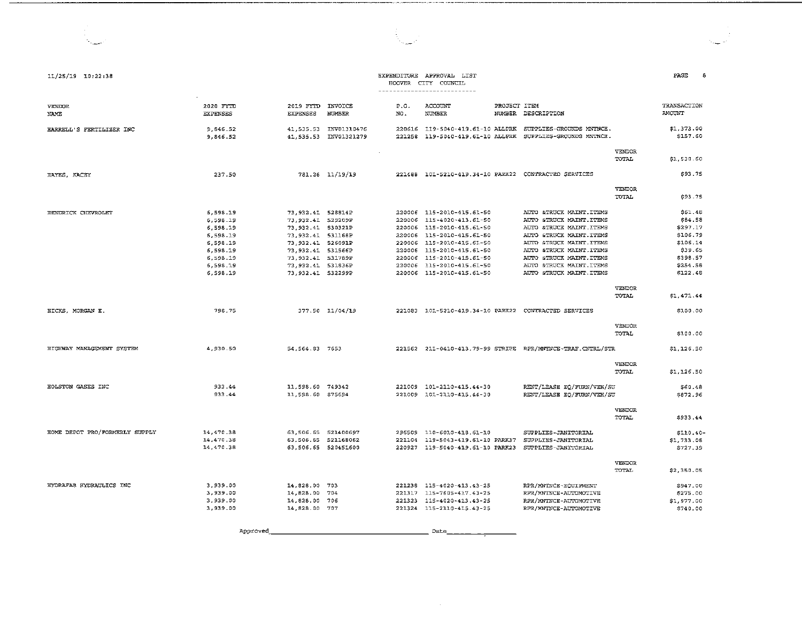| 11/25/19 10:22:38              |                              |                                         |                                                |             | EXPENDITURE APPROVAL LIST<br>HOOVER CITY COUNCIL<br>---------------------------- |                                                                                       |                        | PAGE<br>8                    |
|--------------------------------|------------------------------|-----------------------------------------|------------------------------------------------|-------------|----------------------------------------------------------------------------------|---------------------------------------------------------------------------------------|------------------------|------------------------------|
| VENDOR<br>NAME                 | 2020 FYTD<br><b>EXPENSES</b> | 2019 FYTD INVOICE<br><b>EXPENSES</b>    | <b>NUMBER</b>                                  | P.O.<br>NO. | ACCOUNT<br><b>NUMBER</b>                                                         | PROJECT ITEM<br>NUMBER DESCRIPTION                                                    |                        | TRANSACTION<br><b>AMOUNT</b> |
| HARRELL'S FERTILIZER INC       | 9,846.52<br>9 846.52         |                                         | 41,535.53 INV01310476<br>41.535.53 INV01321279 |             | 221258 119-5040-419.61-10 ALLPRK                                                 | 220616 119-5040-419.61-10 ALLERK SUPPLIES-GROUNDS MATNCE.<br>SUPPLIES-GROUNDS MNTNCE. |                        | \$1,373.00<br>\$157.60       |
|                                |                              |                                         |                                                | $\sim$      |                                                                                  |                                                                                       | VENDOR<br>TOTAL        | \$1,530.60                   |
| HAYES, KACEY                   | 237.50                       |                                         | 781.26 11/19/19                                |             |                                                                                  | 221488    101-5210-419.34-10    PARK22    CONTRACTED SERVICES                         |                        | \$93.75                      |
|                                |                              |                                         |                                                |             |                                                                                  |                                                                                       | VENDOR,<br>TOTAL       | \$93.75                      |
| HENDRICK CHEVROLET             | 6,598.19                     | 73,932.41 528814P                       |                                                |             | 220006 115-2010-415.61-50<br>220006 115-4020-413.61-50                           | AUTO &TRUCK MAINT ITEMS<br>AUTO &TRUCK MAINT ITEMS                                    |                        | S61.48<br>\$84.58            |
|                                | 6,598.19                     | 73.932.41 529209P                       |                                                |             |                                                                                  |                                                                                       |                        |                              |
|                                | 6.598.19                     | 73.932.41 530321P<br>73, 932.41 531168P |                                                | 220006      | 115-2010-415.61-50<br>220006 115-2010-415.61-50                                  | AUTO &TRUCK MAINT. ITEMS<br>AUTO &TRUCK MAINT.ITEMS                                   |                        | \$297.17<br>\$106.79         |
|                                | 6,598.19<br>6.598.19         | 73, 932.41 526091P                      |                                                |             | 220006 115-2010-415.61-50                                                        | AUTO &TRUCK MAINT. ITEMS                                                              |                        | \$106.14                     |
|                                | 6,598.19                     | 73.932.41 531566P                       |                                                |             | 220006 115-2010-415.61-50                                                        | AUTO &TRUCK MAINT. ITEMS                                                              |                        | \$39.65                      |
|                                | 6,598.19                     | 73.932.41 531789P                       |                                                | 220006      | 115-2010-415.61-50                                                               | AUTO &TRUCK MAINT. ITEMS                                                              |                        | \$398.57                     |
|                                | 6,598.19                     | 73,932.41 531836P                       |                                                |             | 220006 115-2010-415.61-50                                                        | AUTO &TRUCK MAINT. ITEMS                                                              |                        | \$254.58                     |
|                                | 6,598.19                     | 73.932.41 532299P                       |                                                |             | 220006 115-2010-415.61-50                                                        | AUTO &TRUCK MAINT. ITEMS                                                              |                        | \$122.48                     |
|                                |                              |                                         |                                                |             |                                                                                  |                                                                                       |                        |                              |
|                                |                              |                                         |                                                |             |                                                                                  |                                                                                       | VENDOR<br>TOTAL        | \$1,471.44                   |
| HICKS, MORGAN E.               | 798.75                       |                                         | 377.50 11/04/19                                |             |                                                                                  | 221083 101-5210-419.34-10 PARK22 CONTRACTED SERVICES                                  |                        | \$100.00                     |
|                                |                              |                                         |                                                |             |                                                                                  |                                                                                       | VENDOR<br><b>TOTAL</b> | \$100.00                     |
| HIGHWAY MANAGEMENT SYSTEM      | 4.930.50                     | 54.564.83 7653                          |                                                |             |                                                                                  |                                                                                       |                        | \$1,126.50                   |
|                                |                              |                                         |                                                |             |                                                                                  |                                                                                       | <b>VENDOR</b><br>TOTAL | \$1,126.50                   |
| HOLSTON GASES INC              | 933.44                       | 11,598.60 749342                        |                                                | 221009      | 101-2110-415.44-30                                                               | RENT/LEASE EQ/FURN/VEH/SU                                                             |                        | \$60.48                      |
|                                | 933.44                       | 11,598.60 875694                        |                                                |             | 221009 101-2110-415.44-30                                                        | RENT/LEASE EQ/FURN/VEH/SU                                                             |                        | \$872.96                     |
|                                |                              |                                         |                                                |             |                                                                                  |                                                                                       | <b>VENDOR</b><br>TOTAL | \$933.44                     |
| HOME DEPOT PRO/FORMERLY SUPPLY | 14, 470.38                   | 63,506.65 521400697                     |                                                |             | 296509 110-6010-418.61-10                                                        | SUPPLIES-JANITORIAL                                                                   |                        | $$110.40-$                   |
|                                | 14,470.38                    | 63.506.65 521168062                     |                                                |             | 221104 119-5043-419.61-10 PARK37                                                 | SUPPLIES-JANITORIAL                                                                   |                        | \$1,733.06                   |
|                                | 14.470.38                    | 63,506.65 520451600                     |                                                |             | 220927 119-5040-419.61-10 PARK23                                                 | SUPPLIES-JANITORIAL                                                                   |                        | \$727.39                     |
|                                |                              |                                         |                                                |             |                                                                                  |                                                                                       | <b>VENDOR</b><br>TOTAL | \$2,350.05                   |
| HYDRAFAB HYDRAULICS INC        | 3,939.00                     | 14,828.00 703                           |                                                |             | 221238 115-4020-413.43-25                                                        | RPR/MNTNCE-EQUIPMENT                                                                  |                        | \$947.00                     |
|                                | 3,939.00                     | 14,828.00 704                           |                                                | 221317      | 115-7605-417.43-25                                                               | RPR/MNINCE-AUTOMOTIVE                                                                 |                        | \$275.00                     |
|                                | 3.939.00                     | 14,828.00 706                           |                                                | 221323      | 115-4020-413.43-25                                                               | RPR/MNTNCE-AUTOMOTIVE                                                                 |                        | \$1,977.00                   |
|                                | 3 939.00                     | 14 828 00 707                           |                                                |             | 221324 115-2110-415.43-25                                                        | RPR/MNTNCE-AUTOMOTIVE                                                                 |                        | \$740.00                     |
|                                |                              |                                         |                                                |             |                                                                                  |                                                                                       |                        |                              |

 $\mathcal{L}^{\mathcal{A}}$ 

 $\frac{1}{2}$ 

Approved  $Rate$ 

 $\sim 10^{-11}$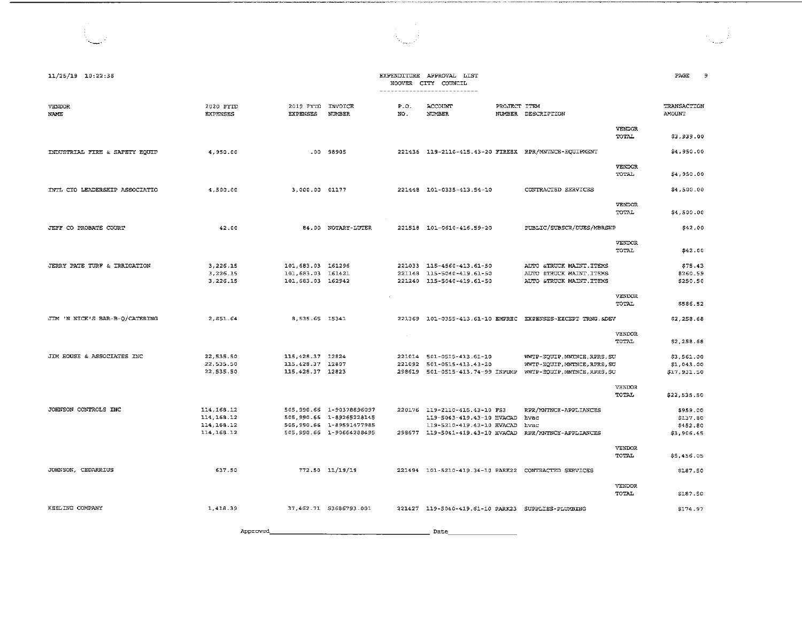| 11/25/19 10:22:38              |                                     |                              |                                                      |               | EXPENDITURE APPROVAL LIST<br>HOOVER CITY COUNCIL<br>---------------------------- |              |                                                            |                               | PAGE<br>9                    |
|--------------------------------|-------------------------------------|------------------------------|------------------------------------------------------|---------------|----------------------------------------------------------------------------------|--------------|------------------------------------------------------------|-------------------------------|------------------------------|
| <b>VENDOR</b><br><b>NAME</b>   | 2020 FYTD<br><b><i>RXPENSES</i></b> | 2019 FYTD<br><b>EXPENSES</b> | INVOICE<br>NUMBER                                    | P.O.<br>NO.   | ACCOUNT<br><b>NUMBER</b>                                                         | PROJECT ITEM | NUMBER DESCRIPTION                                         |                               | TRANSACTION<br><b>AMOUNT</b> |
|                                |                                     |                              |                                                      |               |                                                                                  |              |                                                            | <b>VENDOR</b><br><b>TOTAL</b> | \$3,939.00                   |
| INDUSTRIAL FIRE & SAFETY EQUIP | 4.950.00                            |                              | $.00$ 98905                                          |               |                                                                                  |              | 221436 119-2110-415.43-20 FIREEX RPR/MNTNCE-EQUIPMENT      |                               | \$4,950.00                   |
|                                |                                     |                              |                                                      |               |                                                                                  |              |                                                            | <b>VENDOR</b><br>TOTAL        | \$4,950.00                   |
| INTL CTO LEADERSHIP ASSOCIATIO | 4,500.00                            | 3.000.00 01177               |                                                      |               | 221448 101-0335-413.54-10                                                        |              | CONTRACTED SERVICES                                        |                               | \$4,500.00                   |
|                                |                                     |                              |                                                      |               |                                                                                  |              |                                                            | <b>VENDOR</b><br>TOTAL        | \$4,500.00                   |
| JEFF CO PROBATE COURT          | 42.00                               |                              | 84.00 NOTARY-LUTER                                   |               | 221518 101-0610-416.59-20                                                        |              | PUBLIC/SUBSCR/DUES/MBRSHP                                  |                               | \$42.00                      |
|                                |                                     |                              |                                                      |               |                                                                                  |              |                                                            | <b>VENDOR</b><br>TOTAL        | \$42.00                      |
| JERRY PATE TURF & IRRIGATION   | 3.226.15                            | 101,683.03 161296            |                                                      |               | 221033 115-4560-413.61-50                                                        |              | AUTO &TRUCK MAINT.ITEMS                                    |                               | \$75.43                      |
|                                | 3.226.15                            | 101, 683.03 161421           |                                                      |               | 221148 115-5040-419.61-50                                                        |              | AUTO &TRUCK MAINT.ITEMS                                    |                               | \$260.59                     |
|                                | 3,226.15                            | 101, 683.03 162942           |                                                      |               | 221240 115-5040-419.61-50                                                        |              | AUTO &TRUCK MAINT. ITEMS                                   |                               | \$250.50                     |
|                                |                                     |                              |                                                      |               |                                                                                  |              |                                                            | VENDOR<br>TOTAL.              | \$586.52                     |
| JIM 'N NICK'S BAR-B-O/CATERING | 2.851.64                            | 8,535.65 15341               |                                                      |               |                                                                                  |              | 221369 101-0355-413.61-10 EMPREC EXPENSES-EXCEPT TRNG.&DEV |                               | \$2,258.68                   |
|                                |                                     |                              |                                                      | $\sim$ $\sim$ |                                                                                  |              |                                                            | <b>VENDOR</b><br>TOTAL        | \$2,258.68                   |
| JIM HOUSE & ASSOCIATES INC     | 22,535.50                           | 115, 428.37 12824            |                                                      |               | 221014 501-0515-413.61-10                                                        |              | WWTP-EOUIP.MNTNCE.RPRS.SU                                  |                               | \$3,561.00                   |
|                                | 22,535.50                           | 115, 428.37 12807            |                                                      |               | 221092 501-0515-413.43-20                                                        |              | WWTP-EQUIP, MNTNCE, RPRS, SU                               |                               | \$1,043.00                   |
|                                | 22,535.50                           | 115, 428.37 12823            |                                                      |               | 298619 501-0515-413.74-99 INPUMP                                                 |              | WWTP-EQUIP, MNTNCE, RPRS, SU                               |                               | \$17,931.50                  |
|                                |                                     |                              |                                                      |               |                                                                                  |              |                                                            | <b>VENDOR</b><br><b>TOTAL</b> | \$22,535.50                  |
| JOHNSON CONTROLS INC           | 114, 168. 12                        |                              | 505, 990.66 1-90378896097                            |               | 220176 119-2110-415.43-10 FS3                                                    |              | RPR/MNTNCE-APPLIANCES                                      |                               | \$959.00                     |
|                                | 114, 168.12                         |                              | 505,990.66 1-89265228145                             |               | 119-5043-419.43-10 HVACAD                                                        |              | hvac                                                       |                               | \$137.80                     |
|                                | 114, 168.12<br>114, 168.12          |                              | 505,990.66 1-89591477985<br>505,990.66 1-90664288495 |               | 119-5210-419.43-10 HVACAD<br>298677 119-5041-419.43-10 HVACAD                    |              | hvac<br>RPR/MNTNCE-APPLIANCES                              |                               | \$452.80<br>\$3,906.45       |
|                                |                                     |                              |                                                      |               |                                                                                  |              |                                                            |                               |                              |
|                                |                                     |                              |                                                      |               |                                                                                  |              |                                                            | VENDOR<br>TOTAL               | \$5,456.05                   |
| JOHNSON, CEDARRIUS             | 637.50                              |                              | 772.50 11/19/19                                      |               | 221494   101-5210-419.34-10   PARK22   CONTRACTED SERVICES                       |              |                                                            |                               | \$187.50                     |
|                                |                                     |                              |                                                      |               |                                                                                  |              |                                                            | VENDOR<br>TOTAL               | \$187.50                     |
| KEELING COMPANY                | 1,418.39                            |                              | 37,462.71 \$3686793.001                              |               | 221427 119-5040-419.61-10 PARK23 SUPPLIES-PLUMBING                               |              |                                                            |                               | \$174.97                     |

--···-·--··--··---------------------------------------

 $\sim 2$ 

App:i:-oved \_\_\_\_\_\_\_\_\_\_\_\_\_\_\_\_\_\_\_\_\_ Date \_\_\_\_\_\_\_\_\_ \_

 $\mathcal{A}^{(1)}$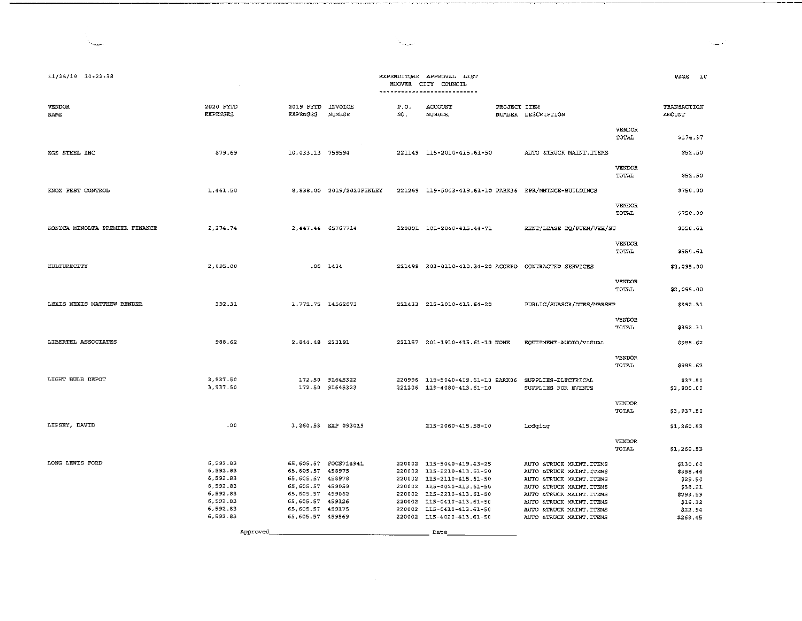| $11/25/19$ $10:22:38$          |                              |                              |                                    | HOOVER      | EXPENDITURE APPROVAL LIST<br>CITY COUNCIL<br>---------------------------- |              |                                            |                        | PAGE                  | 20 |
|--------------------------------|------------------------------|------------------------------|------------------------------------|-------------|---------------------------------------------------------------------------|--------------|--------------------------------------------|------------------------|-----------------------|----|
| VENDOR<br>NAME                 | 2020 FYTD<br><b>EXPENSES</b> | 2019 FYTD<br><b>EXPENSES</b> | INVOICE<br>NUMBER                  | P.O.<br>NO. | ACCOUNT<br><b>NUMBER</b>                                                  | PROJECT ITEM | NUMBER DESCRIPTION                         |                        | TRANSACTION<br>AMOUNT |    |
|                                |                              |                              |                                    |             |                                                                           |              |                                            | VENDOR<br>TOTAL        | \$174.97              |    |
| KGS STEEL INC                  | 879.69                       | 10,033.13 759594             |                                    |             | 221149 115-2010-415.61-50                                                 |              | AUTO &TRUCK MAINT. ITEMS                   |                        | \$52.50               |    |
|                                |                              |                              |                                    |             |                                                                           |              |                                            | VENDOR<br>TOTAL        | \$52.50               |    |
| KNOX PEST CONTROL              | 1,461.50                     |                              | 8,838.00 2019/2020FINLEY           |             | 221269 119-5043-419.61-10 PARK36 RPR/MNTNCE-BUILDINGS                     |              |                                            |                        | \$750.00              |    |
|                                |                              |                              |                                    |             |                                                                           |              |                                            | VENDOR<br>TOTAL        | \$750.00              |    |
| KONICA MINOLTA PREMIER FINANCE | 2, 274.74                    | 2,447.44 65767714            |                                    |             | 220801 101-2040-415.44-71                                                 |              | RENT/LEASE EQ/FURN/VEH/SU                  |                        | \$550.61              |    |
|                                |                              |                              |                                    |             |                                                                           |              |                                            | <b>VENDOR</b><br>TOTAL | \$550.61              |    |
| KULTURECITY                    | 2.095.00                     |                              | .00 1434                           |             | 221499 303-0110-410.34-20 ACCRED CONTRACTED SERVICES                      |              |                                            |                        | \$2,095.00            |    |
|                                |                              |                              |                                    |             |                                                                           |              |                                            | VENDOR<br>TOTAL        | \$2,095.00            |    |
| LEXIS NEXIS MATTHEW BENDER     | 392.31                       | 1,772.75 14562073            |                                    |             | 221433 215-3010-415.64-20                                                 |              | PUBLIC/SUBSCR/DUES/MBRSHP                  |                        | \$392.31              |    |
|                                |                              |                              |                                    |             |                                                                           |              |                                            | VENDOR<br>TOTAL        | \$392.31              |    |
| LIBERTEL ASSOCIATES            | 988.62                       | 2.844.48 223191              |                                    |             | 221157 201-1910-415.61-10 NONE                                            |              | EQUIPMENT-AUDIO/VISUAL                     |                        | \$988.62              |    |
|                                |                              |                              |                                    |             |                                                                           |              |                                            | <b>VENDOR</b><br>TOTAL | \$988.62              |    |
| LIGHT BULB DEPOT               | 3,937.50<br>3.937.50         |                              | 172.50 91645322<br>172.50 91645323 |             | 220996 119-5040-419.61-10 PARK06<br>221206 119-4080-413.61-10             |              | SUPPLIES-ELECTRICAL<br>SUPPLIES FOR EVENTS |                        | \$37.50<br>\$3,900.00 |    |
|                                |                              |                              |                                    |             |                                                                           |              |                                            | <b>VENDOR</b><br>TOTAL | \$3,937.50            |    |

| LIPSEY, DAVID   | .00      |                  | 1.260.53 EXP 093019  | 215-2060-415.58-10        | lodging                  |                        | \$1,260.53 |
|-----------------|----------|------------------|----------------------|---------------------------|--------------------------|------------------------|------------|
|                 |          |                  |                      |                           |                          | <b>VENDOR</b><br>TOTAL | \$1,260.53 |
| LONG LEWIS FORD | 6.592.83 |                  | 65.605.57 FOCS714941 | 220002 115-5040-419.43-25 | AUTO &TRUCK MAINT ITEMS  |                        | \$130.00   |
|                 | 6.592.83 | 65.605.57 458975 |                      | 220002 115-2210-413.61-50 | AUTO &TRUCK MAINT.ITEMS  |                        | \$358.46   |
|                 | 6.592.83 | 65.605.57 458978 |                      | 220002 115-2110-415.61-50 | AUTO &TRUCK MAINT ITEMS  |                        | \$29.50    |
|                 | 6,592.83 | 65,605.57 459059 |                      | 220002 115-4020-413.61-50 | AUTO &TRUCK MAINT ITEMS  |                        | 538.21     |
|                 | 6.592.83 | 65.605.57 459062 |                      | 220002 115-2210-413.61-50 | AUTO ATRUCK MAINT ITEMS  |                        | \$293.59   |
|                 | 6,592.83 | 65,605,57 459126 |                      | 220002 115-0410-413.61-50 | AUTO &TRUCK MAINT.ITEMS  |                        | 516.32     |
|                 | 6.592.83 | 65.605.57 459175 |                      | 220002 115-0410-413.61-50 | AUTO & TRUCK MAINT TTEMS |                        | \$22.94    |
|                 | 6.592.83 | 65.605.57 459569 |                      | 220002 115-4020-413.61-50 | AUTO &TRUCK MAINT.ITEMS  |                        | \$268.45   |

 $\sim 10^{-1}$ 

**Date** 

Approved\_\_\_\_\_\_\_

 $\sim$ 

.<br>Sedan pertama mencilla di coloni

 $\mathcal{A}_1$ 

a con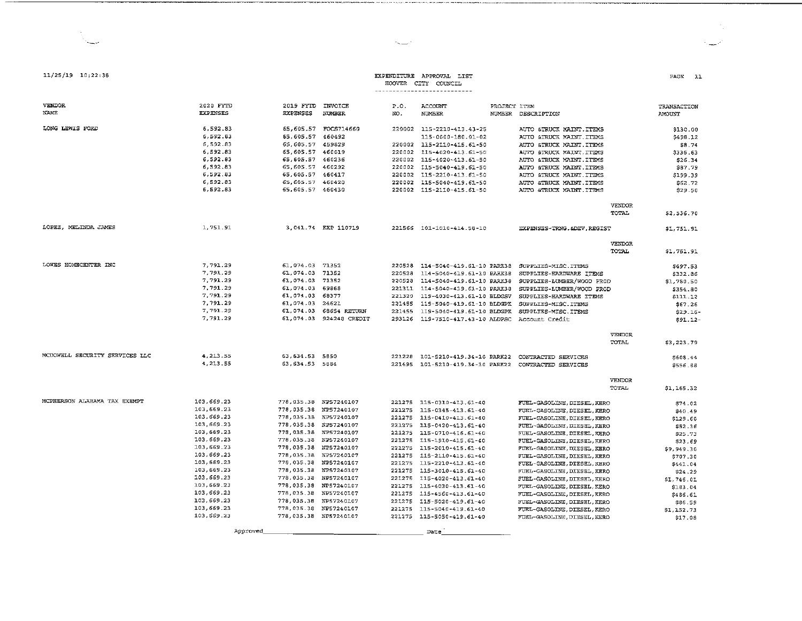|                                |                 |                        |                         |                  | HOOARE CILLA COOMCIT<br>-----------------------------         |                                               |                       |
|--------------------------------|-----------------|------------------------|-------------------------|------------------|---------------------------------------------------------------|-----------------------------------------------|-----------------------|
|                                |                 |                        |                         |                  |                                                               |                                               |                       |
| <b>VENDOR</b>                  | 2020 FYTD       | 2019 FYTD INVOICE      |                         | P.O.             | <b>ACCOUNT</b>                                                | PROJECT ITEM                                  | TRANSACTION           |
| NAME                           | <b>EXPENSES</b> | <b>EXPENSES</b>        | <b>NUMBER</b>           | NO.              | <b>NUMBER</b>                                                 | NUMBER DESCRIPTION                            | AMOUNT                |
| LONG LEWIS FORD                | 6,592.83        |                        | 65,605.57 FOCS714660    |                  | 220002 115-2210-413.43-25                                     | AUTO &TRUCK MAINT.ITEMS                       | \$130.00              |
|                                | 6,592.83        | 65,605.57 460492       |                         |                  | 115-0000-180.01-02                                            | AUTO &TRUCK MAINT. ITEMS                      | \$498.12              |
|                                | 6,592.83        | 65,605.57 459829       |                         |                  | 220002 115-2110-415.61-50                                     | AUTO &TRUCK MAINT.ITEMS                       | \$8.74                |
|                                | 6.592.83        | 65,605.57 460019       |                         |                  | 220002 115-4020-413.61-50                                     | AUTO &TRUCK MAINT.ITEMS                       | \$336.63              |
|                                | 6,592.83        | 65,605.57 460236       |                         |                  | 220002 115-4020-413.61-50                                     | AUTO &TRUCK MAINT. ITEMS                      | \$26.34               |
|                                | 6,592.83        | 65,605.57 460292       |                         |                  | 220002 115-5040-419.61-50                                     | AUTO &TRUCK MAINT. ITEMS                      | \$87.79               |
|                                | 6,592.83        | 65, 605.57 460417      |                         |                  | 220002 115-2210-413.61-50                                     | AUTO &TRUCK MAINT. ITEMS                      | \$199.39              |
|                                | 6,592.83        | 65,605.57 460420       |                         |                  | 220002 115-5040-419.61-50                                     | AUTO &TRUCK MAINT . ITEMS                     | \$62.72               |
|                                | 6,592.83        | 65,605.57 460430       |                         |                  | 220002 115-2110-415.61-50                                     | AUTO &TRUCK MAINT.ITEMS                       | \$29.50               |
|                                |                 |                        |                         |                  |                                                               |                                               |                       |
|                                |                 |                        |                         |                  |                                                               |                                               | VENDOR                |
|                                |                 |                        |                         |                  |                                                               |                                               | TOTAL.<br>\$2,536.70  |
| LOPEZ, MELINDA JAMES           | 1,751.91        |                        | 3,041.74 EXP 110719     |                  | 221566 101-1010-414.58-10                                     | EXPENSES-TRNG. & DEV, REGIST                  | \$1 751.91            |
|                                |                 |                        |                         |                  |                                                               |                                               |                       |
|                                |                 |                        |                         |                  |                                                               |                                               | VENDOR                |
|                                |                 |                        |                         |                  |                                                               |                                               | TOTAL<br>\$1,751.91   |
| LOWES HOMECENTER INC           | 7,791.29        | 61,074.03              | 71352                   |                  | 220528 114-5040-419.61-10 PARK38                              | SUPPLIES-MISC.ITEMS                           | \$697.53              |
|                                | 7,791.29        | 61,074.03              | 71352                   | 220528           | 114-5040-419.61-10 PARK38                                     | SUPPLIES-HARDWARE ITEMS                       |                       |
|                                | 7,791.29        | 61,074.03              | 71352                   | 220528           | 114-5040-419.61-10 PARK38                                     | SUPPLIES-LUMBER/WOOD PROD                     | \$332.86              |
|                                | 7,791.29        | 61,074.03              | 59868                   |                  | 221311 114-5040-419.61-10 PARK38                              | SUPPLIES-LUMBER/WOOD PROD                     | \$1,780.50            |
|                                | 7,791.29        | 61,074.03              | 68377                   | 221320           | 119-4030-413.61-10 BLDGSV                                     |                                               | \$354.80              |
|                                | 7,791.29        | 61,074.03              | 24621                   |                  |                                                               | SUPPLIES-HARDWARE ITEMS                       | \$111.12              |
|                                | 7,791.29        | 61,074.03              | 68654 RETURN            | 221455<br>221455 | 119-5040-419.61-10 BLDGPK                                     | SUPPLIES-MISC.ITEMS                           | \$67.26               |
|                                | 7,791.29        |                        | 61,074.03 924248 CREDIT |                  | 119-5040-419.61-10 BLDGPK<br>293126 119-7510-417.43-10 ALDPSC | SUPPLIES-MISC.ITEMS                           | \$29.16               |
|                                |                 |                        |                         |                  |                                                               | Account Credit                                | \$91.12-              |
|                                |                 |                        |                         |                  |                                                               |                                               | <b>VENDOR</b>         |
|                                |                 |                        |                         |                  |                                                               |                                               | TOTAL.<br>\$3,223.79  |
| MCDOWELL SECURITY SERVICES LLC | 4,213.55        | 63, 634.53 5850        |                         | 221228           |                                                               | 101-5210-419.34-10 PARK22 CONTRACTED SERVICES |                       |
|                                | 4,213.55        | 63, 634.53 5884        |                         |                  |                                                               |                                               | \$608.44<br>5556.88   |
|                                |                 |                        |                         |                  |                                                               |                                               |                       |
|                                |                 |                        |                         |                  |                                                               |                                               | VENDOR                |
|                                |                 |                        |                         |                  |                                                               |                                               | TOTAL<br>\$1, 165, 32 |
| MCPHERSON ALABAMA TAX EXEMPT   | 103,669.23      | 778, 035.38 NP57240107 |                         | 221275           | 115-0310-413.61-40                                            | FUEL-GASOLINE, DIESEL, KERO                   | \$74.02               |
|                                | 103.669.23      | 778,035.38 NP57240107  |                         | 221275           | 115-0345-413.61-40                                            | FUEL-GASOLINE, DIESEL, KERO                   | \$40.49               |
|                                | 103,669.23      | 778,035.38 NP57240107  |                         |                  | 221275 115-0410-413.61-40                                     | FUEL-GASOLINE, DIESEL, KERO                   | \$129.60              |
|                                | 103,669.23      | 778,035.38 NP57240107  |                         | 221275           | 115-0420-413.61-40                                            | FUEL-GASOLINE, DIESEL, KERO                   | \$52.36               |
|                                | 103,669.23      | 778,035.38 NP57240107  |                         | 221275           | 115-0710-416.61-40                                            | FUEL-GASOLINE, DIESEL, KERO                   | \$25.73               |
|                                | 103,669.23      | 778,035.38 NP57240107  |                         | 221275           | 115-1910-415.61-40                                            | FUEL-GASOLINE, DIESEL, KERO                   | \$23.69               |
|                                | 103,669.23      | 778,035.38 NP57240107  |                         | 221275           | 115-2010-415.61-40                                            | FUEL-GASOLINE, DIESEL, KERO                   | \$9.949.30            |
|                                | 103,669.23      | 778,035.38 NP57240107  |                         | 221275           | 115-2110-415.61-40                                            | FUEL-GASOLINE, DIESEL, KERO                   | 5707.30               |
|                                | 103,669.23      | 778,035.38 NP57240107  |                         | 221275           | 115-2210-413.61-40                                            | FUEL-GASOLINE, DIESEL, KERO                   | \$441.04              |
|                                | 103,669.23      | 778,035.38 NP57240107  |                         | 221275           | 115-3010-415.61-40                                            | FUEL-GASOLINE, DIESEL, KERO                   | \$24.29               |
|                                | 103,669.23      | 778,035.38 NP57240107  |                         | 221275           | 115-4020-413.61-40                                            | FUEL-GASOLINE, DIESEL, KERO                   | \$1,746.01            |
|                                | 103,669.23      | 778,035.38 NP57240107  |                         | 221275           | 115-4030-413.61-40                                            | FUEL-GASOLINE, DIESEL, KERO                   | \$183.04              |
|                                | 103,669.23      | 778,035.38 NP57240107  |                         |                  | 221275 115-4560-413.61-40                                     | FUEL-GASOLINE, DIESEL, KERO                   | \$486.61              |
|                                | 103,669.23      | 778,035.38 NP57240107  |                         | 221275           | 115-5020-419.61-40                                            | FUEL-GASOLINE, DIESEL, KERO                   | \$86.59               |
|                                | 103,669.23      | 778,035.38 NP57240107  |                         | 221275           | 115-5040-419.61-40                                            | FUEL-GASOLINE, DIESEL, KERO                   | \$1,152.73            |
|                                | 103,669.23      | 778,035.38 NP57240107  |                         |                  | 221275 115-5050-419.61-40                                     | FUEL-GASOLINE, DIESEL, KERO                   | \$17.08               |

Date

Approved

11/25/19 10:22:38

Service

 $\overline{\phantom{a}}$ 

### EXPENDITURE APPROVAL LIST  $H$

 $\sim$ 

PAGE 11

 $\epsilon \equiv \epsilon^{\prime}$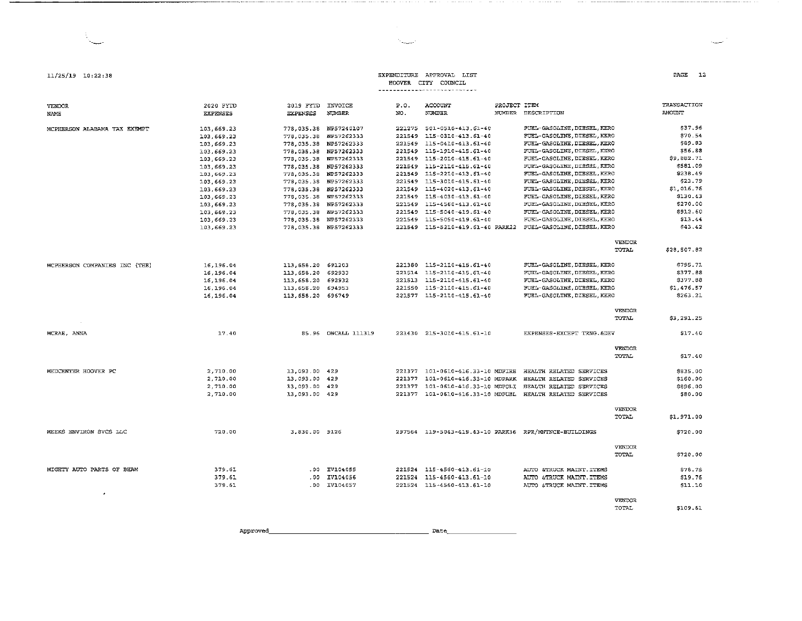#### EXPENDITURE APPROVAL LIST HOOVER CITY COUNCIL

and and the completion of the contract of the contract of the complete contract of the contract of the contract of the contract of the contract of the contract of the contract of the contract of the contract of the contrac

 $\hat{\mathcal{A}}$ أسينة The company of the company

contract the company of the contract of

#### ---------------------------P.O. ACCOUNT PROJECT ITEM 2019 FYTD INVOICE

| NAME                          | <b>EXPENSES</b> | <b>EXPENSES</b>       | NUMBER              | NO.    | NUMBER                                                | NUMBER DESCRIPTION             |                        | <b>AMOUNT</b> |
|-------------------------------|-----------------|-----------------------|---------------------|--------|-------------------------------------------------------|--------------------------------|------------------------|---------------|
| MCPHERSON ALABAMA TAX EXEMPT  | 103, 669.23     | 778.035.38 NP57240107 |                     |        | 221275 501-0510-413.61-40                             | FUEL-GASOLINE DIESEL, KERO     |                        | \$37.96       |
|                               | 103 669 23      | 778.035.38 NP57262333 |                     | 221549 | 115-0310-413.61-40                                    | FUEL-GASOLINE, DIESEL, KERO    |                        | \$70.54       |
|                               | 103 669.23      | 778.035.38 NP57262333 |                     | 221549 | 115-0410-413.61-40                                    | FUEL-GASOLINE, DIESEL, KERO    |                        | \$89.83       |
|                               | 103.669.23      | 778.035.38 NP57262333 |                     |        | 221549 115-1910-415.61-40                             | FUEL-GASOLINE, DIESEL, KERO    |                        | \$56.88       |
|                               | 103,669.23      | 778.035.38 NP57262333 |                     | 221549 | 115-2010-415.61-40                                    | FUEL-GASOLINE, DIESEL, KERO    |                        | \$9,882.71    |
|                               | 103, 669.23     | 778.035.38 NP57262333 |                     | 221549 | 115-2110-415.61-40                                    | FUEL-GASOLINE DIESEL KERO      |                        | \$581.09      |
|                               | 103, 669.23     | 778.035.38 NP57262333 |                     |        | 221549 115-2210-413.61-40                             | FUEL-GASOLINE DIESEL KERO      |                        | \$238.49      |
|                               | 103 669.23      | 778.035.38            | NP57262333          | 221549 | 115-3010-415.61-40                                    | FUEL-GASOLINE DIESEL KERO      |                        | \$23.79       |
|                               | 103, 669.23     | 778.035.38 NP57262333 |                     |        | 221549 115-4020-413.61-40                             | FUEL-GASOLINE DIESEL KERO      |                        | \$1,016.76    |
|                               | 103,669.23      | 778,035.38 NP57262333 |                     |        | 221549 115-4030-413.61-40                             | FUEL-GASOLINE, DIESEL, KERO    |                        | \$130.43      |
|                               | 103, 669.23     | 778,035.38 NP57262333 |                     |        | 221549 115-4560-413.61-40                             | FUEL-GASOLINE DIESEL KERO      |                        | \$270.00      |
|                               | 103, 669.23     | 778,035.38 NP57262333 |                     |        | 221549 115-5040-419.61-40                             | FUEL-GASOLINE DIESEL, KERO     |                        | \$912.60      |
|                               | 103.669.23      | 778.035.38 NP57262333 |                     | 221549 | 115-5050-419.61-40                                    | FUEL-GASOLINE DIESEL KERO      |                        | S13.44        |
|                               | 103.669.23      | 778.035.38 NP57262333 |                     |        | 221549 115-5210-419.61-40 PARK22                      | FUEL-GASOLINE DIESEL KERO      |                        | \$43.42       |
|                               |                 |                       |                     |        |                                                       |                                |                        |               |
|                               |                 |                       |                     |        |                                                       |                                | <b>VENDOR</b>          |               |
|                               |                 |                       |                     |        |                                                       |                                | TOTAL                  | \$28,507.82   |
| MCPHERSON COMPANIES INC (THE) | 16.196.04       | 113, 658.20 691203    |                     |        | 221380 115-2110-415.61-40                             | FUEL-GASOLINE DIESEL KERO      |                        | \$795.71      |
|                               | 16,196.04       | 113,658.20            | 692933              |        | 221514 115-2110-415.61-40                             | FUEL-GASOLINE DIESEL KERO      |                        | \$377.88      |
|                               | 16.196.04       | 113,658.20            | 692932              | 221513 | 115-2110-415.61-40                                    | FUEL-GASOLINE, DIESEL, KERO    |                        | \$377.88      |
|                               | 16,196.04       | 113,658.20            | 694953              |        | 221550 115-2110-415.61-40                             | FUEL-GASOLINE, DIESEL, KERO    |                        | \$1,476.57    |
|                               | 16,196.04       | 113,658.20 696749     |                     |        | 221577 115-2110-415.61-40                             | FUEL-GASOLINE DIESEL KERO      |                        | \$263.21      |
|                               |                 |                       |                     |        |                                                       |                                |                        |               |
|                               |                 |                       |                     |        |                                                       |                                | <b>VENDOR</b><br>TOTAL | \$3,291.25    |
|                               |                 |                       |                     |        |                                                       |                                |                        |               |
| MCRAE, ANNA                   | 17.40           |                       | 85.96 ONCALL 111319 |        | 221430 215-3010-415.61-10                             | EXPENSES-EXCEPT TRNG.&DEV      |                        | \$17.40       |
|                               |                 |                       |                     |        |                                                       |                                | <b>VENDOR</b>          |               |
|                               |                 |                       |                     |        |                                                       |                                | TOTAL                  | \$17.40       |
| MEDCENTER HOOVER PC           | 2,710.00        | 13.093.00 429         |                     |        | 221377 101-0610-416.33-10 MDFIRE                      | HEALTH RELATED SERVICES        |                        | \$835.00      |
|                               | 2,710.00        | 13,093.00 429         |                     | 221377 | 101-0610-416.33-10 MDPARK                             | HEALTH RELATED SERVICES        |                        | \$160.00      |
|                               | 2.710.00        | 13.093.00             | 429                 | 221377 | 101-0610-416.33-10 MDPOLI                             | HEALTH RELATED SERVICES        |                        | \$896.00      |
|                               | 2.710.00        | 13.093.00 429         |                     |        | 221377 101-0610-416.33-10 MDPUBL                      | <b>HEALTH RELATED SERVICES</b> |                        | \$80.00       |
|                               |                 |                       |                     |        |                                                       |                                |                        |               |
|                               |                 |                       |                     |        |                                                       |                                | VENDOR                 |               |
|                               |                 |                       |                     |        |                                                       |                                | TOTAL                  | \$1,971.00    |
| MEEKS ENVIRON SVCS LLC        | 720.00          | 3.830.00 9126         |                     |        | 297564 119-5043-419.43-10 PARK36 RPR/MNTNCE-BUILDINGS |                                |                        | \$720.00      |
|                               |                 |                       |                     |        |                                                       |                                | <b>VENDOR</b>          |               |
|                               |                 |                       |                     |        |                                                       |                                | TOTAL                  | \$720.00      |
|                               |                 |                       |                     |        |                                                       |                                |                        |               |
| MIGHTY AUTO PARTS OF BHAM     | 379.61          | .00.                  | IV104055            |        | 221524 115-4560-413.61-10                             | AUTO &TRUCK MAINT. ITEMS       |                        | \$78.75       |
|                               | 379.61          | .00.                  | IV104056            | 221524 | 115-4560-413.61-10                                    | AUTO &TRUCK MAINT. ITEMS       |                        | \$19.76       |
|                               | 379.61          |                       | .00 IV104057        |        | 221524 115-4560-413.61-10                             | AUTO &TRUCK MAINT. ITEMS       |                        | \$11.10       |
| À                             |                 |                       |                     |        |                                                       |                                | <b>VENDOR</b>          |               |
|                               |                 |                       |                     |        |                                                       |                                | <b>TOTAL</b>           | \$109.61      |
|                               |                 |                       |                     |        |                                                       |                                |                        |               |

**BALGARD** 

2020 FYTD

Approved\_ **Date** 

#### $PAGE = 12$

TRANSACTION

است

11/25/19 10:22:38

 ${\tt VENDOR}$ 

است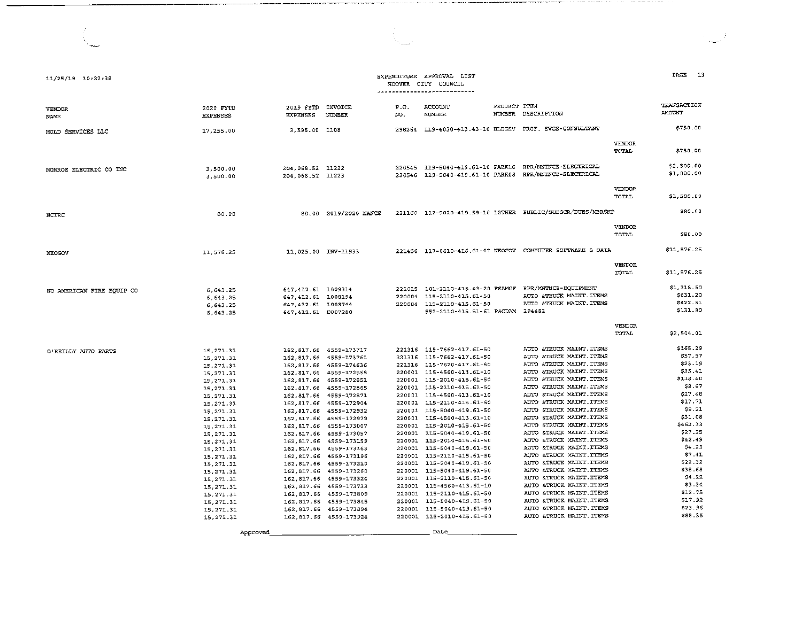| 11/25/19 10:22:38         |                              |                                           |                                                   |             | EXPENDITURE APPROVAL LIST<br>HOOVER CITY COUNCIL              |              |                                                                                                                  |                        | PAGE 13                      |
|---------------------------|------------------------------|-------------------------------------------|---------------------------------------------------|-------------|---------------------------------------------------------------|--------------|------------------------------------------------------------------------------------------------------------------|------------------------|------------------------------|
| VENDOR<br>NAME            | 2020 FYTD<br><b>EXPENSES</b> | 2019 FYTD INVOICE<br><b>EXPENSES</b>      | <b>NUMBER</b>                                     | P.O.<br>NO. | ACCOUNT<br><b>NUMBER</b>                                      | PROJECT ITEM | NUMBER DESCRIFTION                                                                                               |                        | TRANSACTION<br><b>AMOUNT</b> |
| MOLD SERVICES LLC         | 17,255.00                    | 3.595.00 1108                             |                                                   |             |                                                               |              | 298264 119-4030-413.43-10 BLDGSV PROF. SVCS-CONSULTANT                                                           |                        | \$750.00                     |
|                           |                              |                                           |                                                   |             |                                                               |              |                                                                                                                  | VENDOR<br>TOTAL        | \$750.00                     |
| MONROE ELECTRIC CO INC    | 3,500.00<br>3,500.00         | 204, 068.52 11222<br>204.068.52 11223     |                                                   |             |                                                               |              | 220545 119-5040-419.61-10 PARK16 RPR/MNTNCE-ELECTRICAL<br>220546 119-5040-419.61-10 PARK08 RPR/MNTNCE-ELECTRICAL |                        | \$2,500.00<br>\$1,000.00     |
|                           |                              |                                           |                                                   |             |                                                               |              |                                                                                                                  | VENDOR.<br>TOTAL       | \$3,500.00                   |
| NCTRC                     | 80.00                        |                                           | 80.00 2019/2020 NANCE                             |             |                                                               |              | 221160 112-5020-419.59-10 12THER PUBLIC/SUBSCR/DUES/MBRSHP                                                       |                        | \$80.00                      |
|                           |                              |                                           |                                                   |             |                                                               |              |                                                                                                                  | VENDOR<br>TOTAL        | 580.00                       |
| NEOGOV                    | 11,576.25                    |                                           | 11.025.00 INV-11933                               |             |                                                               |              | 221456 117-0610-416.61-07 NEOGOV COMPUTER SOFTWARE & DATA                                                        |                        | \$11,576.25                  |
|                           |                              |                                           |                                                   |             |                                                               |              |                                                                                                                  | VENDOR<br>TOTAL        | \$11,576.25                  |
| NO AMERICAN FIRE EQUIP CO | 6, 643.25                    | 647, 412.61 1009314                       |                                                   |             | 221015  101-2110-415.43-20  FSAMGF  RPR/MNTNCE-EQUIPMENT      |              | AUTO &TRUCK MAINT. ITEMS                                                                                         |                        | \$1,318.50<br>\$631.20       |
|                           | 6,643.25                     | 647, 412.61 1008194                       |                                                   |             | 220004 115-2110-415.61-50                                     |              |                                                                                                                  |                        | \$422.51                     |
|                           | 6, 643.25<br>6.643.25        | 647, 412.61 1008744<br>647,412.61 D007280 |                                                   |             | 220004 115-2110-415.61-50<br>552-2110-415.51-61 P&CDAM 294482 |              | AUTO &TRUCK MAINT . ITEMS                                                                                        |                        | \$131.80                     |
|                           |                              |                                           |                                                   |             |                                                               |              |                                                                                                                  | <b>VENDOR</b><br>TOTAL | \$2,504.01                   |
| O'REILLY AUTO PARTS       | 15,271.31                    |                                           | 162, 817.66 4559-173717                           |             | 221316 115-7662-417.61-50                                     |              | AUTO &TRUCK MAINT. ITEMS                                                                                         |                        | \$165.29                     |
|                           | 15, 271, 31                  |                                           | 162.817.66 4559-173761                            |             | 221316 115-7662-417.61-50                                     |              | AUTO &TRUCK MAINT. ITEMS                                                                                         |                        | \$57.97                      |
|                           | 15, 271.31                   |                                           | 162,817.66 4559-174636                            |             | 221316 115-7620-417.61-50                                     |              | AUTO &TRUCK MAINT. ITEMS                                                                                         |                        | \$23.19                      |
|                           | 15,271.31                    |                                           | 162,817.66 4559-172555                            |             | 220001 115-4560-413.61-10                                     |              | AUTO &TRUCK MAINT. ITEMS                                                                                         |                        | \$35.41                      |
|                           | 15,271.31                    |                                           | 162, 817.66 4559-172851                           |             | 220001 115-2010-415.61-50                                     |              | AUTO &TRUCK MAINT. ITEMS                                                                                         |                        | \$118.40<br>\$8.67           |
|                           | 15, 271.31                   |                                           | 162,817.66 4559-172865                            |             | 220001 115-2110-415.61-50                                     |              | AUTO &TRUCK MAINT. ITEMS<br>AUTO &TRUCK MAINT. ITEMS                                                             |                        | \$27.48                      |
|                           | 15, 271.31                   |                                           | 162.817.66 4559-172871                            |             | 220001 115-4560-413.61-10<br>220001 115-2110-415.61-50        |              | AUTO &TRUCK MAINT ITEMS                                                                                          |                        | 517.71                       |
|                           | 15 271 31                    |                                           | 162,817.66 4559-172904<br>162,817.66 4559-172932  |             | 220001 115-5040-419.61-50                                     |              | AUTO &TRUCK MAINT.ITEMS                                                                                          |                        | \$9.21                       |
|                           | 15, 271.31                   |                                           | 162, 817.66 4559-172979                           |             | 220001 115-4560-413.61-10                                     |              | AUTO &TRUCK MAINT. ITEMS                                                                                         |                        | \$31.08                      |
|                           | 15,271.31<br>15, 271.31      |                                           | 162, 817.66 4559-173007                           |             | 220001 115-2010-415.61-50                                     |              | AUTO &TRUCK MAINT. ITEMS                                                                                         |                        | \$462.33                     |
|                           | 15 271.31                    |                                           | 162, 817.66 4559-173057                           |             | 220001 115-5040-419.61-50                                     |              | AUTO &TRUCK MAINT TTEMS                                                                                          |                        | \$27.25                      |
|                           | 15, 271.31                   |                                           | 162, 817.66 4559-173159                           |             | 220001 115-2010-415.61-50                                     |              | AUTO &TRUCK MAINT. ITEMS                                                                                         |                        | \$42.49                      |
|                           | 15, 271.31                   |                                           | 162, 817.66 4559-173163                           |             | 220001 115-5040-419.61-50                                     |              | AUTO &TRUCK MAINT. ITEMS                                                                                         |                        | \$4.29                       |
|                           | 15, 271.31                   |                                           | 162,817.66 4559-173196                            |             | 220001 115-2110-415.61-50                                     |              | AUTO &TRUCK MAINT. ITEMS                                                                                         |                        | \$7.41                       |
|                           | 15, 271.31                   |                                           | 162,817.66 4559-173210                            |             | 220001 115-5040-419.61-50                                     |              | AUTO &TRUCK MAINT . ITEMS                                                                                        |                        | 522.32                       |
|                           | 15, 271.31                   |                                           | 162,817.66 4559-173260                            |             | 220001 115-5040-419.61-50                                     |              | AUTO &TRUCK MAINT . ITEMS                                                                                        |                        | \$38.68                      |
|                           | 15, 271.31                   |                                           | 162.817.66 4559-173324                            |             | 220001 115-2110-415.61-50                                     |              | AUTO &TRUCK MAINT. ITEMS                                                                                         |                        | \$4.22                       |
|                           | 15, 271.31                   |                                           | 162,817.66 4559-173733                            |             | 220001 115-4560-413.61-10                                     |              | AUTO &TRUCK MAINT ITEMS                                                                                          |                        | 53.34<br>\$12.75             |
|                           | 15, 271.31                   |                                           | 162,817.66 4559-173809                            |             | 220001 115-2110-415.61-50                                     |              | AUTO & TRUCK MAINT. ITEMS                                                                                        |                        | 517.92                       |
|                           | 15,271.31                    |                                           | 162, 817.66 4559-173845                           |             | 220001 115-5040-419.61-50                                     |              | AUTO &TRUCK MAINT. ITEMS                                                                                         |                        | S23.96                       |
|                           | 15, 271.31<br>15.271.31      |                                           | 162, 817.66 4559-173894<br>162,817.55 4559-173924 |             | 220001 115-5040-419.61-50<br>220001 115-2010-415.61-50        |              | AUTO &TRUCK MAINT. ITEMS<br>AUTO &TRUCK MAINT. ITEMS                                                             |                        | \$88.35                      |
|                           |                              |                                           |                                                   |             | Date                                                          |              |                                                                                                                  |                        |                              |
|                           | Approved                     |                                           |                                                   |             |                                                               |              |                                                                                                                  |                        |                              |

the company company of the company of

\_\_\_\_\_\_\_\_\_\_\_\_\_\_\_\_\_\_\_\_\_\_ ,,

 $\mathbf{r}$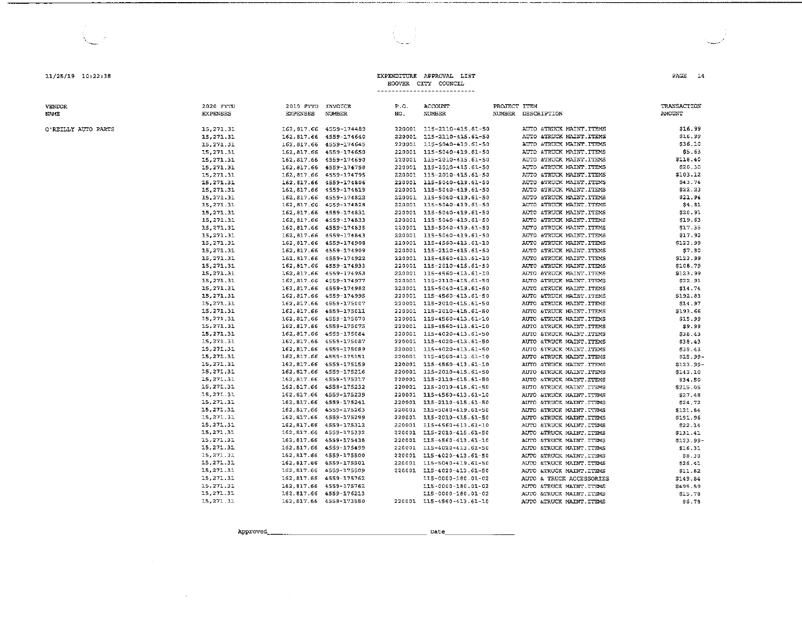11/25/19 10:22:38

**VENDOR MAMP** 

O'REILLY AUTO PARTS

2020 FYTD 2019 FYTD INVOICE  $P \cap$ ACCOUNT PROJECT TTEM **TRANSACTION EXPENSES** EXPENSES NUMBER **NUMBER** NUMBER DESCRIPTION **AMOTIVITY** NO. \$16.99 15, 271, 31 162.817.66 4559-174489 220001 115-2110-415.61-50 AUTO &TRUCK MAINT.ITEMS 15.271.31 162.817.66 4559-174640 220001 115-2110-415.61-50 AUTO &TRUCK MAINT.ITEMS \$16.99 162.817.66 4559-174645 220001 115-5040-419 51-50 \$36.10 15.271.31 AUTO STRUCK MAINT TIEMS 15, 271, 31 162,817.66 4559-174650 220001 115-5040-419.61-50 AUTO &TRUCK MAINT.ITEMS \$5.63 15.271.31 162.817.66 4559-174690 220001 115-2010-415.61-50 AUTO &TRUCK MAINT.ITEMS \$118.40 220001 115-2010-415.61-50 ATTIO CERTICY MATSER TERMS 15, 271.31 162.817.66 4559-174758 eon an 15.271.31 162.817.66 4559-174795 220001 115-2010-415.61-50 AUTO &TRUCK MAINT ITEMS \$103.12 15.271.31 162.817.66 4559-174806 220001 115-5040-419.61-50 AUTO &TRUCK MAINT.ITEMS 543 74 162 817 66 4559-174919 220001 115-5040-419 61-50  $577.73$ 15.271.31 AUTO STRUCK MAINT ITEMS 15.271.31 162,817.66 4559-174822 220001 115-5040-419.61-50 AUTO &TRUCK MAINT.ITEMS \$21.94 15, 271.31 162.817.66 4559-174828 220001 115-5040-419.61-50 AUTO &TRUCK MAINT. ITEMS \$4.81 162.817.66 4559-174831 15.271.31 220001 115-5040-419 51-50 AUTO STRUCK MAINT TURNS \$20.97 15, 271.31 162, 817.66 4559-174833 220001 115-5040-419.61-50 AUTO &TRUCK MAINT.ITEMS \$19.63 15, 271, 31 162.817.66 4559-174835 220001 115-5040-419.61-50 AUTO &TRUCK MAINT.ITEMS \$17.35  $162917668859 - 174843$  $220001 - 115 - 5040 - 419 - 51 - 50$ 15 271 31 ATEC ATELICIA MATNE TERMS  $517.92$ 15.271.31 162,817.66 4559-174908 220001 115-4560-413.61-10 AUTO &TRUCK MAINT. ITEMS \$123.99 15, 271, 31 162,817.66 4559-174909 220001 115-2110-415.61-50 AUTO &TRUCK MAINT . ITEMS \$7.80 162.817.66 4559-174922 15 271 31 220007 715-4560-473 67-70 AUTO ATRUCK MAINT TTEMS \$123.99 15.271.31 162,817.66 4559-174933 220001 115-2010-415.61-50 AUTO &TRUCK MAINT.ITEMS \$108.79 15,271.31  $16221766$   $4559-174953$ 220001 115-4560-413.61-10 AUTO & TRUCK MAINT. ITEMS \$123.99 162 817 66 4559-174977 220001 115-2110-415 61-50 522.91 15.271.31 ALTEO ATTRICK MAINT ITEMS 15, 271.31 162,817.66 4559-174982 220001 115-5040-419.61-50 AUTO &TRUCK MAINT. ITEMS 514.74 15, 271.31 162 817 66 4559-174995 220001 115-4560-413.61-50 AUTO & TRUCK MAINT. ITEMS \$192.83 162.817.66 4559-175007 15 271 31 220001 115-2010-415 61-50 ALTER STRUCK MATNE TERMS \$14.97 162,817.66 4559-175011 15, 271.31 220001 115-2010-415.61-50 AUTO &TRUCK MAINT.ITEMS \$193.66 15, 271.31 162 817 66 4559-175070 220001 115-4560-413.61-10 AUTO &TRUCK MAINT.ITEMS \$15.99 15.271.31 162.817.66 4559-175075 220001 115-4560-413 61-10 ATTIO STRIK'S MATNE TERMS \$9.99 15, 271.31 162,817.66 4559-175084 220001 115-4020-413.61-50 AUTO &TRUCK MAINT.ITEMS \$38.43 15, 271.31 162 817 66 4559-175087 220001 115-4020-413.61-50 AUTO &TRUCK MAINT.ITEMS \$38.43 15.271.31 162.817.66 4559-175089 220001 115-4020-413 61-50 AUTO STRUCK MAINT TTEMS 538 43 162.817.66 4559-175151 15.271.31 220001 115-4560-413.61-10 AUTO &TRUCK MAINT.ITEMS \$15.99-15.271.31 162 817 66 4559-175159 220001 115-4560-413.61-10 AUTO &TRUCK MAINT.ITEMS  $$123.99-$ 15.271.31 162.817.66 4559-175216 220001 115-2010-415 61-50 ATTD CTRICK MATNT TTEMS \$143.10 15, 271, 31 162 817 66 4559-175217 220001 115-2110-415.61-50 AUTO & TRUCK MAINT. ITEMS \$34.50 15.271.31 162 817 66 4559-175232 220001 115-2010-415.61-50 AUTO &TRUCK MAINT . FFEMS \$215.05 15, 271.31 162.817.66 4559-175239 220001 115-4560-413.61-10 AUTO &TRUCK MAINT.ITEMS \$27.48 162, 817.66 4559-175241 15, 271.31 220001 115-2110-415.61-50 AUTO &TRUCK MAINT ITEMS \$24,72 15,271.31 162 817 66 4559-175263 220001 115-5040-419.61-50 AUTO &TRUCK MAINT.ITEMS \$121.84 15.271.31 162 817 66 4559-175299 220003 115-2010-415 61-50 AUTO ATRUCK MAINT TTEMS \$191.96 15,271.31 162, 817.66 4559-175312 220001 115-4560-413.61-10 AUTO &TRUCK MAINT ITEMS \$22.14 15, 271.31 162, 817.66 4559-175332 220001 115-2010-415.61-50 AUTO &TRUCK MAINT.ITEMS \$131.41 15.271.31 162 817 66 4559-175438  $220007 - 115 - 4560 - 413 - 51 - 10$ AUTO &TRUCK MAINT ITEMS \$123.99-15, 271.31 162, 817.66 4559-175499 220001 115-4020-413.61-50 AUTO &TRUCK MAINT.ITEMS  $$16.31$ 15.271.31 162, 817.66 4559-175500 220001 115-4020-413.61-50 AUTO &TRUCK MAINT ITEMS \$8.30 15.271.31 162 817 66 4559-175501 220001 115-5040-419 61-50 AUTO STRUCK MAINT ITEMS \$26.41 15, 271.31 162, 817.66 4559-175509 220001 115-4020-413.61-50 AUTO &TRUCK MAINT.ITEMS \$11.82 15, 271.31 162, 817.66 4559-175762 115-0000-180.01-02 ALUM & TRUCK ACCESSORIES \$149.84 15.271.31 162.817.66 4559-175762 115-0000-180.01-02 AUTO & TRUCK MAINT. ITEMS \$495.59 15,271.31 162,817.66 4559-176213 115-0000-180.01-02 AUTO STRUCK MAINT ITEMS \$15.78 15, 271.31 162,817.66 4559-173880 220001 115-4560-413.61-10 AUTO &TRUCK MAINT. ITEMS 56.78

EXPENDITIER APPROVAL LIST

HOOVER CITY COINCIL 

Approved

Date

PAGE 14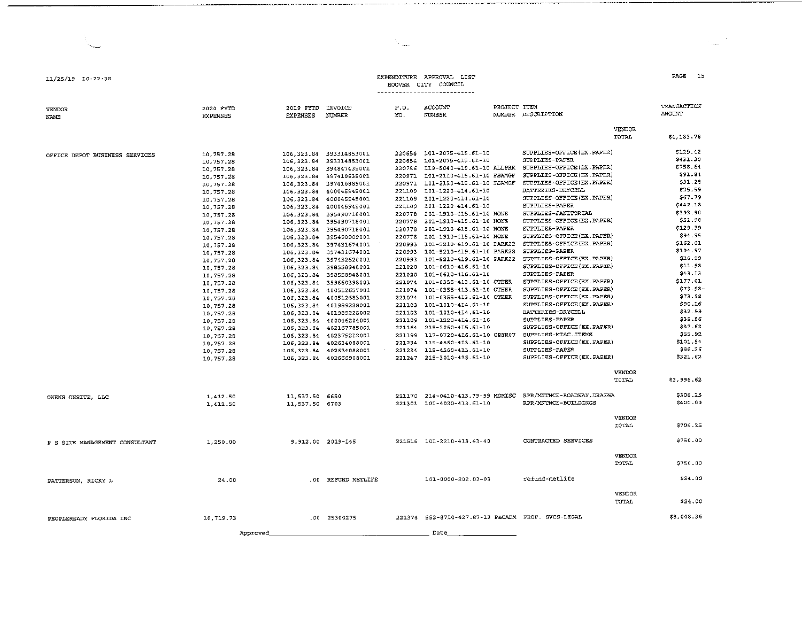2019 FYTD INVOICE

\_\_\_\_\_\_\_\_\_\_\_\_\_\_\_\_\_\_\_\_\_\_\_\_\_ , \_\_\_\_ ,,

2020 FYTD

11./25/19 10,22,38

VENDOR NAME

### EXPENDITURE APPROVAL LIST HOOVER CITY COUNCIL

P.O. ACCOUNT

PROJECT ITEM

OFFICE DEPOT BUSINESS SERVICES OWENS ONSITE, LLC P S SITE MANAGEMENT CONSULTANT EXPENSES :10,757 28 10,757 28 1.0, 757 28 1.0, 757 .2'8 10,757 28 10,757 28 10,757 28 10,757 28 10,757 28 10,757 28 10,757.28 1.0, 757 .28 10,757.28 1.0, 757 .28 1.0, 757 .28 10,757.28 10,757.28 10,757.28 10,757.28 10,757.28 10,757.28 10,757 28 10,757 28 :10,757 28 10.757.28 10,757 28 10.757.28 lO, 757 .28 1,412 50 1,412 50 1,250.00 EXPENSES NUMBER 1.06,323.84 393314,853001. 106,323.84 393314853001. 106,323.84 394847435001. 106,323.84 397410635001 106,323.84 397410889001 106,323.84 400045945001 106,323.84 400045945001 106,323.84 400045945001 106,323 84 395490718001 106,323.84 395490718001 106,323.84 395490718001 106,323.84 395490909001 106,323.84 397431674001 106,323.84 397431674001 106,323.84 397432620001 106,323.84 398558948001 106,323.84 398558948001 106,323.84 399660398003. 106, 323 . 84 400512657001 106,323.84 400512683001 106,323 84 401989228001 106,323 84 401989228002 106,323 84 400046204001 106,323 84 402167785001 106,323 84 402375212001 106,323.84 402634088001 106,323 84 402634088001 106,323.84 402666908001- NO, NUMBER NUMBER DESCRIPTION 220654 101-2075-415. 61-10 SUPPLIES-OFFICE (EX.PAPER)<br>220654 101-2075-415. 61-10 SUPPLIES-PAPER 220654 101-2075-415.61-10 220756 ll9-5040-4l9.61-10 ALLPRK SUPPLIES-OFFICE(EX.PAPER) 220971 101-2110-415.61-10 FSAMGF SUPPLIES-OFFICE(E:X.PAPER) 220971 l.Ol-2110-415.61-10 FSAMGF SUPPLIES-OFFICE(EX.PAPER) 221109 101-1220-414.61-10 BATTERIES-DRYCELL<br>221109 101-1220-414.61-10 SUPPLIES-OFFICE(EX.PAPER) 221109 101-1220-41-4. 61-10 SUPPLIES-OFFICE (EX.PAPER) 221109 lOl-1220-414.61-10 SUPPLIES-PAPER 220778 201-1910-415 61-10 NONE SUPPLIES-JAN"ITORIAL 220778 201-1910-415.61-10 NONE SUPPLIES-OFFICE<br>220778 201-1910-415.61-10 NONE SUPPLIES-PAPER 220778 201-1910-41-5.61-lO NONE SUPPLIES-PAPER 220778 201-1910-415.61-10 NONE 220993 101-5210-419.61-10 PARK22 SUPPLIES-OFFICE(EX.PAPER) 220993 101-5210-419.61-lO PARX22 SUPPLIES-PAPER  $220993$   $101-5210-419.61-10$  PARK22 SUPPLIES-OFFICE(EX.PAPER)<br>221020 101-0610-416 61-10 SUPPLIES-OFFICE(EX.PAPER) 221020 101-0610-416.61-10 SUPPLIES-OFFICE<br>221020 101-0610-416.61-10 SUPPLIES-PAPER 221020 101-0610-416 61-10 Sll-PPLIES-PAPER 221074 101-0355-413.61-10 OTHER 221074 101.-0355-41-3 61-10 OTHER suPPLIES-OFFICE (EX.PAPER) 221074 lOl-0355-413 61-1.0 OTHER SUPPLIES-OFFICE(EX PAPER)  $221103$   $101-1010-414$ ,  $61-10$  SUPPLIES-OFFICE(EX PAPER) 221103 101-1010-414.61-10 BATTERIES-DRYCE<br>221109 101-1220-414 61-10 SUPPLIES-PAPER 221109 101-1220-414.61-10 SUPPLIES-PAPER<br>221164 215-2060-415.61-10 SUPPLIES-OFFICE(EX.PAPER) 221164 215-2060-415.61-10 221199 117-0720-416.61-10 OPER07 SUPPLIES-MISC.ITEMS<br>221234 115-4560-413.61-10 SUPPLIES-OFFICE(EX.PAPER) 221234 115-4560-413.61-10 SUPPLIES-OFFICE<br>221234 115-4560-413.61-10 SUPPLIES-PAPER 221234 115-4560-413.61-10 SUPPLIES-PAPER<br>221247 215-3010-415.61-10 SUPPLIES-OFFICE(EX.PAPER) 221247 215-3010-415.61-10 VENDOR TOTAL VENDOR TOTAL ll,537.50 6650 11,537.50 6703 221170 214-0410-413.79-99 MDMISC RPR/MNTNCE-ROADWAY,DRAINA<br>221301 101-4020-413.61-10 RPR/MNTNCE-BUILDINGS 221301 101-4020-413.61-10 9.912.00 2019-145 221516 101-2210-413.43-40 CONTRACTED SERVICES VENDOR TOTAL VENDOR =oUNT \$4,183.78 \$129.42 \$431.30 \$758. 64 \$91.84 \$91.28 \$25.59 \$67.79 \$442 .18 \$393. 90 \$51. 98 \$129.39 \$94. 95 \$162. 61 \$104. 97 \$26 99 \$11 98 \$43. l3 \$177 01 \$73 98- \$73 98 \$90.16 \$32 - 99 \$35.56 \$37.62 \$55. 92 \$101.54 \$86 26 \$32l.62 \$3,996.62 \$306 25 \$400 00 \$706. 25 \$750.00

PATTERSON, RICKY L PEOPLEREADY FLORIDA INC 24. 00 10.719.73 . 0 0 REFUND METLIFE 101-0000-202. 03-03 refund-metlife .00 25300275 221374 552-8710-427.87-13 P&CADM PROF. SVCS-LEGAL Approved \_\_\_\_\_\_\_\_\_\_\_\_\_\_\_\_\_\_\_ \_ Date \_\_\_\_\_\_\_\_ \_ TOTJIL VENDOR TOTAL \$750.00 \$24. 00 \$24. 00 \$8,048.36

PAGE 15

TRANSACTION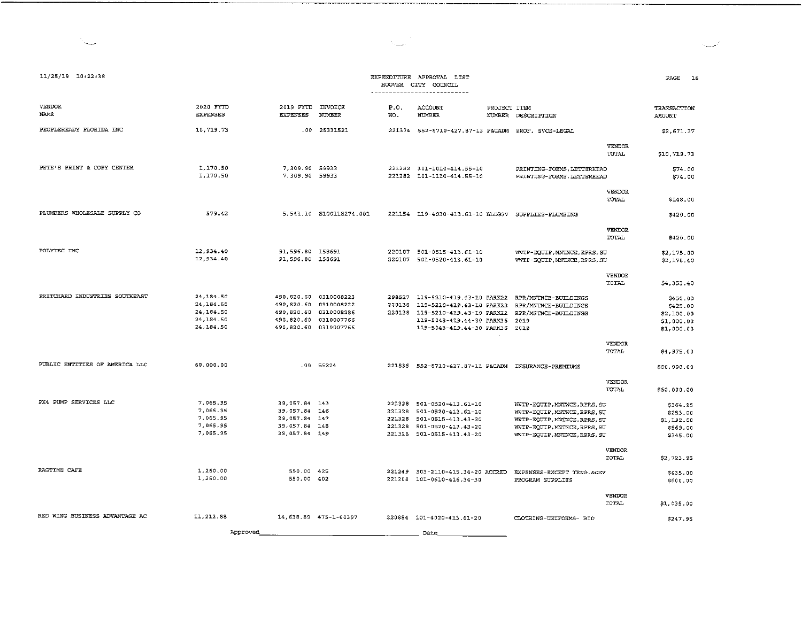| 11/25/19 10:22:38              |                                                                |                                                                                                                           |                         |             | EXPENDITURE APPROVAL LIST<br>HOOVER CITY COUNCIL<br>---------------------------                                                                                                         |                                                                                                                                                              | PAGE<br><b>L6</b>                                              |
|--------------------------------|----------------------------------------------------------------|---------------------------------------------------------------------------------------------------------------------------|-------------------------|-------------|-----------------------------------------------------------------------------------------------------------------------------------------------------------------------------------------|--------------------------------------------------------------------------------------------------------------------------------------------------------------|----------------------------------------------------------------|
| <b>VENDOR</b><br><b>NAME</b>   | 2020 FYTD<br><b>EXPENSES</b>                                   | 2019 FYTD INVOICE<br><b>EXPENSES</b>                                                                                      | <b>NUMBER</b>           | P.O.<br>NO. | ACCOUNT<br><b>NUMBER</b>                                                                                                                                                                | PROJECT ITEM<br>NUMBER DESCRIPTION                                                                                                                           | TRANSACTION<br><b>AMOUNT</b>                                   |
| PEOPLEREADY FLORIDA INC        | 10,719.73                                                      |                                                                                                                           | .00 25331521            |             | 221374  552-8710-427.87-13  P&CADM  PROF. SVCS-LEGAL                                                                                                                                    |                                                                                                                                                              | \$2,671.37                                                     |
|                                |                                                                |                                                                                                                           |                         |             |                                                                                                                                                                                         | <b>VENDOR</b><br>TOTAL                                                                                                                                       | \$10,719.73                                                    |
| PETE S PRINT & COPY CENTER     | 1,170.50<br>1,170.50                                           | 7,309.90 59933<br>7,309.90 59933                                                                                          |                         |             | 221282 101-1010-414.55-10<br>221282 101-1110-414.55-10                                                                                                                                  | PRINTING-FORMS, LETTERHEAD<br>PRINTING-FORMS, LETTERHEAD                                                                                                     | 574.00<br>\$74.00                                              |
|                                |                                                                |                                                                                                                           |                         |             |                                                                                                                                                                                         | <b>VENDOR</b><br>TOTAL                                                                                                                                       | \$148.00                                                       |
| PLUMBERS WHOLESALE SUPPLY CO   | 579.42                                                         |                                                                                                                           | 5,541.14 S100118274.001 |             | 221154 119-4030-413.61-10 BLDGSV SUPPLIES-PLUMBING                                                                                                                                      |                                                                                                                                                              | \$420.00                                                       |
|                                |                                                                |                                                                                                                           |                         |             |                                                                                                                                                                                         | <b>VENDOR</b><br>TOTAL.                                                                                                                                      | \$420.00                                                       |
| POLYTEC INC                    | 12,934.40<br>12, 934.40                                        | 91,596.80 158691<br>91,596.80 158691                                                                                      |                         |             | 220107 501-0515-413.61-10<br>220107 501-0520-413.61-10                                                                                                                                  | WWTP-EQUIP, MNTNCE, RPRS, SU<br>WWTP-EQUIP, MNTNCE, RPRS, SU                                                                                                 | \$2,175.00<br>\$2,178.40                                       |
|                                |                                                                |                                                                                                                           |                         |             |                                                                                                                                                                                         | <b>VENDOR</b><br>TOTAL                                                                                                                                       | \$4,353.40                                                     |
| PRITCHARD INDUSTRIES SOUTHEAST | 24 184.50<br>24, 184.50<br>24.184.50<br>24,184.50<br>24,184.50 | 490,820.60 0310008223<br>490,820.60 0310008222<br>490,820.60 0310008286<br>490.820.60 0310007766<br>490,820.60 0310007766 |                         |             | 298527 119-5210-419.43-10 PARK22 RPR/MNTNCE-BUILDINGS<br>220138 119-5210-419.43-10 PARK22<br>220138 119-5210-419.43-10 PARK22<br>119-5043-419.44-30 PARK36<br>119-5043-419.44-30 PARK36 | RPR/MNTNCE-BUILDINGS<br>RPR/MNTNCE-BUILDINGS<br>2019<br>2019                                                                                                 | \$450.00<br>\$425.00<br>\$2,100.00<br>\$1,000.00<br>\$1,000.00 |
|                                |                                                                |                                                                                                                           |                         |             |                                                                                                                                                                                         | <b>VENDOR</b><br>TOTAL                                                                                                                                       | \$4,975.00                                                     |
| PUBLIC ENTITIES OF AMERICA LLC | 60,000.00                                                      |                                                                                                                           | $.00$ 55224             |             | 221535  552-8710-427.87-11  P&CADM  INSURANCE-PREMIUMS                                                                                                                                  |                                                                                                                                                              | \$60,000.00                                                    |
|                                |                                                                |                                                                                                                           |                         |             |                                                                                                                                                                                         | <b>VENDOR</b><br><b>TOTAL</b>                                                                                                                                | \$60,000.00                                                    |
| PX4 PUMP SERVICES LLC          | 7.065.95<br>7,065.95<br>7,065.95<br>7,065.95<br>7.065.95       | 39,057.84 143<br>39,057.84 146<br>39,057.84 147<br>39,057.84 148<br>39.057.84 149                                         |                         |             | 221328 501-0520-413.61-10<br>221328 501-0520-413.61-10<br>221328 501-0515-413.43-20<br>221328 501-0520-413.43-20<br>221328 501-0515-413.43-20                                           | WWTP-EQUIP, MNTNCE, RPRS, SU<br>WWTP-EQUIP, MNTNCE, RPRS, SU<br>WWTP-EQUIP, MNTNCE, RPRS, SU<br>WWTP-EQUIP, MNTNCE, RPRS, SU<br>WWTP-EQUIP, MNTNCE, RPRS, SU | \$364.95<br>\$253.00<br>\$1,192.00<br>\$569.00<br>\$345.00     |
|                                |                                                                |                                                                                                                           |                         |             |                                                                                                                                                                                         | <b>VENDOR</b><br>TOTAL                                                                                                                                       | \$2,723.95                                                     |
| RAGTIME CAFE                   | 1,260.00<br>1,260.00                                           | 550.00 425<br>550.00 402                                                                                                  |                         |             | 221249 303-2110-415.34-20 ACCRED<br>221208 101-0610-416.34-30                                                                                                                           | EXPENSES-EXCEPT TRNG. &DEV<br>PROGRAM SUPPLIES                                                                                                               | \$435.00<br>\$600.00                                           |
|                                |                                                                |                                                                                                                           |                         |             |                                                                                                                                                                                         | VENDOR<br>TOTAL                                                                                                                                              | \$1,035.00                                                     |
| RED WING BUSINESS ADVANTAGE AC | 11, 212.88                                                     |                                                                                                                           | 14,638.89 475-1-60397   |             | 220884 101-4020-413.61-20                                                                                                                                                               | CLOTHING-UNIFORMS- BID                                                                                                                                       | \$247.95                                                       |
|                                | Approved                                                       |                                                                                                                           |                         |             | Date                                                                                                                                                                                    |                                                                                                                                                              |                                                                |

 $\sum_{i=1}^n \frac{1}{i}$ 

--·-·····---------------------------------

أتمست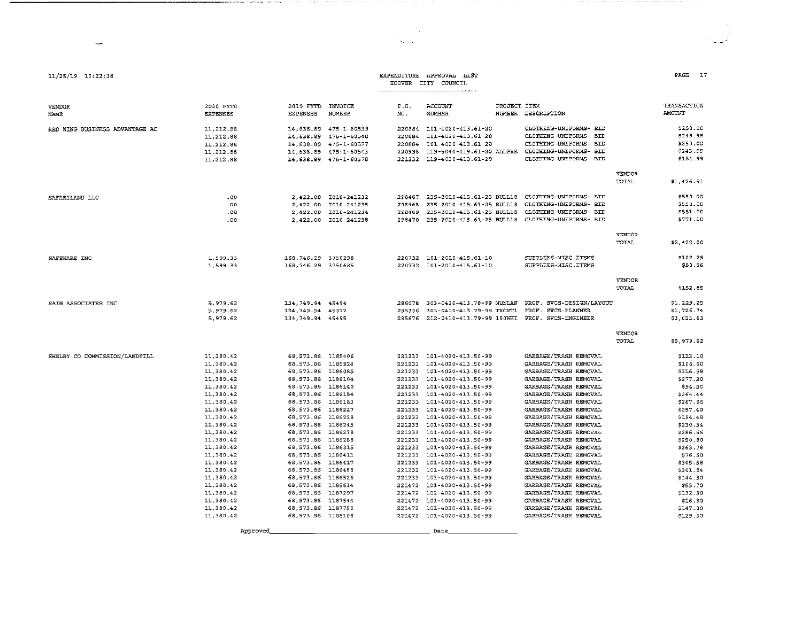| 11/25/19 10:22:38              |                                                                                                                                                                                                                                                                                            |                                                                                                                                                                                                                                                                                                                                                                                                                                                                              |                                                                                                                            |                                                                                                            | EXPENDITURE APPROVAL LIST<br>HOOVER CITY COUNCIL<br>--------------------------                                                                                                                                                                                                                                                                                                                                                                                                                                                                                                |                                                                                                                                                                                                                                                                                                                                                                                                                                                                                                                                                                           |                        | PAGE<br>- 17                                                                                                                                                                                                                                                     |
|--------------------------------|--------------------------------------------------------------------------------------------------------------------------------------------------------------------------------------------------------------------------------------------------------------------------------------------|------------------------------------------------------------------------------------------------------------------------------------------------------------------------------------------------------------------------------------------------------------------------------------------------------------------------------------------------------------------------------------------------------------------------------------------------------------------------------|----------------------------------------------------------------------------------------------------------------------------|------------------------------------------------------------------------------------------------------------|-------------------------------------------------------------------------------------------------------------------------------------------------------------------------------------------------------------------------------------------------------------------------------------------------------------------------------------------------------------------------------------------------------------------------------------------------------------------------------------------------------------------------------------------------------------------------------|---------------------------------------------------------------------------------------------------------------------------------------------------------------------------------------------------------------------------------------------------------------------------------------------------------------------------------------------------------------------------------------------------------------------------------------------------------------------------------------------------------------------------------------------------------------------------|------------------------|------------------------------------------------------------------------------------------------------------------------------------------------------------------------------------------------------------------------------------------------------------------|
| <b>VENDOR</b><br><b>NAME</b>   | 2020 FYTD<br><b>EXPENSES</b>                                                                                                                                                                                                                                                               | 2019 FYTD INVOICE<br><b>EXPENSES</b>                                                                                                                                                                                                                                                                                                                                                                                                                                         | <b>NUMBER</b>                                                                                                              | P.O.<br>NO.                                                                                                | ACCOUNT<br><b>NUMBER</b>                                                                                                                                                                                                                                                                                                                                                                                                                                                                                                                                                      | PROJECT ITEM<br>NUMBER DESCRIPTION                                                                                                                                                                                                                                                                                                                                                                                                                                                                                                                                        |                        | TRANSACTION<br>AMOUNT                                                                                                                                                                                                                                            |
| RED WING BUSINESS ADVANTAGE AC | 11, 212.88<br>11.212.88<br>11, 212.88<br>11, 212.88<br>11, 212.88                                                                                                                                                                                                                          |                                                                                                                                                                                                                                                                                                                                                                                                                                                                              | 14,638.89 475-1-60539<br>14,638.89 475-1-60548<br>14,638.89 475-1-60577<br>14.638.89 475-1-60543<br>14, 638.89 475-1-60578 | 220998<br>221232                                                                                           | 220884 101-4020-413.61-20<br>220884 101-4020-413.61-20<br>220884 101-4020-413.61-20<br>119-5040-419.61-20 ALLPRK<br>119-4030-413.61-20                                                                                                                                                                                                                                                                                                                                                                                                                                        | CLOTHING-UNIFORMS- BID<br>CLOTHING-UNIFORMS- BID<br>CLOTHING-UNIFORMS- BID<br>CLOTHING-UNIFORMS- BID<br>CLOTHING-UNIFORMS- BID                                                                                                                                                                                                                                                                                                                                                                                                                                            |                        | \$250.00<br>\$249.98<br>\$250.00<br>\$243.99<br>\$184.99                                                                                                                                                                                                         |
|                                |                                                                                                                                                                                                                                                                                            |                                                                                                                                                                                                                                                                                                                                                                                                                                                                              |                                                                                                                            |                                                                                                            |                                                                                                                                                                                                                                                                                                                                                                                                                                                                                                                                                                               |                                                                                                                                                                                                                                                                                                                                                                                                                                                                                                                                                                           | VENDOR<br><b>TOTAL</b> | \$1,426.91                                                                                                                                                                                                                                                       |
| SAFARILAND LLC                 | .00.<br>.00<br>.00<br>.00                                                                                                                                                                                                                                                                  |                                                                                                                                                                                                                                                                                                                                                                                                                                                                              | 2,422.00 I010-241232<br>2,422.00 T010-241235<br>2,422.00 IO10-241234<br>2,422.00 I010-241238                               | 293468<br>298469<br>298470                                                                                 | 298467 235-2010-415.61-25 BULL18<br>235-2010-415.61-25 BULL18<br>235-2010-415.61-25 BULL18<br>235-2010-415.61-25 BULL18                                                                                                                                                                                                                                                                                                                                                                                                                                                       | CLOTHING-UNIFORMS- BID<br>CLOTHING-UNIFORMS- BID<br>CLOTHING-UNIFORMS- BID<br>CLOTHING-UNIFORMS- BID                                                                                                                                                                                                                                                                                                                                                                                                                                                                      |                        | \$550.00<br>\$550.00<br>\$551.00<br>\$771.00                                                                                                                                                                                                                     |
|                                |                                                                                                                                                                                                                                                                                            |                                                                                                                                                                                                                                                                                                                                                                                                                                                                              |                                                                                                                            |                                                                                                            |                                                                                                                                                                                                                                                                                                                                                                                                                                                                                                                                                                               |                                                                                                                                                                                                                                                                                                                                                                                                                                                                                                                                                                           | <b>VENDOR</b><br>TOTAL | \$2,422.00                                                                                                                                                                                                                                                       |
| SAFEWARE INC                   | 1,599.33<br>1,599.33                                                                                                                                                                                                                                                                       | 168,746.29 3750298<br>168,746.29 3750685                                                                                                                                                                                                                                                                                                                                                                                                                                     |                                                                                                                            |                                                                                                            | 220732 101-2010-415.61-10<br>220732 101-2010-415.61-10                                                                                                                                                                                                                                                                                                                                                                                                                                                                                                                        | SUPPLIES-MISC.ITEMS<br>SUPPLIES-MISC.ITEMS                                                                                                                                                                                                                                                                                                                                                                                                                                                                                                                                |                        | \$102.29<br>\$50.56                                                                                                                                                                                                                                              |
|                                |                                                                                                                                                                                                                                                                                            |                                                                                                                                                                                                                                                                                                                                                                                                                                                                              |                                                                                                                            |                                                                                                            |                                                                                                                                                                                                                                                                                                                                                                                                                                                                                                                                                                               |                                                                                                                                                                                                                                                                                                                                                                                                                                                                                                                                                                           | <b>VENDOR</b><br>TOTAL | \$152.85                                                                                                                                                                                                                                                         |
| SAIN ASSOCIATES INC            | 5,979.62<br>5,979.62<br>5,979.62                                                                                                                                                                                                                                                           | 134,749.94 45494<br>134,749.94 45372<br>134,749.94 45495                                                                                                                                                                                                                                                                                                                                                                                                                     |                                                                                                                            |                                                                                                            | 286078 303-0420-413.78-99 MUNLAN<br>295336 303-0410-413.79-99 TRCRT1                                                                                                                                                                                                                                                                                                                                                                                                                                                                                                          | PROF. SVCS-DESIGN/LAYOUT<br>PROF. SVCS-PLANNER<br>295676 212-0410-413.79-99 150WHI PROF. SVCS-ENGINEER                                                                                                                                                                                                                                                                                                                                                                                                                                                                    |                        | \$1,229.25<br>\$1,726.74<br>\$3,023.63                                                                                                                                                                                                                           |
|                                |                                                                                                                                                                                                                                                                                            |                                                                                                                                                                                                                                                                                                                                                                                                                                                                              |                                                                                                                            |                                                                                                            |                                                                                                                                                                                                                                                                                                                                                                                                                                                                                                                                                                               |                                                                                                                                                                                                                                                                                                                                                                                                                                                                                                                                                                           | VENDOR<br><b>TOTAL</b> | \$5,979.62                                                                                                                                                                                                                                                       |
| SHELBY CO COMMISSION/LANDFILL  | 11,380.42<br>11,380.42<br>11,380.42<br>11,380.42<br>11,380.42<br>11,380.42<br>11,380.42<br>11.380.42<br>11,380.42<br>11.380.42<br>11,380.42<br>11,380.42<br>11,380.42<br>11,380.42<br>11,380.42<br>11,380.42<br>11,380.42<br>11,380.42<br>11,380.42<br>11,380.42<br>11 380.42<br>11,380.42 | 68,573.86 1185406<br>68,573.86 1185924<br>68,573.86 1186085<br>68,573.86 1186104<br>68,573.86 1186140<br>68,573.86 1186154<br>68,573.86 L186183<br>68,573.86 1186227<br>68,573.86 1186228<br>68, 573.86 1186245<br>68,573.86 1186278<br>68,573.86 1186288<br>68,573.86 1186315<br>68,573.86 1186411<br>68,573.86 1186417<br>68.573.86 1186488<br>68,573.86 1186526<br>68,573.86 1185614<br>68,573.86 1187297<br>68,573.86 1187544<br>68, 573.86 1187750<br>68,573.86 1188108 |                                                                                                                            | 221233<br>221233<br>221233<br>221233<br>221233<br>221233<br>221233<br>221233<br>221233<br>221233<br>221472 | 221233 101-4020-413.50-99<br>221233 101-4020-413.50-99<br>101-4020-413.50-99<br>221233 101-4020-413.50-99<br>221233 101-4020-413.50-99<br>221233 101-4020-413.50-99<br>101-4020-413.50-99<br>101-4020-413.50-99<br>101-4020-413.50-99<br>101-4020-413.50-99<br>101-4020-413.50-99<br>101-4020-413.50-99<br>221233 101-4020-413.50-99<br>101-4020-413.50-99<br>101-4020-413.50-99<br>101-4020-413.50-99<br>221233 101-4020-413.50-99<br>221472 101-4020-413.50-99<br>221472 101-4020-413.50-99<br>221472 101-4020-413.50-99<br>101-4020-413.50-99<br>221472 101-4020-413.50-99 | GARBAGE/TRASH REMOVAL<br>GARBAGE/TRASH REMOVAL<br>GARBAGE/TRASH REMOVAL<br>GARBAGE/TRASH REMOVAL<br>GARBAGE/TRASH REMOVAL<br>GARBAGE/TRASH REMOVAL<br>GARBAGE/TRASH REMOVAL<br>GARBAGE/TRASH REMOVAL<br>GARBAGE/TRASH REMOVAL<br>GARBAGE/TRASH REMOVAL<br>GARBAGE/TRASH REMOVAL<br>GARBAGE/TRASH REMOVAL<br>GARBAGE/TRASH REMOVAL<br>GARBAGE/TRASH REMOVAL<br>GARBAGE/TRASH REMOVAL<br><b>GARBAGE/TRASH REMOVAL</b><br>GARBAGE/TRASH REMOVAL<br>GARBAGE/TRASH REMOVAL<br>GARBAGE/TRASH REMOVAL<br>GARBAGE/TRASH REMOVAL<br>GARBAGE/TRASH REMOVAL<br>GARBAGE/TRASH REMOVAL |                        | \$113.10<br>\$108.60<br>\$316.58<br>\$277.20<br>\$94.50<br>\$264.44<br>\$267.96<br>\$257.40<br>\$194.48<br>\$230.34<br>\$286.66<br>\$250.80<br>\$263.78<br>\$76.50<br>\$305.58<br>\$301.84<br>\$144.30<br>\$53.70<br>\$132.30<br>\$16.80<br>\$147.00<br>\$129.30 |
|                                | Approved                                                                                                                                                                                                                                                                                   |                                                                                                                                                                                                                                                                                                                                                                                                                                                                              |                                                                                                                            |                                                                                                            | Date                                                                                                                                                                                                                                                                                                                                                                                                                                                                                                                                                                          |                                                                                                                                                                                                                                                                                                                                                                                                                                                                                                                                                                           |                        |                                                                                                                                                                                                                                                                  |

the company of the company of the company of the

 $\sim 100$  $\mathcal{O}_{\mathcal{O}_{\mathbf{m}}(\mathbf{m},\mathbf{m})}$ 

 $\sim$ 

The contract contract and many of the context that the constraints according to the contract the contract of the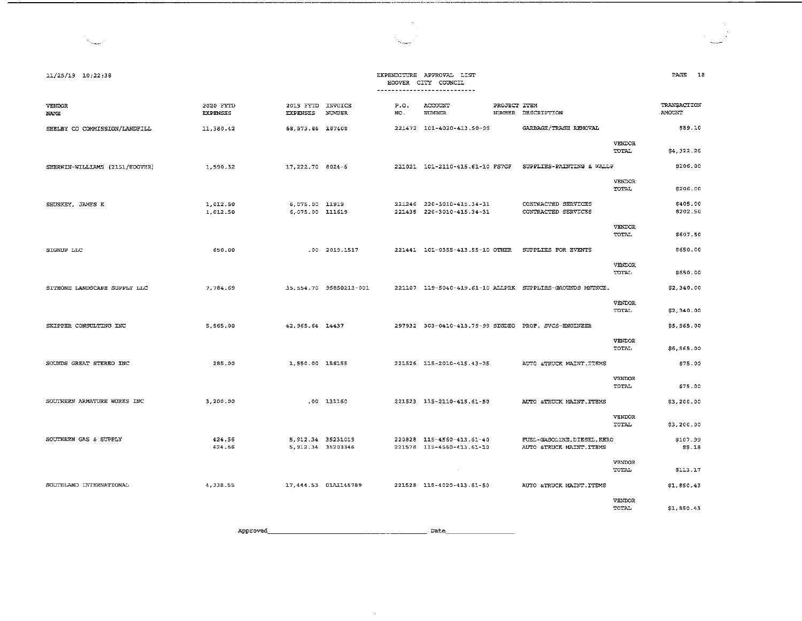| 11/25/19 10:22:38              |                              |                                          |                        |             | EXPENDITURE APPROVAL LIST<br>HOOVER CITY COUNCIL<br>---------------------------- |              |                                                           |                               | PAGE 18                      |
|--------------------------------|------------------------------|------------------------------------------|------------------------|-------------|----------------------------------------------------------------------------------|--------------|-----------------------------------------------------------|-------------------------------|------------------------------|
| VENDOR<br><b>NAME</b>          | 2020 FYTD<br><b>EXPENSES</b> | 2019 FYTD INVOICE<br><b>EXPENSES</b>     | <b>NUMBER</b>          | P.O.<br>NO. | ACCOUNT<br><b>NUMBER</b>                                                         | PROJECT ITEM | NUMBER DESCRIPTION                                        |                               | TRANSACTION<br><b>AMOUNT</b> |
| SHELBY CO COMMISSION/LANDFILL  | 11,380.42                    | 68, 573. 86 187408                       |                        |             | 221472 101-4020-413.50-99                                                        |              | GARBAGE/TRASH REMOVAL                                     |                               | \$89.10                      |
|                                |                              |                                          |                        |             |                                                                                  |              |                                                           | VENDOR<br>TOTAL               | \$4,322.26                   |
| SHERWIN-WILLIAMS (2151/HOOVER) | 1,590.32                     | 17,222.70 8024-6                         |                        |             | 221021 101-2110-415.61-10 FS7GF                                                  |              | SUPPLIES-PAINTING & WALLP                                 |                               | \$206.00                     |
|                                |                              |                                          |                        |             |                                                                                  |              |                                                           | VENDOR<br>TOTAL               | \$206.00                     |
| SHUSKEY, JAMES K               | 1,012.50<br>1,012.50         | 6,075.00 11919<br>6,075.00 111619        |                        |             | 221246 220-3010-415.34-31<br>221435 220-3010-415.34-31                           |              | CONTRACTED SERVICES<br>CONTRACTED SERVICES                |                               | \$405.00<br>\$202.50         |
|                                |                              |                                          |                        |             |                                                                                  |              |                                                           | VENDOR<br>TOTAL               | \$607.50                     |
| SIGNUP LLC                     | 650.00                       |                                          | .00 2019.1517          |             | 221441 101-0355-413.55-10 OTHER                                                  |              | SUPPLIES FOR EVENTS                                       |                               | \$650.00                     |
|                                |                              |                                          |                        |             |                                                                                  |              |                                                           | <b>VENDOR</b><br>TOTAL        | \$650.00                     |
| SITEONE LANDSCAPE SUPPLY LLC   | 7.784.69                     |                                          | 35,554.70 95850213-001 |             |                                                                                  |              | 221107 119-5040-419.61-10 ALLPRK SUPPLIES-GROUNDS MNTNCE. |                               | \$2,340.00                   |
|                                |                              |                                          |                        |             |                                                                                  |              |                                                           | <b>VENDOR</b><br>TOTAL        | \$2,340.00                   |
| SKIPPER CONSULTING INC         | 5,565.00                     | 42.965.64 14437                          |                        |             |                                                                                  |              | 297932 303-0410-413.79-99 SIGDEO PROF. SVCS-ENGINEER      |                               | \$5,565.00                   |
|                                |                              |                                          |                        |             |                                                                                  |              |                                                           | <b>VENDOR</b><br><b>TOTAL</b> | \$5,565.00                   |
| SOUNDS GREAT STEREO INC        | 285.00                       | 1,550.00 156155                          |                        |             | 221526 115-2010-415.43-25                                                        |              | AUTO & TRUCK MAINT. ITEMS                                 |                               | \$75.00                      |
|                                |                              |                                          |                        |             |                                                                                  |              |                                                           | VENDOR<br>TOTAL               | \$75.00                      |
| SOUTHERN ARMATURE WORKS INC    | 3,200.00                     |                                          | .00 131160             |             | 221523 115-2110-415.61-50                                                        |              | AUTO &TRUCK MAINT ITEMS                                   |                               | \$3,200.00                   |
|                                |                              |                                          |                        |             |                                                                                  |              |                                                           | VENDOR<br>TOTAL               | \$3,200.00                   |
| SOUTHERN GAS & SUPPLY          | 424.56<br>424.56             | 5, 912.34 35231019<br>5, 912.34 35203346 |                        |             | 220828 115-4560-413.61-40<br>221578 115-4560-413.61-10                           |              | FUEL-GASOLINE, DIESEL, KERO<br>AUTO &TRUCK MAINT. ITEMS   |                               | \$107.99<br>55.18            |
|                                |                              |                                          |                        |             |                                                                                  |              |                                                           | <b>VENDOR</b><br>TOTAL        | \$113.17                     |
| SOUTHLAND INTERNATIONAL        | 4,338.55                     | 17,444.53 01AI146789                     |                        |             | 221528 115-4020-413.61-50                                                        |              | AUTO &TRUCK MAINT. ITEMS                                  |                               | \$1,850.43                   |
|                                |                              |                                          |                        |             |                                                                                  |              |                                                           | VENDOR                        |                              |

السيالا

TOTAL \$1,850.43

Approved~------------------- Date \_\_\_\_\_\_\_\_ \_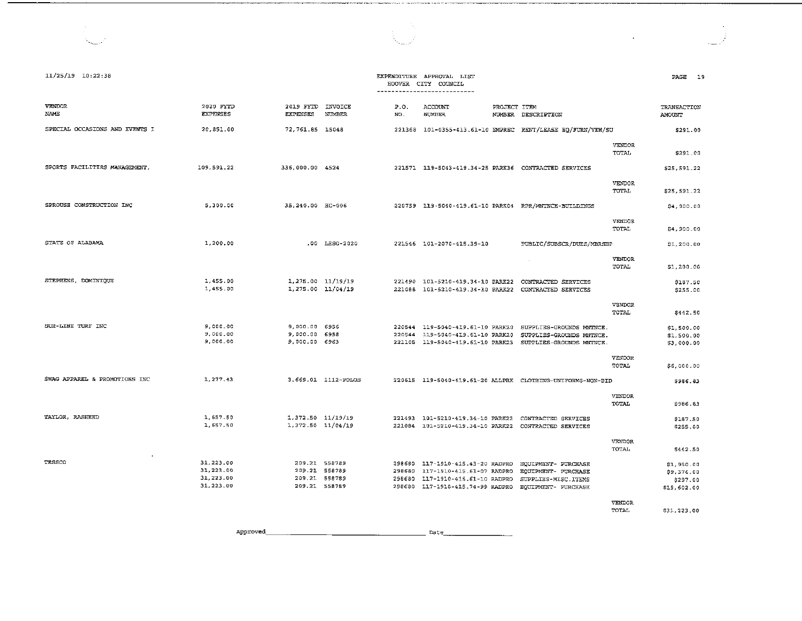| $11/25/19$ $10:22:38$          |                                                  |                                                                  |                     |             | EXPENDITURE APPROVAL LIST<br>HOOVER CITY COUNCIL<br>---------------------------                                                       |              |                                                                                                              |                        | PAGE 19                                             |
|--------------------------------|--------------------------------------------------|------------------------------------------------------------------|---------------------|-------------|---------------------------------------------------------------------------------------------------------------------------------------|--------------|--------------------------------------------------------------------------------------------------------------|------------------------|-----------------------------------------------------|
| <b>VENDOR</b><br>NAME          | 2020 FYTD<br><b>EXPENSES</b>                     | 2019 FYTD INVOICE<br><b>EXPENSES</b>                             | NUMBER              | P.O.<br>NO. | ACCOUNT<br><b>NUMBER</b>                                                                                                              | PROJECT ITEM | NUMBER DESCRIPTION                                                                                           |                        | TRANSACTION<br>AMOUNT                               |
| SPECIAL OCCASIONS AND EVENTS I | 20,851.00                                        | 72,761.85 15048                                                  |                     |             |                                                                                                                                       |              | 221368 101-0355-413.61-10 EMPREC RENT/LEASE EQ/FURN/VEH/SU                                                   |                        | \$291.00                                            |
|                                |                                                  |                                                                  |                     |             |                                                                                                                                       |              |                                                                                                              | <b>VENDOR</b><br>TOTAL | \$291.00                                            |
| SPORTS FACILITIES MANAGEMENT.  | 109,591.22                                       | 336,000.00 4524                                                  |                     |             |                                                                                                                                       |              | 221571 119-5043-419.34-25 PARK36 CONTRACTED SERVICES                                                         |                        | \$25,591.22                                         |
|                                |                                                  |                                                                  |                     |             |                                                                                                                                       |              |                                                                                                              | VENDOR<br>TOTAL        | \$25,591.22                                         |
| SPROUSE CONSTRUCTION INC       | 5,300.00                                         | 35,240.00 HC-006                                                 |                     |             |                                                                                                                                       |              | 220759 119-5040-419.61-10 PARK04 RPR/MNTNCE-BUILDINGS                                                        |                        | \$4,900.00                                          |
|                                |                                                  |                                                                  |                     |             |                                                                                                                                       |              |                                                                                                              | VENDOR<br>TOTAL        | \$4,900.00                                          |
| STATE OF ALABAMA               | 1,200.00                                         |                                                                  | .00 LESO-2020       |             | 221546 101-2070-415.39-10                                                                                                             |              | PUBLIC/SUBSCR/DUES/MBRSHP                                                                                    |                        | \$1,200.00                                          |
|                                |                                                  |                                                                  |                     |             |                                                                                                                                       |              |                                                                                                              | VENDOR<br>TOTAL        | \$1,200.00                                          |
| STEPHENS, DOMINIQUE            | 1,455.00<br>1,455.00                             | $1,275.00$ $11/19/19$<br>1,275.00 11/04/19                       |                     |             | 221490 101-5210-419.34-10 PARK22                                                                                                      |              | CONTRACTED SERVICES                                                                                          |                        | \$187.50<br>\$255.00                                |
|                                |                                                  |                                                                  |                     |             |                                                                                                                                       |              |                                                                                                              | VENDOR<br>TOTAL        | \$442.50                                            |
| SUR-LINE TURF INC              | 9,000.00<br>9,000.00<br>9,000.00                 | 9,000.00 6956<br>9,000.00 6958<br>9,000.00 6963                  |                     | 220544      | 220544 119-5040-419.61-10 PARK20<br>119-5040-419.61-10 PARK20<br>221105 119-5040-419.61-10 PARK23                                     |              | SUPPLIES-GROUNDS MNTNCE.<br>SUPPLIES-GROUNDS MNTNCE.<br>SUPPLIES-GROUNDS MNTNCE.                             |                        | \$1,500.00<br>\$1,500.00<br>\$3,000.00              |
|                                |                                                  |                                                                  |                     |             |                                                                                                                                       |              |                                                                                                              | VENDOR<br>TOTAL        | \$6,000.00                                          |
| SWAG APPAREL & PROMOTIONS INC  | 1,277.43                                         |                                                                  | 3,669.01 1112-POLOS |             |                                                                                                                                       |              | 220615 119-5040-419.61-20 ALLPRK CLOTHING-UNIFORMS-NON-BID                                                   |                        | \$986.83                                            |
|                                |                                                  |                                                                  |                     |             |                                                                                                                                       |              |                                                                                                              | VENDOR<br>TOTAL        | \$986.83                                            |
| TAYLOR, RASHEED                | 1,657.50<br>1,657.50                             | 1,372.50 11/19/19<br>$1,372.50$ $11/04/19$                       |                     |             |                                                                                                                                       |              | 221493 101-5210-419.34-10 PARK22 CONTRACTED SERVICES<br>221084 101-5210-419.34-10 PARK22 CONTRACTED SERVICES |                        | \$187.50<br>\$255.00                                |
|                                |                                                  |                                                                  |                     |             |                                                                                                                                       |              |                                                                                                              | <b>VENDOR</b><br>TOTAL | \$442.50                                            |
| TESSCO                         | 31,223.00<br>31,223.00<br>31,223.00<br>31,223.00 | 209.21 558789<br>209.21 558789<br>209.21 558789<br>209.21 558789 |                     | 298680      | 298680 117-1910-415.43-20 RADPRO<br>117-1910-415.61-07 RADPRO<br>298680 117-1910-415.61-10 RADPRO<br>298680 117-1910-415.74-99 RADPRO |              | EQUIPMENT - PURCHASE<br>EQUIPMENT- PURCHASE<br>SUPPLIES-MISC. ITEMS<br><b>EQUIPMENT- PURCHASE</b>            | VENDOR                 | \$1,950.00<br>\$9,374.00<br>\$297.00<br>\$19,602.00 |

TOTAL \$31,223.00

 $\sim$ 

Approved\_  $Date$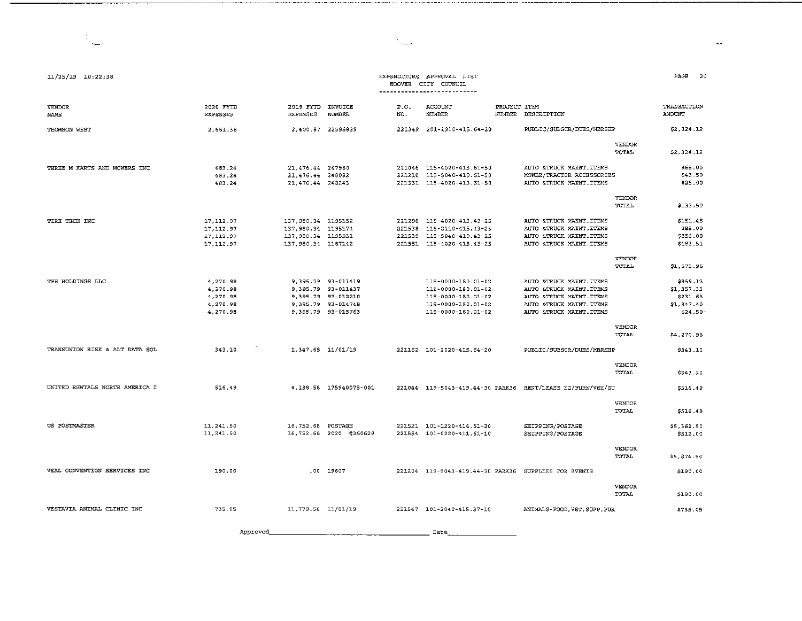| PAGE | 20 |
|------|----|
|      |    |

المساد

#### EXPENDITURE APPROVAL LIST HOOVER CITY COUNCIL ---------------------------

t,

and in

| <b>VENDOR</b><br>NAME          | 2020 FYTD<br><b>EXPENSES</b>                             | 2019 FYTD<br><b>EXPENSES</b>                                                          | INVOICE<br><b>NUMBER</b>                                                                                   | P.O.<br>NO. | ACCOUNT<br>NUMBER                                                                                          | PROJECT ITEM | NUMBER DESCRIPTION                                                                                                                        |                        | TRANSACTION<br><b>AMOUNT</b>                                |
|--------------------------------|----------------------------------------------------------|---------------------------------------------------------------------------------------|------------------------------------------------------------------------------------------------------------|-------------|------------------------------------------------------------------------------------------------------------|--------------|-------------------------------------------------------------------------------------------------------------------------------------------|------------------------|-------------------------------------------------------------|
| THOMSON WEST                   | 2,661.38                                                 | 2,400.87 22595839                                                                     |                                                                                                            |             | 221349 201-1910-415.64-20                                                                                  |              | PUBLIC/SUBSCR/DUES/MBRSHP                                                                                                                 |                        | \$2,324.12                                                  |
|                                |                                                          |                                                                                       |                                                                                                            |             |                                                                                                            |              |                                                                                                                                           | VENDOR<br>TOTAL        | \$2,324.12                                                  |
| THREE M KARTS AND MOWERS INC   | 483.24<br>483.24<br>483.24                               | 21,476.44 247980<br>21,476.44 248082<br>21.476.44 248243                              |                                                                                                            | 221210      | 221046 115-4020-413.61-50<br>115-5040-419.61-50<br>221331 115-4020-413.61-50                               |              | AUTO &TRUCK MAINT. ITEMS<br>MOWER/TRACTOR ACCESSORIES<br>AUTO &TRUCK MAINT. ITEMS                                                         |                        | \$65.00<br>\$43.50<br>\$25.00                               |
|                                |                                                          |                                                                                       |                                                                                                            |             |                                                                                                            |              |                                                                                                                                           | VENDOR<br>TOTAL        | \$133.50                                                    |
| TIRE TECH INC                  | 17, 112.97<br>17.112.97<br>17, 112.97<br>17.112.97       | 137,980.34 1195152<br>137,980.34 1195174<br>137, 980.34 1195931<br>137.980.34 1187142 |                                                                                                            | 221538      | 221290 115-4020-413.43-25<br>115-2110-415.43-25<br>221539 115-5040-419.43-25<br>221551 115-4020-413.43-25  |              | AUTO &TRUCK MAINT. ITEMS<br>AUTO &TRUCK MAINT. ITEMS<br><b>&amp;TRUCK MAINT.ITEMS</b><br>AUTO<br><b>&amp;TRUCK MAINT.ITEMS</b><br>AUTO    |                        | \$151.45<br>\$85.00<br>\$856.00<br>\$483.51                 |
|                                |                                                          |                                                                                       |                                                                                                            |             |                                                                                                            |              |                                                                                                                                           | VENDOR<br>TOTAL        | \$1,575.96                                                  |
| TPH HOLDINGS LLC               | 4,270.98<br>4.270.98<br>4,270.98<br>4 270 98<br>4.270.98 |                                                                                       | 9,395.79 93-011419<br>9.395.79 93-011437<br>9,395.79 93-012210<br>9.395.79 93-014748<br>9.395.79 93-015763 |             | 115-0000-180.01-02<br>115-0000-180.01-02<br>115-0000-180.01-02<br>115-0000-180.01-02<br>115-0000-180.01-02 |              | AUTO &TRUCK MAINT.ITEMS<br>AUTO &TRUCK MAINT. ITEMS<br>AUTO &TRUCK MAINT. ITEMS<br>AUTO<br>&TRUCK MAINT. ITEMS<br>AUTO &TRUCK MAINT.ITEMS |                        | \$859.12<br>\$1,357.33<br>\$231.63<br>\$1,847.40<br>\$24.50 |
|                                |                                                          |                                                                                       |                                                                                                            |             |                                                                                                            |              |                                                                                                                                           | <b>VENDOR</b><br>TOTAL | \$4,270.98                                                  |
| TRANSUNION RISK & ALT DATA SOL | 343.10                                                   | 1,347.65 11/01/19                                                                     |                                                                                                            |             | 221162 101-2020-415.64-20                                                                                  |              | PUBLIC/SUBSCR/DUES/MBRSHP                                                                                                                 |                        | \$343.10                                                    |
|                                |                                                          |                                                                                       |                                                                                                            |             |                                                                                                            |              |                                                                                                                                           | <b>VENDOR</b><br>TOTAL | \$343.10                                                    |
| UNITED RENTALS NORTH AMERICA I | 516.49                                                   |                                                                                       | 4,138.58 175940075-001                                                                                     |             |                                                                                                            |              | 221044 119-5043-419.44-30 PARK36 RENT/LEASE EQ/FURN/VEH/SU                                                                                |                        | \$516.49                                                    |
|                                |                                                          |                                                                                       |                                                                                                            |             |                                                                                                            |              |                                                                                                                                           | <b>VENDOR</b><br>TOTAL | \$516.49                                                    |
| US POSTMASTER                  | 11 241 50<br>11,241.50                                   | 16,752.68 POSTAGE                                                                     | 16,752.68 2020 #360628                                                                                     |             | 221521 101-1220-414.61-30<br>221554 101-0220-411.61-10                                                     |              | SHIPPING/POSTAGE<br>SHIPPING/POSTAGE                                                                                                      |                        | \$5,362.50<br>\$512.00                                      |
|                                |                                                          |                                                                                       |                                                                                                            |             |                                                                                                            |              |                                                                                                                                           | VENDOR<br>TOTAL        | \$5,874.50                                                  |
| VEAL CONVENTION SERVICES INC   | 190.00                                                   |                                                                                       | .00 19607                                                                                                  |             |                                                                                                            |              | 221204 119-5043-419.44-30 PARK36 SUPPLIES FOR EVENTS                                                                                      |                        | \$190.00                                                    |
|                                |                                                          |                                                                                       |                                                                                                            |             |                                                                                                            |              |                                                                                                                                           | <b>VENDOR</b><br>TOTAL | \$190.00                                                    |
| VESTAVIA ANIMAL CLINIC INC     | 735.05                                                   | 11,779.56 11/01/19                                                                    |                                                                                                            |             | 221547 101-2040-415.37-10                                                                                  |              | ANIMALS-FOOD, VET. SUPP. PUR                                                                                                              |                        | \$735.05                                                    |

Approved  $Date$ 

N.

11/25/19 10:22:38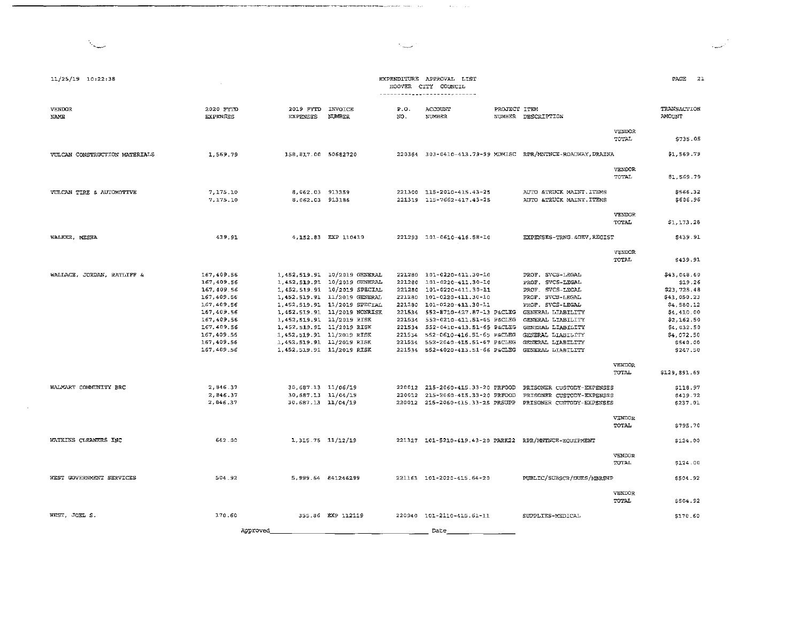$\mathcal{O}(2\pi\log n)$  , where  $\mathcal{O}(2\pi\log n)$ 

| 11/25/19 10:22:38                                   |                                                                                                                                                                                            |                                                                                                                                                       |                                                                                                                                                                                                                                                          |             | EXPENDITURE APPROVAL LIST<br>HOOVER CITY COUNCIL<br>------ <b>----<sub>--</sub>---------</b> -------                                                                                                                                                                                                                                                                  |                                                                                                                                                                                                                                                                                                                                                                                         |                                           | PAGE<br>2 <sup>2</sup>                                                                                                                                                                                           |
|-----------------------------------------------------|--------------------------------------------------------------------------------------------------------------------------------------------------------------------------------------------|-------------------------------------------------------------------------------------------------------------------------------------------------------|----------------------------------------------------------------------------------------------------------------------------------------------------------------------------------------------------------------------------------------------------------|-------------|-----------------------------------------------------------------------------------------------------------------------------------------------------------------------------------------------------------------------------------------------------------------------------------------------------------------------------------------------------------------------|-----------------------------------------------------------------------------------------------------------------------------------------------------------------------------------------------------------------------------------------------------------------------------------------------------------------------------------------------------------------------------------------|-------------------------------------------|------------------------------------------------------------------------------------------------------------------------------------------------------------------------------------------------------------------|
| <b>VENDOR</b><br><b>NAME</b>                        | 2020 FYTD<br><b>EXPENSES</b>                                                                                                                                                               | 2019 FYTD INVOICE<br><b>EXPENSES</b>                                                                                                                  | NUMBER                                                                                                                                                                                                                                                   | P.0.<br>NO. | ACCOUNT<br><b>NUMBER</b>                                                                                                                                                                                                                                                                                                                                              | PROJECT ITEM<br>NUMBER DESCRIPTION                                                                                                                                                                                                                                                                                                                                                      |                                           | TRANSACTION<br><b>AMOUNT</b>                                                                                                                                                                                     |
|                                                     |                                                                                                                                                                                            |                                                                                                                                                       |                                                                                                                                                                                                                                                          |             |                                                                                                                                                                                                                                                                                                                                                                       |                                                                                                                                                                                                                                                                                                                                                                                         | <b>VENDOR</b><br>TOTAL                    | \$735.05                                                                                                                                                                                                         |
| VULCAN CONSTRUCTION MATERIALS                       | 1,569.79                                                                                                                                                                                   | 158,817.00 50682720                                                                                                                                   |                                                                                                                                                                                                                                                          |             |                                                                                                                                                                                                                                                                                                                                                                       | 220364 303-0410-413.79-99 MDMISC RPR/MNTNCE-ROADWAY, DRAINA                                                                                                                                                                                                                                                                                                                             |                                           | \$1,569.79                                                                                                                                                                                                       |
|                                                     |                                                                                                                                                                                            |                                                                                                                                                       |                                                                                                                                                                                                                                                          |             |                                                                                                                                                                                                                                                                                                                                                                       |                                                                                                                                                                                                                                                                                                                                                                                         | <b>VENDOR</b><br>TOTAL                    | \$1,569.79                                                                                                                                                                                                       |
| VULCAN TIRE & AUTOMOTIVE                            | 7,175.10<br>7,175.10                                                                                                                                                                       | 8,062.03 913359<br>8.062.03 913186                                                                                                                    |                                                                                                                                                                                                                                                          |             | 221300 115-2010-415.43-25<br>221319 115-7662-417.43-25                                                                                                                                                                                                                                                                                                                | AUTO &TRUCK MAINT. ITEMS<br>AUTO &TRUCK MAINT. ITEMS                                                                                                                                                                                                                                                                                                                                    |                                           | \$566.32<br>\$606.96                                                                                                                                                                                             |
|                                                     |                                                                                                                                                                                            |                                                                                                                                                       |                                                                                                                                                                                                                                                          |             |                                                                                                                                                                                                                                                                                                                                                                       |                                                                                                                                                                                                                                                                                                                                                                                         | VENDOR<br>TOTAL                           | \$1,1/3.28                                                                                                                                                                                                       |
| WALKER, MESHA                                       | 439.91                                                                                                                                                                                     |                                                                                                                                                       | 4,152.83 EXP 110419                                                                                                                                                                                                                                      |             | 221293 101-0610-416.58-10                                                                                                                                                                                                                                                                                                                                             | EXPENSES-TRNG. & DEV, REGIST                                                                                                                                                                                                                                                                                                                                                            |                                           | \$439.91                                                                                                                                                                                                         |
|                                                     |                                                                                                                                                                                            |                                                                                                                                                       |                                                                                                                                                                                                                                                          |             |                                                                                                                                                                                                                                                                                                                                                                       |                                                                                                                                                                                                                                                                                                                                                                                         | <b>VENDOR</b><br>TOTAL                    | \$439.91                                                                                                                                                                                                         |
| WALLACE, JORDAN, RATLIFF &<br>WALMART COMMUNITY BRC | 167,409.56<br>167,409.56<br>167,409.56<br>167,409.56<br>167,409.56<br>167,409.56<br>167,409.56<br>167,409.56<br>167,409.56<br>167,409.56<br>167,409.56<br>2,846.37<br>2,846.37<br>2,846.37 | 1,452,519.91 11/2019 RISK<br>1,452,519.91 11/2019 RISK<br>1,452,519.91 11/2019 RISK<br>30,687.13 11/06/19<br>30,687.13 11/04/19<br>30,687.13 11/04/19 | 1.452,519.91 10/2019 GENERAL<br>1,452,519.91 10/2019 GENERAL<br>1, 452, 519.91 10/2019 SPECIAL<br>1,452,519.91 11/2019 GENERAL<br>1,452,519.91 11/2019 SPECIAL<br>1,452,519.91 11/2019 NONRISK<br>1,452,519.91 11/2019 RISK<br>1,452,519.91 11/2019 RISK |             | 221280 101-0220-411.30-10<br>221280 101-0220-411.30-10<br>221280 101-0220-411.30-11<br>221280 101-0220-411.30-10<br>221280 101-0220-411.30-11<br>221534 552-0210-411.51-65 P&CLEG<br>221534 552-0410-413.51-65 P&CLEG<br>221534 552-0610-416.51-65 P&CLEG<br>221534 552-2040-415.51-67 P&CLEG<br>221534 552-4020-413.51-66 P&CLEG<br>220012 215-2060-415.33-20 PRFOOD | PROF. SVCS-LEGAL<br>PROF. SVCS-LEGAL<br>PROF. SVCS-LEGAL<br>PROF. SVCS-LEGAL<br>PROF. SVCS-LEGAL<br>GENERAL LIABILITY<br>GENERAL LIABILITY<br>GENERAL LIABILITY<br>GENERAL LIABILITY<br>GENERAL LIABILITY<br>GENERAL LIABILITY<br>220012 215-2060-415.33-20 PRFOOD PRISONER CUSTODY-EXPENSES<br>PRISONER CUSTODY-EXPENSES<br>220012 215-2060-415.33-25 PRSUPP PRISONER CUSTODY-EXPENSES | <b>VENDOR</b><br>TOTAL<br>VENDOR<br>TOTAL | \$43,048.60<br>\$19.26<br>523.728.48<br>543,050.23<br>\$4,580.12<br>\$4,410.00<br>\$2,162.50<br>\$4,032.50<br>\$4,072.50<br>\$540.00<br>\$247.50<br>\$129,891.69<br>\$118.97<br>\$439.72<br>\$237.01<br>\$795.70 |
| WATKINS CLEANERS INC                                | 642.00                                                                                                                                                                                     | 1, 315.75 11/12/19                                                                                                                                    |                                                                                                                                                                                                                                                          |             |                                                                                                                                                                                                                                                                                                                                                                       | 221327 101-5210-419.43-20 PARK22 RPR/MNTNCE-EQUIPMENT                                                                                                                                                                                                                                                                                                                                   |                                           | \$124.00                                                                                                                                                                                                         |
|                                                     |                                                                                                                                                                                            |                                                                                                                                                       |                                                                                                                                                                                                                                                          |             |                                                                                                                                                                                                                                                                                                                                                                       |                                                                                                                                                                                                                                                                                                                                                                                         | VENDOR<br>TOTAL                           | \$124.00                                                                                                                                                                                                         |
| WEST GOVERNMENT SERVICES                            | 504.92                                                                                                                                                                                     |                                                                                                                                                       | 5,999.64 841246299                                                                                                                                                                                                                                       |             | 221163 101-2020-415.64-20                                                                                                                                                                                                                                                                                                                                             | PUBLIC/SUBSCR/DUES/MBRSHP                                                                                                                                                                                                                                                                                                                                                               |                                           | \$504.92                                                                                                                                                                                                         |
|                                                     |                                                                                                                                                                                            |                                                                                                                                                       |                                                                                                                                                                                                                                                          |             |                                                                                                                                                                                                                                                                                                                                                                       |                                                                                                                                                                                                                                                                                                                                                                                         | VENDOR<br>TOTAL.                          | \$504.92                                                                                                                                                                                                         |
| WEST, JOEL S.                                       | 170.60                                                                                                                                                                                     |                                                                                                                                                       | 355.86 EXP 112119                                                                                                                                                                                                                                        |             | 220940 101-2110-415.61-11                                                                                                                                                                                                                                                                                                                                             | SUPPLIES-MEDICAL                                                                                                                                                                                                                                                                                                                                                                        |                                           | \$170.60                                                                                                                                                                                                         |
|                                                     | Approved                                                                                                                                                                                   |                                                                                                                                                       |                                                                                                                                                                                                                                                          |             | Date                                                                                                                                                                                                                                                                                                                                                                  |                                                                                                                                                                                                                                                                                                                                                                                         |                                           |                                                                                                                                                                                                                  |

 $\sim$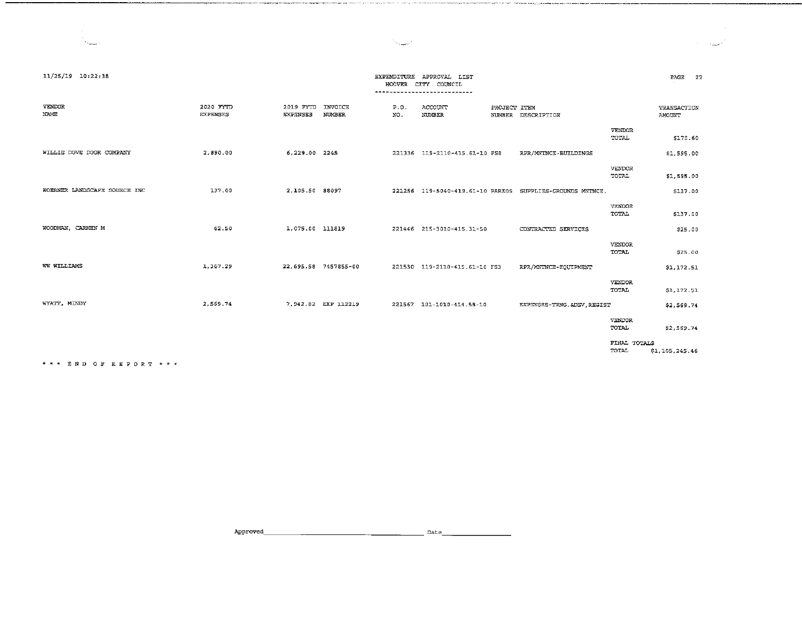المستدرات

| 11/25/19 10:22:38            |                              |                              |                      | EXPENDITURE<br><b>HOOVER</b> | APPROVAL LIST<br>CITY COUNCIL<br>---------------------------- |              |                                                           |                        | 22<br>PAGE            |
|------------------------------|------------------------------|------------------------------|----------------------|------------------------------|---------------------------------------------------------------|--------------|-----------------------------------------------------------|------------------------|-----------------------|
| VENDOR<br>NAME               | 2020 FYTD<br><b>EXPENSES</b> | 2019 FYTD<br><b>EXPENSES</b> | INVOICE<br>NUMBER    | P.0.<br>NO.                  | ACCOUNT<br>NUMBER                                             | PROJECT ITEM | NUMBER DESCRIPTION                                        |                        | TRANSACTION<br>AMOUNT |
|                              |                              |                              |                      |                              |                                                               |              |                                                           | VENDOR<br>TOTAL        | \$170.60              |
| WILLIE DOVE DOOR COMPANY     | 2,890.00                     | 6,229.00 2245                |                      |                              | 221336 119-2110-415.61-10 FS8                                 |              | RPR/MNTNCE-BUILDINGS                                      |                        | \$1,595.00            |
|                              |                              |                              |                      |                              |                                                               |              |                                                           | VENDOR<br>TOTAL        | \$1,595.00            |
| WOERNER LANDSCAPE SOURCE INC | 137.00                       | 2,105.50 88097               |                      |                              |                                                               |              | 221256 119-5040-419.61-10 PARK05 SUPPLIES-GROUNDS MNTNCE. |                        | \$137.00              |
|                              |                              |                              |                      |                              |                                                               |              |                                                           | VENDOR<br><b>TOTAL</b> | \$137.00              |
| WOODMAN, CARMEN M            | 62.50                        | 1,075.00 111819              |                      |                              | 221446 215-3010-415.31-50                                     |              | CONTRACTED SERVICES                                       |                        | \$25.00               |
|                              |                              |                              |                      |                              |                                                               |              |                                                           | VENDOR<br>TOTAL        | \$25.00               |
| WW WILLIAMS                  | 1,367.29                     |                              | 22,695.58 7457855-00 |                              | 221530 119-2110-415.61-10 FS3                                 |              | RPR/MNTNCE-EQUIPMENT                                      |                        | \$1,172.51            |
|                              |                              |                              |                      |                              |                                                               |              |                                                           | VENDOR<br>TOTAL        | \$1,172.51            |
| WYATT, MINDY                 | 2,569.74                     |                              | 7,942.82 EXP 112219  |                              | 221567 101-1010-414.58-10                                     |              | EXPENSES-TRNG. & DEV, REGIST                              |                        | \$2,569.74            |
|                              |                              |                              |                      |                              |                                                               |              |                                                           | VENDOR<br>TOTAL        | \$2,569.74            |
|                              |                              |                              |                      |                              |                                                               |              |                                                           | FINAL TOTALS<br>TOTAL  | \$1,105,245.46        |

.<br>Parawat sebentuk menjadi kalendar dan berasa dan berasa dalam kemudian dan berasa

المستحث

\* \* \* E N D O F R E P O R T \* \* \*

 $\mathcal{N}_{\text{max}}$ 

Approved, \_\_\_\_\_\_\_\_\_\_\_\_\_\_\_\_\_\_\_\_ Date \_\_\_\_\_\_\_\_ \_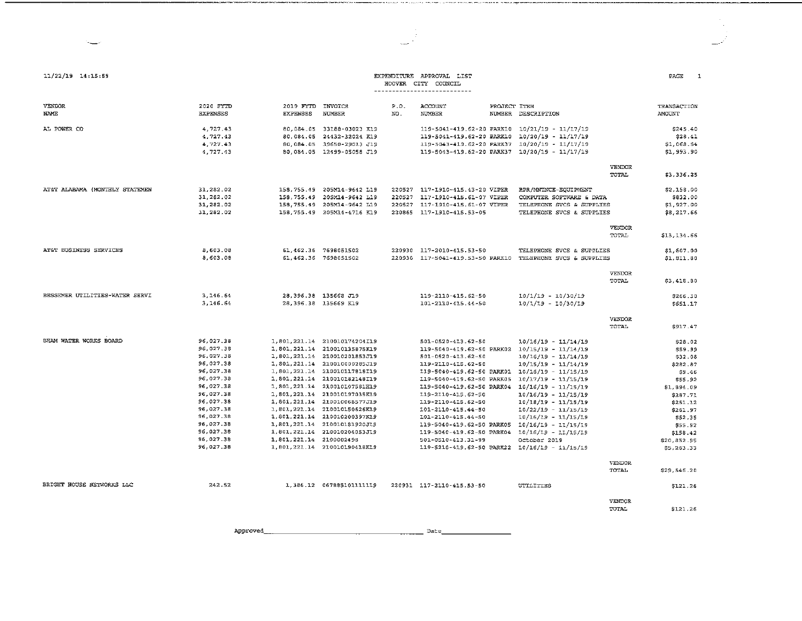| 11/22/19 14:15:59              |                                                                                                                                                                                                 |                                      |                                                                                                                                                                                                                                                                                                                                                                                                                                                               |             | EXPENDITURE APPROVAL LIST<br>HOOVER CITY COUNCIL<br>----------------------------                                                                                                                          |                                                                                                                                                                                                                                                                                                                                                                                                                                                                                                                          |                        | PAGE<br>$\mathbf{1}$                                                                                                                                                                           |
|--------------------------------|-------------------------------------------------------------------------------------------------------------------------------------------------------------------------------------------------|--------------------------------------|---------------------------------------------------------------------------------------------------------------------------------------------------------------------------------------------------------------------------------------------------------------------------------------------------------------------------------------------------------------------------------------------------------------------------------------------------------------|-------------|-----------------------------------------------------------------------------------------------------------------------------------------------------------------------------------------------------------|--------------------------------------------------------------------------------------------------------------------------------------------------------------------------------------------------------------------------------------------------------------------------------------------------------------------------------------------------------------------------------------------------------------------------------------------------------------------------------------------------------------------------|------------------------|------------------------------------------------------------------------------------------------------------------------------------------------------------------------------------------------|
| <b>VENDOR</b><br><b>NAME</b>   | 2020 FYTD<br><b>EXPENSES</b>                                                                                                                                                                    | 2019 FYTD INVOICE<br><b>EXPENSES</b> | <b>NUMBER</b>                                                                                                                                                                                                                                                                                                                                                                                                                                                 | P.0.<br>NO. | ACCOUNT<br>NUMBER                                                                                                                                                                                         | PROJECT ITEM<br>NUMBER DESCRIPTION                                                                                                                                                                                                                                                                                                                                                                                                                                                                                       |                        | TRANSACTION<br><b>AMOUNT</b>                                                                                                                                                                   |
| AL POWER CO                    | 4,727.43<br>4,727.43<br>4,727.43<br>4,727.43                                                                                                                                                    |                                      | 80,084.05 33188-03023 K19<br>80.084.05 24432-32024 K19<br>80,084.05 39650-29013 J19<br>80.084.05 12499-05058 J19                                                                                                                                                                                                                                                                                                                                              |             |                                                                                                                                                                                                           | 119-5041-419.62-20 PARK10 10/21/19 - 11/17/19<br>119-5041-419.62-20 PARK10 10/20/19 - 11/17/19<br>119-5043-419.62-20 PARK37 10/20/19 - 11/17/19<br>119-5043-419.62-20 PARK37 10/20/19 - 11/17/19                                                                                                                                                                                                                                                                                                                         |                        | \$245.40<br>\$28.41<br>\$1,068.54<br>\$1,993.90                                                                                                                                                |
|                                |                                                                                                                                                                                                 |                                      |                                                                                                                                                                                                                                                                                                                                                                                                                                                               |             |                                                                                                                                                                                                           |                                                                                                                                                                                                                                                                                                                                                                                                                                                                                                                          | VENDOR<br>TOTAL        | \$3,336.25                                                                                                                                                                                     |
| AT&T ALABAMA (MONTHLY STATEMEN | 31,282.02<br>31,282.02<br>31,282.02<br>31,282.02                                                                                                                                                |                                      | 158,755.49 205M14-9642 L19<br>158, 755, 49 205M14-9642 L19<br>158,755.49 205M14-9642 L19<br>158,755.49 205M14-4716 K19                                                                                                                                                                                                                                                                                                                                        |             | 220527 117-1910-415.43-20 VIPER<br>220527 117-1910-415.61-07 VIPER<br>220527 117-1910-415.61-07 VIPER<br>220865 117-1910-415.53-05                                                                        | RPR/MNTNCE-EQUIPMENT<br>COMPUTER SOFTWARE & DATA<br>TELEPHONE SVCS & SUPPLIES<br>TELEPHONE SVCS & SUPPLIES                                                                                                                                                                                                                                                                                                                                                                                                               |                        | \$2,158.00<br>\$832.00<br>\$1,927.00<br>\$8,217.66                                                                                                                                             |
|                                |                                                                                                                                                                                                 |                                      |                                                                                                                                                                                                                                                                                                                                                                                                                                                               |             |                                                                                                                                                                                                           |                                                                                                                                                                                                                                                                                                                                                                                                                                                                                                                          | VENDOR<br>TOTAL        | \$13,134.66                                                                                                                                                                                    |
| AT&T BUSINESS SERVICES         | 8,603.08<br>8,603.08                                                                                                                                                                            |                                      | 61,462.36 7698051502<br>61,462.36 7698051502                                                                                                                                                                                                                                                                                                                                                                                                                  |             | 220930 117-2010-415.53-50                                                                                                                                                                                 | TELEPHONE SVCS & SUPPLIES<br>220930 117-5041-419.53-50 PARKID TELEPHONE SVCS & SUPPLIES                                                                                                                                                                                                                                                                                                                                                                                                                                  |                        | \$1,607.00<br>\$1,811.80                                                                                                                                                                       |
|                                |                                                                                                                                                                                                 |                                      |                                                                                                                                                                                                                                                                                                                                                                                                                                                               |             |                                                                                                                                                                                                           |                                                                                                                                                                                                                                                                                                                                                                                                                                                                                                                          | <b>VENDOR</b><br>TOTAL | \$3,418.80                                                                                                                                                                                     |
| BESSEMER UTILITIES-WATER SERVI | 3,146.64<br>3,146.64                                                                                                                                                                            |                                      | 28,396.38 135668 J19<br>28,396.38 135669 K19                                                                                                                                                                                                                                                                                                                                                                                                                  |             | 119-2110-415.62-50<br>101-2110-415.44-50                                                                                                                                                                  | $10/1/19 - 10/30/19$<br>$10/1/19 - 10/30/19$                                                                                                                                                                                                                                                                                                                                                                                                                                                                             |                        | \$266.30<br>\$651.17                                                                                                                                                                           |
|                                |                                                                                                                                                                                                 |                                      |                                                                                                                                                                                                                                                                                                                                                                                                                                                               |             |                                                                                                                                                                                                           |                                                                                                                                                                                                                                                                                                                                                                                                                                                                                                                          | VENDOR<br>TOTAL        | \$917.47                                                                                                                                                                                       |
| BHAM WATER WORKS BOARD         | 96,027.38<br>96,027.38<br>96,027.38<br>96,027.38<br>96,027.38<br>96,027.38<br>96,027.38<br>96,027.38<br>96,027.38<br>96,027.38<br>96,027.38<br>96,027.38<br>96,027.38<br>96,027.38<br>96,027.38 | 1,801,221.14 2100002498              | 1.801.221.14 210010174204I19<br>1,801,221.14 210010135875K19<br>1,801,221.14 210010201853J19<br>1,801,221.14 210010000285J19<br>1,801,221.14 210010117818I19<br>1,801,221.14 210010182148I19<br>1,801,221.14 210010107581H19<br>1.801.221.14 210010197035K19<br>1,801,221.14 210010068577J19<br>1,801,221.14 210010150626K19<br>1,801,221.14 210010200397K19<br>1,801,221.14 210010181920J19<br>1,801,221.14 210010204053J19<br>1.801, 221.14 210010190418K19 |             | 501-0520-413.62-50<br>501-0520-413.62-50<br>119-2110-415.62-50<br>119-5040-419.62-50 PARK05<br>119-2110-415.62-50<br>119-2110-415.62-50<br>101-2110-415.44-50<br>101-2110-415.44-50<br>501-0510-413.31-99 | $10/16/19 - 11/14/19$<br>119-5040-419.62-50 PARK02 10/15/19 - 11/14/19<br>$10/16/19 - 11/14/19$<br>$10/15/19 - 11/14/19$<br>119-5040-419.62-50 PARK01 10/16/19 - 11/15/19<br>10/17/19 - 11/15/19<br>119-5040-419.62-50 PARK04 10/16/19 - 11/15/19<br>$10/16/19 - 11/15/19$<br>$10/18/19 - 11/15/19$<br>$10/22/19 - 11/15/19$<br>$10/16/19 - 11/15/19$<br>119-5040-419.62-50 PARK05 10/16/19 - 11/15/19<br>119-5040-419.62-50 PARK04 10/16/19 - 11/15/19<br>October 2019<br>119-5210-419.62-50 PARK22 10/16/19 - 11/15/19 | VENDOR<br>TOTAL        | \$28.02<br>\$59.99<br>\$32.08<br>\$282.87<br>\$9.46<br>\$55.92<br>\$1,894.09<br>\$287.71<br>\$251.12<br>\$261.97<br>\$52.35<br>\$55.92<br>\$158.42<br>\$20,852.95<br>\$5,263.33<br>\$29,546.20 |
| BRIGHT HOUSE NETWORKS LLC      | 242.52                                                                                                                                                                                          |                                      | 1,386.12 0678851011111119                                                                                                                                                                                                                                                                                                                                                                                                                                     |             | 220931 117-2110-415.53-50                                                                                                                                                                                 | UTILITIES                                                                                                                                                                                                                                                                                                                                                                                                                                                                                                                |                        | <b>S121.26</b>                                                                                                                                                                                 |
|                                |                                                                                                                                                                                                 |                                      |                                                                                                                                                                                                                                                                                                                                                                                                                                                               |             |                                                                                                                                                                                                           |                                                                                                                                                                                                                                                                                                                                                                                                                                                                                                                          | VENDOR<br>TOTAL        | \$121.26                                                                                                                                                                                       |

است

Approved, \_\_\_\_\_\_\_\_\_\_\_\_\_\_\_\_\_\_\_\_ Date \_\_\_\_\_\_\_\_ \_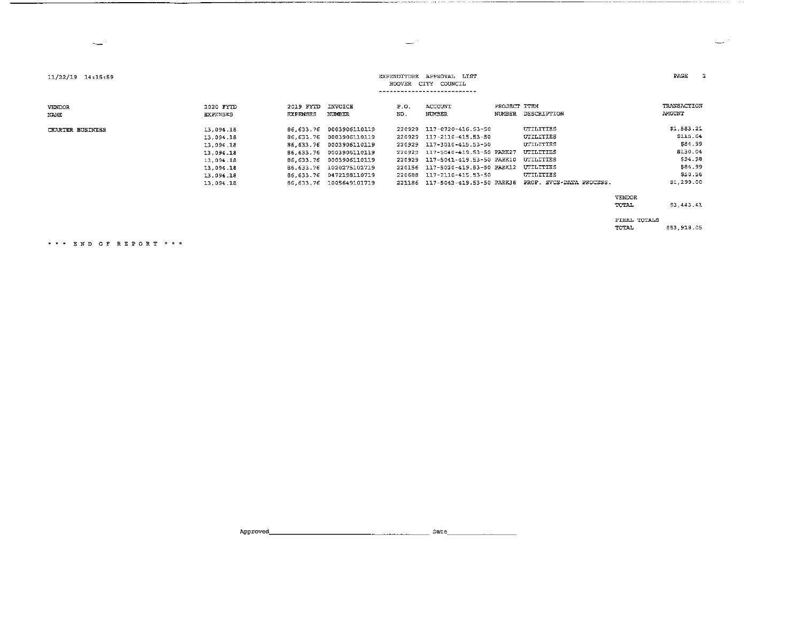| 11/22/19 14:15:59       | APPROVAL LIST<br>EXPENDITURE<br>HOOVER<br>CITY COUNCIL                                               |                              |                                                                                                                                                                                                                       |                                      |                                                                                                                                                                                                                                      |                        |                                                                                                                                   |               | PAGE<br>2                                                                                    |
|-------------------------|------------------------------------------------------------------------------------------------------|------------------------------|-----------------------------------------------------------------------------------------------------------------------------------------------------------------------------------------------------------------------|--------------------------------------|--------------------------------------------------------------------------------------------------------------------------------------------------------------------------------------------------------------------------------------|------------------------|-----------------------------------------------------------------------------------------------------------------------------------|---------------|----------------------------------------------------------------------------------------------|
| VENDOR<br>NAME          | 2020 FYTD<br><b>EXPENSES</b>                                                                         | 2019 FYTD<br><b>EXPENSES</b> | INVOICE<br>NUMBER                                                                                                                                                                                                     | P.O.<br>NO.                          | ACCOUNT<br>NUMBER                                                                                                                                                                                                                    | PROJECT ITEM<br>NUMBER | DESCRIPTION                                                                                                                       |               | TRANSACTION<br><b>AMOUNT</b>                                                                 |
| <b>CHARTER BUSINESS</b> | 13,094.18<br>13 094.18<br>13.094.18<br>13,094.18<br>13.094.18<br>13.094.18<br>13 094.18<br>13 094.18 |                              | 86.633.76 0003906110119<br>86,633.76 0003906110119<br>86,633.76 0003906110119<br>86,633.76 0003906110119<br>86, 633.76 0003906110119<br>86,633.76 1020275102719<br>86.633.76 0472198110719<br>86.633.76 1005649101719 | 220929<br>220929<br>220929<br>220156 | 117-0720-416.53-50<br>220929 117-2110-415.53-50<br>220929 117-3010-415.53-50<br>117-5040-419.53-50 PARK27<br>117-5041-419.53-50 PARK10<br>117-5020-419.53-50 PARK12<br>220688 117-2110-415.53-50<br>221186 117-5043-419.53-50 PARK36 |                        | UTILITIES<br>UTILITIES<br>UTILITIES<br><b>UTILITIES</b><br>UTILITIES<br><b>UTILITIES</b><br>UTILITIES<br>PROF. SVCS-DATA PROCESS. |               | \$1,583.21<br>\$115.64<br>\$84.99<br>\$130.04<br>\$94.98<br>\$84.99<br>\$50.56<br>\$1,299.00 |
|                         |                                                                                                      |                              |                                                                                                                                                                                                                       |                                      |                                                                                                                                                                                                                                      |                        |                                                                                                                                   | <b>VENDOR</b> |                                                                                              |

ا ب

**TOTAL** \$3,443.41 FINAL TOTALS

 $\Box^{\mathcal{L}}$ 

TOTAL \$53,918.05

\*\*\* END OF REPORT \*\*\*

 $\sim$ 

Date Approved\_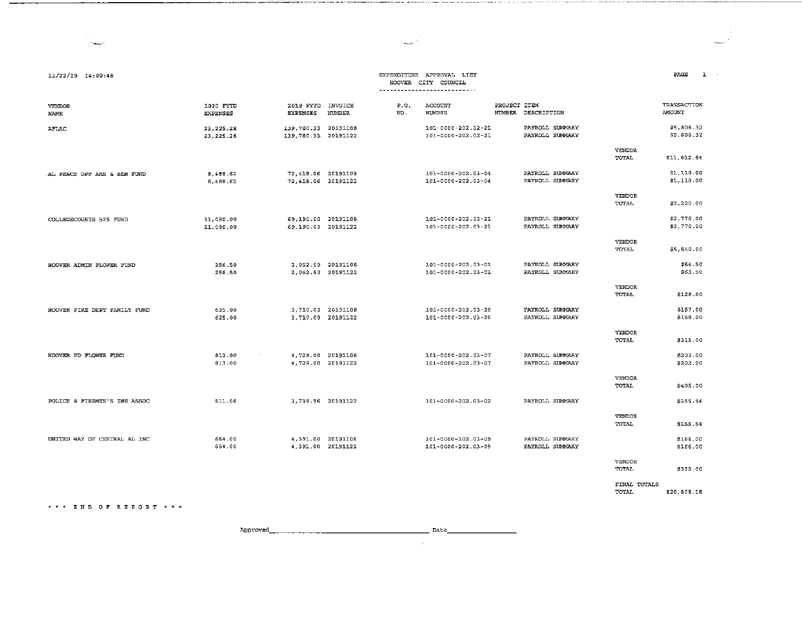### EXPENDITURE APPROVAL LIST HOOVER CITY COUNCIL

| <b>VENDOR</b><br>NAME        | 2020 FYTD<br><b>EXPENSES</b> | 2019 FYTD<br><b>EXPENSES</b>                | <b>INVOICE</b><br>NUMBER               | P.0.<br>NO. | ACCOUNT<br><b>NUMBER</b>                 | PROJECT ITEM<br>NUMBER | DESCRIPTION                        |                               | TRANSACTION<br>AMOUNT    |
|------------------------------|------------------------------|---------------------------------------------|----------------------------------------|-------------|------------------------------------------|------------------------|------------------------------------|-------------------------------|--------------------------|
| <b>AFLAC</b>                 | 23, 225.28<br>23.225.28      | 139,780.33 20191108<br>139, 780.33 20191122 |                                        |             | 101-0000-202.02-21<br>101-0000-202.02-21 |                        | PAYROLL SUMMARY<br>PAYROLL SUMMARY |                               | \$5,806.32<br>\$5,806.32 |
|                              |                              |                                             |                                        |             |                                          |                        |                                    | <b>VENDOR</b><br>TOTAL        | \$11,612.64              |
| AL PEACE OFF ANN & BEN FUND  | 8 488.62<br>8,488.62         | 72.418.06 20191108<br>72,418.06 20191122    |                                        |             | 101-0000-202.03-04<br>101-0000-202.03-04 |                        | PAYROLL SUMMARY<br>PAYROLL SUMMARY |                               | \$1,110.00<br>\$1,110.00 |
|                              |                              |                                             |                                        |             |                                          |                        |                                    | VENDOR<br>TOTAL               | \$2,220.00               |
| COLLEGECOUNTS 529 FUND       | 11,080.00<br>11,080.00       | 69.190.00 20191108<br>69.190.00 20191122    |                                        |             | 101-0000-202.03-21<br>101-0000-202.03-21 |                        | PAYROLL SUMMARY<br>PAYROLL SUMMARY |                               | \$2,770.00<br>\$2,770.00 |
|                              |                              |                                             |                                        |             |                                          |                        |                                    | <b>VENDOR</b><br>TOTAL        | \$5,540.00               |
| HOOVER ADMIN FLOWER FUND     | 256.50<br>256.50             |                                             | 2.052.50 20191108<br>2.052.50 20191122 |             | 101-0000-202.03-01<br>101-0000-202.03-01 |                        | PAYROLL SUMMARY<br>PAYROLL SUMMARY |                               | \$64.50<br>\$63.50       |
|                              |                              |                                             |                                        |             |                                          |                        |                                    | VENDOR<br>TOTAL               | \$128.00                 |
| HOOVER FIRE DEPT FAMILY FUND | 625.00<br>625.00             |                                             | 3,710.00 20191108<br>3,710.00 20191122 |             | 101-0000-202.03-20<br>101-0000-202.03-20 |                        | PAYROLL SUMMARY<br>PAYROLL SUMMARY |                               | \$157.00<br>\$158.00     |
|                              |                              |                                             |                                        |             |                                          |                        |                                    | <b>VENDOR</b><br><b>TOTAL</b> | \$315.00                 |
| HOOVER PD FLOWER FUND        | 813.00<br>813.00             |                                             | 4,729.00 20191108<br>4,729.00 20191122 |             | 101-0000-202.03-07<br>101-0000-202.03-07 |                        | PAYROLL SUMMARY<br>PAYROLL SUMMARY |                               | \$203.00<br>\$202.00     |
|                              |                              |                                             |                                        |             |                                          |                        |                                    | VENDOR<br>TOTAL               | \$405.00                 |
| POLICE & FIREMEN'S INS ASSOC | 511.08                       | 3,739.96 20191122                           |                                        |             | 101-0000-202.03-02                       |                        | PAYROLL SUMMARY                    |                               | \$255.54                 |
|                              |                              |                                             |                                        |             |                                          |                        |                                    | <b>VENDOR</b><br>TOTAL        | \$255.54                 |
| UNITED WAY OF CENTRAL AL INC | 664.00<br>664.00             |                                             | 4,391.00 20191108<br>4,391.00 20191122 |             | 101-0000-202.03-09<br>101-0000-202.03-09 |                        | PAYROLL SUMMARY<br>PAYROLL SUMMARY |                               | \$166.00<br>\$166.00     |
|                              |                              |                                             |                                        |             |                                          |                        |                                    | <b>VENDOR</b><br><b>TOTAL</b> | \$332.00                 |

 $\tt{FINAL}$  TOTALS TOTAL \$20,808.18

END OF REPORT\*\*\*

Approved~------------------- Date \_\_\_\_\_\_\_\_ \_

 $\sim 10^7$ 

11/22/19 14,00:48

PAGE 1

أسميت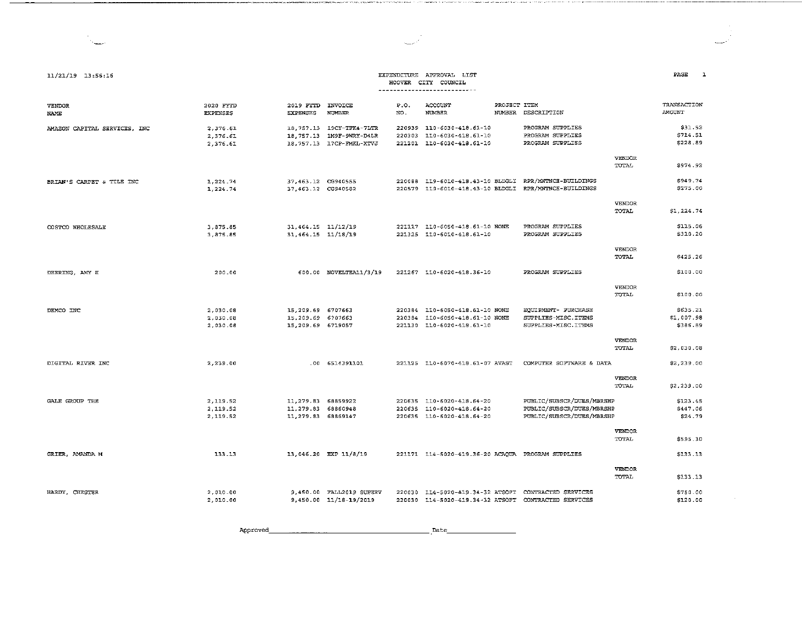#### EXPENDITURE APPROVAL LIST HOOVER CITY COUNCIL ----------------------------

أسمعت

Service Co

 $11/21/19$  13:56:16

| <b>VENDOR</b><br>NAME        | 2020 FYTD<br><b>EXPENSES</b> | 2019 FYTD<br><b>EXPENSES</b> | INVOICE<br><b>NUMBER</b> | P.O.<br>NO. | ACCOUNT<br>NUMBER                                 | PROJECT ITEM<br>NUMBER DESCRIPTION                    |               | TRANSACTION<br>AMOUNT |
|------------------------------|------------------------------|------------------------------|--------------------------|-------------|---------------------------------------------------|-------------------------------------------------------|---------------|-----------------------|
| AMAZON CAPITAL SERVICES, INC | 2.376.61                     |                              | 18.757.13 19CY-TFK4-7LTR |             | 220939 110-6030-418.61-10                         | PROGRAM SUPPLIES                                      |               | \$31.52               |
|                              | 2,376.61                     |                              | 18.757.13 IM9F-9VRY-D4LR |             | 220303 110-6030-418.61-10                         | PROGRAM SUPPLIES                                      |               | \$714.51              |
|                              | 2.376.61                     |                              | 18,757.13 17CP-FMKL-XTVJ |             | 221201 110-6030-418.61-10                         | PROGRAM SUPPLIES                                      |               | \$228.89              |
|                              |                              |                              |                          |             |                                                   |                                                       | <b>VENDOR</b> |                       |
|                              |                              |                              |                          |             |                                                   |                                                       | TOTAL         | \$974.92              |
| BRIAN'S CARPET & TILE INC    | 1.224.74                     | 37.463.12 CG940555           |                          |             | 220088 119-6010-413.43-10 BLDGLI                  | RPR/MYTNCE-BUILDINGS                                  |               | \$949.74              |
|                              | 1,224.74                     | 37,463.12 CG940582           |                          |             |                                                   | 220579 119-6010-418.43-10 BLDGLI RPR/MNTNCE-BUILDINGS |               | \$275.00              |
|                              |                              |                              |                          |             |                                                   |                                                       | <b>VENDOR</b> |                       |
|                              |                              |                              |                          |             |                                                   |                                                       | <b>TOTAL</b>  | \$1,224.74            |
| COSTCO WHOLESALE             | 3.875.85                     | 31,464.15 11/12/19           |                          |             | 221117 110-6050-418.61-10 NONE                    | PROGRAM SUPPLIES                                      |               | \$115.06              |
|                              | 3.875.85                     | 31,464.15 11/18/19           |                          |             | 221325 110-6010-418.61-10                         | PROGRAM SUPPLIES                                      |               | \$310.20              |
|                              |                              |                              |                          |             |                                                   |                                                       | VENDOR        |                       |
|                              |                              |                              |                          |             |                                                   |                                                       | TOTAL         | \$425.26              |
| DEERING, AMY H               | 200.00                       |                              | 600.00 NOVELTEA11/3/19   |             | 221267 110-6020-418.36-10                         | PROGRAM SUPPLIES                                      |               | \$100.00              |
|                              |                              |                              |                          |             |                                                   |                                                       | <b>VENDOR</b> |                       |
|                              |                              |                              |                          |             |                                                   |                                                       | TOTAL         | \$100.00              |
| DEMCO INC                    | 2.030.08                     | 15, 209.69 6707663           |                          |             | 220384 110-6050-418.61-10 NONE                    | EQUIPMENT- PURCHASE                                   |               | \$635.21              |
|                              | 2.030.08                     | 15,209.69 6707663            |                          |             | 220384 110-6050-418.61-10 NONE                    | SUPPLIES-MISC.ITEMS                                   |               | \$1,007.98            |
|                              | 2,030.08                     | 15,209.69 6719057            |                          |             | 221130 110-6020-418.61-10                         | SUPPLIES-MISC.ITEMS                                   |               | \$386.89              |
|                              |                              |                              |                          |             |                                                   |                                                       | VENDOR        |                       |
|                              |                              |                              |                          |             |                                                   |                                                       | TOTAL         | \$2,030.08            |
| DIGITAL RIVER INC            | 2,239.00                     |                              | $-00 6514391101$         |             | 221125 110-6070-418.61-07 AVAST                   | COMPUTER SOFTWARE & DATA                              |               | \$2,239.00            |
|                              |                              |                              |                          |             |                                                   |                                                       | VENDOR        |                       |
|                              |                              |                              |                          |             |                                                   |                                                       | TOTAL         | \$2,239.00            |
| GALE GROUP THE               | 2,119.52                     | 11,279.83 68859922           |                          |             | 220635 110-6020-418.64-20                         | PUBLIC/SUBSCR/DUES/MBRSHP                             |               | \$123.45              |
|                              | 2,119.52                     | 11,279.83 68860948           |                          |             | 220635 110-6020-418.64-20                         | PUBLIC/SUBSCR/DUES/MBRSHP                             |               | \$447.06              |
|                              | 2,119.52                     | 11,279.83 68869147           |                          |             | 220635 110-6020-418.64-20                         | PUBLIC/SUBSCR/DUES/MBRSHP                             |               | \$24.79               |
|                              |                              |                              |                          |             |                                                   |                                                       | <b>VENDOR</b> |                       |
|                              |                              |                              |                          |             |                                                   |                                                       | TOTAL         | \$595.30              |
| GRIER, AMANDA M              | 133.13                       |                              | 13,046.20 EXP 11/8/19    |             | 221171 114-5020-419.36-20 ACAQUA PROGRAM SUPPLIES |                                                       |               | \$133.13              |
|                              |                              |                              |                          |             |                                                   |                                                       | VENDOR        |                       |
|                              |                              |                              |                          |             |                                                   |                                                       | TOTAL         | \$133.13              |
| HARDY, CHESTER               | 2.010.00                     |                              | 9,450.00 FALL2019 SUPERV |             | 220030 114-5020-419.34-32 ATSOFT                  | CONTRACTED SERVICES                                   |               | \$750.00              |
|                              | 2.010.00                     |                              | 9,450.00 11/18-19/2019   |             |                                                   | 220030 114-5020-419.34-32 ATSOFT CONTRACTED SERVICES  |               | \$120.00              |

Approved  $\overline{\phantom{a}}$ . Date 

 $PAGE$  1

 $\sim$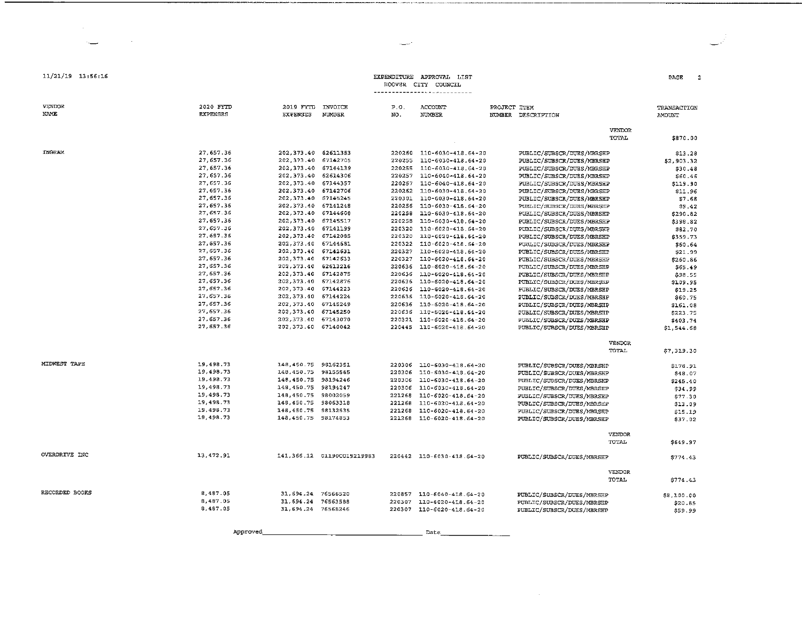| <b>EXPENDITURE</b> | APPROVAL | T TST |
|--------------------|----------|-------|
| HOOVER CITY        | COUNCIL  |       |

### 

| DACE |  |
|------|--|

#### VENDOR 2020 FYTD 2019 EVED INVOTER  $P<sub>0</sub>$ ACCOUNTE PROJECT TTEM TRANSACTION **NAME EXPENSES** EXPENSES NUMBER NO. **NUMBER** NUMBER DESCRIPTION **AMOUNTE** VENDOR TOTAL. \$870.00 **TNGRAM** 27.657.36 202.373 40 62611353 220260 110-6030-418.64-20 PUBLIC/SUBSCR/DUES/MBRSHP \$13.28 202.373.40 67142705 27,657.36 220255 110-6030-418.64-20 PUBLIC/SUBSCR/DUES/MBRSHP \$2.903.32 27.657.36 202.373.40 67144139 220255 110-6030-418.64-20 PUBLIC/SUBSCR/DUES/MBRSHP \$30.48 27.657.36 202.373.40 62614306 220257 110-6040-418.64-20 PUBLIC/SUBSCR/DUES/MBRSHP  $$60.46$ 27,657.36 202.373.40 67144357 220257 110-6040-418.64-20 PUBLIC/SUBSCR/DUES/MBRSHP \$119.90 27,657.36 202.373.40 67142706 220262 110-6030-418.64-20 PUBLIC/SUBSCR/DUES/MBRSHP \$11.96 27.657.36 202.373.40 67145245 220301 110-6030-418.64-20 PUBLIC/SUBSCR/DUES/MBRSHP \$7.68 27,657.36 202, 373.40 67141248 220256 110-6030-418.64-20 PUBLIC/SUBSCR/DUES/MBRSHP \$9.42 27.657.36 202, 373.40 67144608 220258 110-6030-418.64-20 PUBLIC/SUBSCR/DUES/MBRSHP \$290.82 27.657.36 220258 110-6030-418.64-20 202.373.40 67145517 PUBLIC/SUBSCR/DUES/MBRSHP \$398.82 27,657.36 202, 373.40 67141199 220320 110-6020-418.64-20 PUBLIC/SUBSCR/DUES/MBRSHP \$82.70  $27.657.36$ 202, 373.40 67142085 220320 110-6020-418.64-20 PUBLIC/SUBSCR/DUES/MBRSHP \$359.73 27.657.36 202.373.40 67144681 220322 110-6020-418.64-20 PUBLIC/SUBSCR/DUES/MBRSHP \$60.64 27,657.36 202, 373.40 67142631 220327 110-6020-418.64-20 PUBLIC/SUBSCR/DUES/MBRSHP \$21.99 27,657.36 202, 373.40 67142633 220327 110-6020-418.64-20 PUBLIC/SUBSCR/DUES/MBRSHP \$260.86 27.657.36 202.373.40 62613216 220636 110-6020-418.64-20 PUBLIC/SUBSCR/DUES/MBRSHP \$55.49 27,657.36 202, 373.40 67142875 220636 110-6020-418.64-20 PUBLIC/SUBSCR/DUES/MBRSHP \$98.55 27,657.36 202, 373.40 67142876 220636 110-6020-418.64-20 PUBLIC/SUBSCR/DUES/MBRSHP \$109.95 27,657.36 202.373.40 67144223 220636 110-6020-418.64-20 PUBLIC/SUBSCR/DUES/MBRSHP \$19.25 27,657.36 202, 373.40 67144224 220636 110-6020-418.64-20 PUBLIC/SUBSCR/DUES/MBRSHP \$60.75 27.657.36 202, 373.40 67145249 220636 110-6020-418.64-20 PUBLIC/SUBSCR/DUES/MBRSHP \$161.08 27,657.36 202 373 40 67145250 220636 110-6020-418.64-20 PUBLIC/SUBSCR/DUES/MBRSHP \$223.75 27.657.36 202.373.40 67143070 220321 110-6020-418 64-20 PUBLIC/SUBSCR/DUES/MBRSHP \$403.74 27.657.36 202, 373.40 67140042 220445 110-6020-418.64-20 PUBLIC/SUBSCR/DUES/MBRSHP \$1,544.68 *VENDOR* TOTAL \$7.319.30 MIDWEST TAPE 19,498.73 148.450.75 98162351 220306 110-6030-418.64-20 PUBLIC/SUBSCR/DUES/MBRSHP 9778.97 19.498.73 148.450.75 98155565 220306 110-6030-418.64-20 PUBLIC/SUBSCR/DUES/MBRSHP \$48.07 19,498.73 148.450.75 98194246 220306 110-6030-418.64-20 PUBLIC/SUBSCR/DUES/MBRSHP  $$245.40$ 19,498.73 148, 450. 75 98194247 220306 110-6030-418.64-20 PUBLIC/SUBSCR/DUES/MBRSHP \$34.99 19.498.73 148,450.75 98002059 221268 110-6020-418.64-20 PUBLIC/SUBSCR/DUES/MBRSHP  $$77.30$ 19,498.73 148,450.75 98063318 221268 110-6020-418.64-20 PUBLIC/SUBSCR/DUES/MBRSHP \$13.09 19,498.73 148,450.75 98132535 221268 110-6020-418.64-20 PUBLIC/SUBSCR/DUES/MBRSHP \$15.19 19.498.73 148.450.75 98174853 221268 110-6020-418.64-20 PUBLIC/SUBSCR/DUES/MBRSHP \$37.02 VENDOR TOTAL. \$649.97 OVERDRIVE TWO 13,472.91 141,366.12 01190CO19219983 220442 110-6030-418.64-20 PUBLIC/SUBSCR/DUES/MBRSHP \$774.43 **VENDOR** TOTAL. \$774.43 RECORDED BOOKS 8,487.05 31,694.24 76566520 220857 110-6040-418.64-20 PUBLIC/SUBSCR/DUES/MBRSHP \$8,100.00 8,487.05 31,694.24 76563588 220307 110-6020-418.64-20 PUBLIC/SUBSCR/DUES/MBRSHP \$20.85 8.487.05 31,694.24 76568246 220307 110-6020-418.64-20 PUBLIC/SUBSCR/DUES/MBRSEP \$59.99

Approved

11/21/19 13:56:16

Date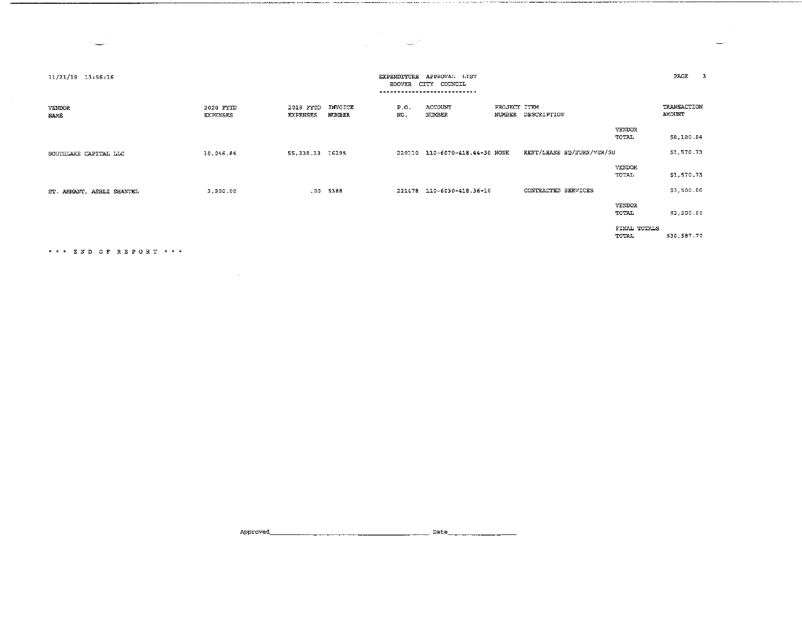$\mathcal{L}^{\text{max}}_{\text{max}}$ 

 $\frac{1}{2}$ 

| 11/21/19 13:56:16         |                              |                              |                          | <b>EXPENDITURE</b><br>HOOVER | APPROVAL LIST<br>CITY COUNCIL<br>--------- |              |                           |                        | PAGE                  |
|---------------------------|------------------------------|------------------------------|--------------------------|------------------------------|--------------------------------------------|--------------|---------------------------|------------------------|-----------------------|
| <b>VENDOR</b><br>NAME     | 2020 FYTD<br><b>EXPENSES</b> | 2019 FYTD<br><b>EXPENSES</b> | INVOICE<br><b>NUMBER</b> | P.O.<br>NO.                  | ACCOUNT<br>NUMBER                          | PROJECT ITEM | NUMBER DESCRIPTION        |                        | TRANSACTION<br>AMOUNT |
|                           |                              |                              |                          |                              |                                            |              |                           | <b>VENDOR</b><br>TOTAL | \$8,180.84            |
| SOUTHLAKE CAPITAL LLC     | 10.046.84                    | 55,338.13 16295              |                          |                              | 220110 110-6070-418.44-30 NONE             |              | RENT/LEASE EQ/FURN/VEH/SU |                        | \$1,570.73            |
|                           |                              |                              |                          |                              |                                            |              |                           | <b>VENDOR</b><br>TOTAL | \$1,570.73            |
| ST. ARMANT, ASHLI SHANTEL | 3,500.00                     |                              | .00 9388                 |                              | 221478 110-6030-418.36-10                  |              | CONTRACTED SERVICES       |                        | \$3,500.00            |
|                           |                              |                              |                          |                              |                                            |              |                           | <b>VENDOR</b><br>TOTAL | \$3,500.00            |
|                           |                              |                              |                          |                              |                                            |              |                           | FINAL TOTALS<br>TOTAL  | \$30,587.70           |

END OF REPORT\*\*\*

 $\mathcal{L}(\mathcal{L})$  and  $\mathcal{L}(\mathcal{L})$  and  $\mathcal{L}(\mathcal{L})$  and  $\mathcal{L}(\mathcal{L})$ 

المستحدث والمسابقات

Approved. \_\_\_\_\_\_\_\_\_\_\_\_\_\_\_\_\_\_\_\_ Date \_\_\_\_\_\_\_\_ \_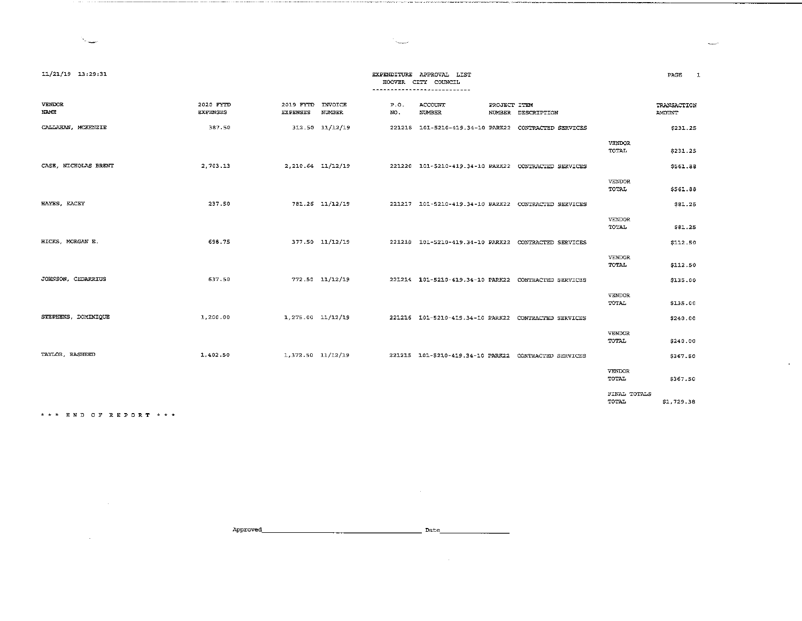البيينة

|                           |                              |                              |                          |             | HOOVER CITY COUNCIL |                                                            |                               |                       |
|---------------------------|------------------------------|------------------------------|--------------------------|-------------|---------------------|------------------------------------------------------------|-------------------------------|-----------------------|
|                           |                              |                              |                          |             |                     |                                                            |                               |                       |
| VENDOR<br><b>NAME</b>     | 2020 FYTD<br><b>EXPENSES</b> | 2019 FYTD<br><b>EXPENSES</b> | INVOICE<br><b>NUMBER</b> | P.0.<br>NO. | ACCOUNT<br>NUMBER   | PROJECT ITEM<br>NUMBER DESCRIPTION                         |                               | TRANSACTION<br>AMOUNT |
| CALLAHAN, MCKENZIE        | 387.50                       |                              | 312.50 11/12/19          | 221218      |                     | 101-5210-419.34-10 PARK22 CONTRACTED SERVICES              |                               | \$231.25              |
|                           |                              |                              |                          |             |                     |                                                            | VENDOR<br>TOTAL               | \$231.25              |
| CASE, NICHOLAS BRENT      | 2,703.13                     |                              | 2,210.64 11/12/19        |             |                     | 221220  101-5210-419.34-10 PARK22  CONTRACTED SERVICES     |                               | \$561.88              |
|                           |                              |                              |                          |             |                     |                                                            | VENDOR<br>TOTAL               | \$561.88              |
| HAYES, KACEY              | 237.50                       |                              | 781.26 11/12/19          |             |                     | 221217  101-5210-419.34-10  PARK22  CONTRACTED SERVICES    |                               | \$81.25               |
|                           |                              |                              |                          |             |                     |                                                            | <b>VENDOR</b><br>TOTAL        | <b>\$81.25</b>        |
| HICKS, MORGAN E.          | 698.75                       |                              | 377.50 11/12/19          |             |                     | 221219   101-5210-419.34-10   PARK22   CONTRACTED SERVICES |                               | \$112.50              |
|                           |                              |                              |                          |             |                     |                                                            | <b>VENDOR</b><br><b>TOTAL</b> | \$112.50              |
| <b>JOHNSON, CEDARRIUS</b> | 637.50                       |                              | 772.50 11/12/19          |             |                     | 221214 101-5210-419.34-10 PARK22 CONTRACTED SERVICES       |                               | \$135.00              |
|                           |                              |                              |                          |             |                     |                                                            | <b>VENDOR</b><br><b>TOTAL</b> | \$135.00              |
| STEPHENS, DOMINIQUE       | 1,200.00                     | 1,275.00 11/12/19            |                          |             |                     | 221216 101-5210-419.34-10 PARK22 CONTRACTED SERVICES       |                               | \$240.00              |
|                           |                              |                              |                          |             |                     |                                                            | <b>VENDOR</b><br>TOTAL.       | \$240.00              |
| TAYLOR, RASHEED           | 1,402.50                     | 1,372.50 11/12/19            |                          |             |                     | 221215 101-5210-419.34-10 PARK22 CONTRACTED SERVICES       |                               | \$367.50              |
|                           |                              |                              |                          |             |                     |                                                            | VENDOR<br>TOTAL.              | \$367.50              |
|                           |                              |                              |                          |             |                     |                                                            | FINAL TOTALS<br>TOTAL         | \$1,729.38            |

\*\*\* END OF REPORT\*\*\*

Approved~------------------- Date \_\_\_\_\_\_\_\_ \_

 $\mathcal{L}^{\text{max}}_{\text{max}}$  , where  $\mathcal{L}^{\text{max}}_{\text{max}}$ 

 $\sim 10^{11}$  km s  $^{-1}$ 

11/21/19 13:29:31. EXPENDITURE APPROVAL LIST

 $\sim$ 

**CONSIDERATION CONTINUES INTO A CONTINUES AND A STATISTICS.** THE STATE OF THE STATE OF A STATE OF A STATE OF A ST

PAGE 1

است

 $\mathcal{L}^{\mathcal{L}}$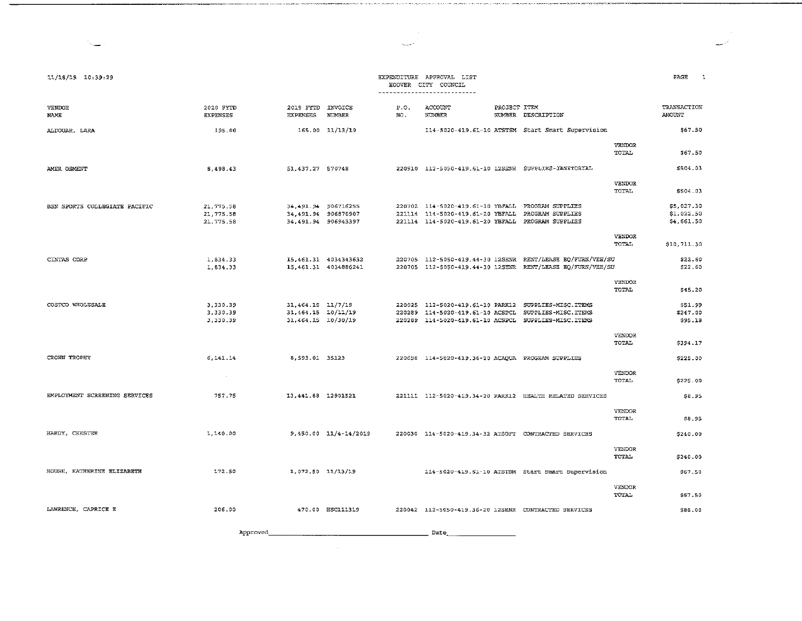| 11/18/19 10:39:29             |                              |                                             |                                              |             | EXPENDITURE APPROVAL LIST<br>HOOVER CITY COUNCIL<br>---------------------------- |              |                                                                                                                          |                        | PAGE<br>-1               |
|-------------------------------|------------------------------|---------------------------------------------|----------------------------------------------|-------------|----------------------------------------------------------------------------------|--------------|--------------------------------------------------------------------------------------------------------------------------|------------------------|--------------------------|
| <b>VENDOR</b><br>NAME         | 2020 FYTD<br><b>EXPENSES</b> | 2019 FYTD INVOICE<br><b>EXPENSES</b>        | <b>NUMBER</b>                                | P.O.<br>NO. | ACCOUNT<br>NUMBER                                                                | PROJECT ITEM | NUMBER DESCRIPTION                                                                                                       |                        | TRANSACTION<br>AMOUNT    |
| ALDOUAR, LARA                 | 195.00                       |                                             | 165.00 11/13/19                              |             |                                                                                  |              | 114-5020-419.61-10 ATSTSM Start Smart Supervision                                                                        |                        | \$67.50                  |
|                               |                              |                                             |                                              |             |                                                                                  |              |                                                                                                                          | <b>VENDOR</b><br>TOTAL | \$67.50                  |
| AMER OSMENT                   | 8,498.43                     | 51, 437.27 570748                           |                                              |             |                                                                                  |              | 220910 112-5050-419.61-10 12SENR SUPPLIES-JANITORIAL                                                                     |                        | \$504.03                 |
|                               |                              |                                             |                                              |             |                                                                                  |              |                                                                                                                          | VENDOR<br>TOTAL        | \$504.03                 |
| BSN SPORTS COLLEGIATE PACIFIC | 21,775.58                    | 34, 491. 94 906716255                       |                                              |             | 220702 114-5020-419.61-10 YBFALL PROGRAM SUPPLIES                                |              |                                                                                                                          |                        | \$5,027.30               |
|                               | 21 775.58<br>21,775.58       | 34,491.94 906870907<br>34, 491.94 906943397 |                                              |             | 221114 114-5020-419.61-20 YBFALL<br>221114 114-5020-419.61-20 YBFALL             |              | PROGRAM SUPPLIES<br>PROGRAM SUPPLIES                                                                                     |                        | \$1,022.50<br>\$4,661.50 |
|                               |                              |                                             |                                              |             |                                                                                  |              |                                                                                                                          | <b>VENDOR</b><br>TOTAL | \$10,711.30              |
| CINTAS CORP                   | 1,834.33<br>1 834.33         |                                             | 15,461.31 4034343632<br>15.461.31 4034886241 |             |                                                                                  |              | 220705 112-5050-419.44-30 12SENR RENT/LEASE EQ/FURN/VEH/SU<br>220705 112-5050-419.44-30 12SENR RENT/LEASE EQ/FURN/VEH/SU |                        | \$22.60<br>\$22.60       |
|                               |                              |                                             |                                              |             |                                                                                  |              |                                                                                                                          | VENDOR<br>TOTAL        | \$45.20                  |
| COSTCO WHOLESALE              | 3.330.39                     | 31,464.15 11/7/19                           |                                              | 220289      | 220025 112-5020-419.61-10 PARK12                                                 |              | SUPPLIES-MISC.ITEMS<br>SUPPLIES-MISC. ITEMS                                                                              |                        | \$51.99                  |
|                               | 3,330.39<br>3,330.39         | 31, 464.15 10/11/19<br>31,464.15 10/30/19   |                                              |             | 114-5020-419.61-10 ACSPCL                                                        |              | 220289 114-5020-419.61-10 ACSPCL SUPPLIES-MISC.ITEMS                                                                     |                        | \$247.00<br>\$95.18      |
|                               |                              |                                             |                                              |             |                                                                                  |              |                                                                                                                          | <b>VENDOR</b><br>TOTAL | \$394.17                 |
| CROWN TROPHY                  | 6.141.14                     | 8,593.01 35123                              |                                              |             | 220698 114-5020-419.36-20 ACAOUA PROGRAM SUPPLIES                                |              |                                                                                                                          |                        | \$225.00                 |
|                               | $\sim$                       |                                             |                                              |             |                                                                                  |              |                                                                                                                          | VENDOR<br>TOTAL        | \$225.00                 |
| EMPLOYMENT SCREENING SERVICES | 757.75                       | 13 441.88 12901521                          |                                              |             |                                                                                  |              | 221111 112-5020-419.34-20 PARK12 HEALTH RELATED SERVICES                                                                 |                        | \$8.95                   |
|                               |                              |                                             |                                              |             |                                                                                  |              |                                                                                                                          | VENDOR<br>TOTAL        | \$8.95                   |
| HARDY, CHESTER                | 1,140.00                     |                                             | 9,450.00 11/4-14/2019                        |             |                                                                                  |              | 220030 114-5020-419.34-32 ATSOFT CONTRACTED SERVICES                                                                     |                        | \$240.00                 |
|                               |                              |                                             |                                              |             |                                                                                  |              |                                                                                                                          | <b>VENDOR</b><br>TOTAL | \$240.00                 |
| HOUSE, KATHERINE ELIZABETH    | 172.50                       | 1,072.50 11/13/19                           |                                              |             |                                                                                  |              | 114-5020-419.61-10 ATSTSM Start Smart Supervision                                                                        |                        | \$67.50                  |
|                               |                              |                                             |                                              |             |                                                                                  |              |                                                                                                                          | <b>VENDOR</b><br>TOTAL | \$67.50                  |
| LAWRENCE, CAPRICE E           | 206.00                       |                                             | 470.00 HSC111319                             |             |                                                                                  |              | 220042 112-5050-419.36-20 12SENR CONTRACTED SERVICES                                                                     |                        | \$86.00                  |
|                               |                              |                                             |                                              |             |                                                                                  |              |                                                                                                                          |                        |                          |

Approved Date. \_\_\_\_\_\_\_\_ \_

 $\sim 10^7$ 

a na

.<br>Nati ne sti bru ma rivere e en

 $\sim$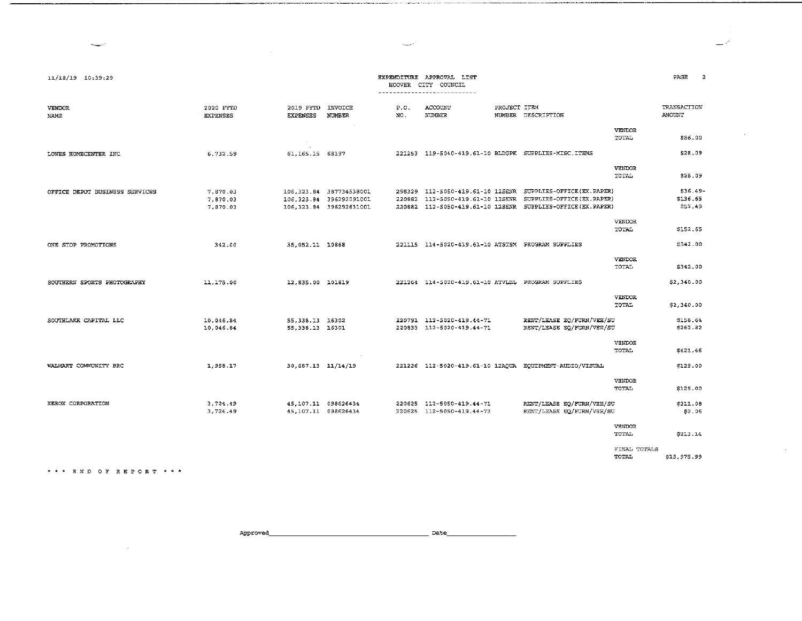$\mathcal{L}^{\text{max}}$ 

أسمات

 $\sim 10^{-1}$ 

 $\sim 10^{-1}$ 

.<br>Naskiĝis de la premio de la provincia de la provincia de la provincia de la provincia de la provincia de la pr

.<br>In the second contract of the following the second contract of the second contract of the second contract of t

 $\mathcal{L}^{\text{max}}_{\text{max}}$  , where  $\mathcal{L}^{\text{max}}_{\text{max}}$ 

| 11/18/19 10:39:29              |                                  |                                             |                                                                                |             | EXPENDITURE APPROVAL LIST<br>HOOVER CITY COUNCIL<br>---------------------------- |                                                                                                                                                                                        |                               | PAGE<br>2                       |
|--------------------------------|----------------------------------|---------------------------------------------|--------------------------------------------------------------------------------|-------------|----------------------------------------------------------------------------------|----------------------------------------------------------------------------------------------------------------------------------------------------------------------------------------|-------------------------------|---------------------------------|
| <b>VENDOR</b><br>NAME          | 2020 FYTD<br><b>EXPENSES</b>     | 2019 FYTD<br>EXPENSES                       | <b>INVOICE</b><br><b>NUMBER</b>                                                | P.0.<br>NO. | ACCOUNT<br><b>NUMBER</b>                                                         | PROJECT ITEM<br>NUMBER DESCRIPTION                                                                                                                                                     |                               | TRANSACTION<br><b>AMOUNT</b>    |
|                                |                                  |                                             |                                                                                |             |                                                                                  |                                                                                                                                                                                        | VENDOR<br>TOTAL               | \$86.00                         |
| LOWES HOMECENTER INC           | 6 732 59                         | 61.165.15 68197                             |                                                                                |             |                                                                                  | 221253 119-5040-419.61-10 BLDGPK SUPPLIES-MISC.ITEMS                                                                                                                                   |                               | \$28.09                         |
|                                |                                  |                                             |                                                                                |             |                                                                                  |                                                                                                                                                                                        | <b>VENDOR</b><br>TOTAL        | \$28.09                         |
| OFFICE DEPOT BUSINESS SERVICES | 7,870.03<br>7.870.03<br>7.870.03 |                                             | 106.323.84 387734538001<br>106, 323.84 396292091001<br>106,323.84 396292631001 |             |                                                                                  | 298329 112-5050-419.61-10 12SENR SUPPLIES-OFFICE(EX.PAPER)<br>220882 112-5050-419.61-10 12SENR SUPPLIES-OFFICE(EX.PAPER)<br>220882 112-5050-419.61-10 12SENR SUPPLIES-OFFICE(EX.PAPER) |                               | $$36.49-$<br>\$136.65<br>S52.49 |
|                                |                                  |                                             |                                                                                |             |                                                                                  |                                                                                                                                                                                        | <b>VENDOR</b><br>TOTAL        | \$152.65                        |
| ONE STOP PROMOTIONS            | 342.00                           | 35, 052.11 10868                            |                                                                                |             | 221115 114-5020-419.61-10 ATSTSM PROGRAM SUPPLIES                                |                                                                                                                                                                                        |                               | \$342.00                        |
|                                |                                  |                                             |                                                                                |             |                                                                                  |                                                                                                                                                                                        | <b>VENDOR</b><br>TOTAL        | \$342.00                        |
| SOUTHERN SPORTS PHOTOGRAPHY    | 11.175.00                        | 12,835.00 101819                            |                                                                                |             | 221264 114-5020-419.61-10 ATVLBL PROGRAM SUPPLIES                                |                                                                                                                                                                                        |                               | \$2,340.00                      |
|                                |                                  |                                             |                                                                                |             |                                                                                  |                                                                                                                                                                                        | <b>VENDOR</b><br><b>TOTAL</b> | \$2,340.00                      |
| SOUTHLAKE CAPITAL LLC          | 10.046.84<br>10.046.84           | 55, 338.13 16302<br>55, 338.13 16301        |                                                                                |             | 220791 112-5020-419.44-71<br>220833 112-5020-419.44-71                           | RENT/LEASE EO/FURN/VEH/SU<br>RENT/LEASE EQ/FURN/VEH/SU                                                                                                                                 |                               | \$158.64<br>\$262.82            |
|                                |                                  |                                             |                                                                                |             |                                                                                  |                                                                                                                                                                                        | <b>VENDOR</b><br>TOTAL        | \$421.46                        |
| WALMART COMMUNITY BRC          | 1,958.17                         | 30,687.13 11/14/19                          |                                                                                |             |                                                                                  | 221226 112-5020-419.61-10 12AQUA EQUIPMENT-AUDIO/VISUAL                                                                                                                                |                               | \$129.00                        |
|                                |                                  |                                             |                                                                                |             |                                                                                  |                                                                                                                                                                                        | <b>VENDOR</b><br>TOTAL        | \$129.00                        |
| XEROX CORPORATION              | 3.724.49<br>3,724.49             | 45, 107.11 098626434<br>45.107.11 098626434 |                                                                                |             | 220625 112-5050-419.44-71<br>220625 112-5050-419.44-72                           | RENT/LEASE EQ/FURN/VEH/SU<br>RENT/LEASE EQ/FURN/VEH/SU                                                                                                                                 |                               | \$211.08<br>52.06               |
|                                |                                  |                                             |                                                                                |             |                                                                                  |                                                                                                                                                                                        | VENDOR<br>TOTAL               | \$213.14                        |
|                                |                                  |                                             |                                                                                |             |                                                                                  |                                                                                                                                                                                        | FINAL TOTALS<br>TOTAL         | \$15,975.99                     |

\*\*\* BND OF REPORT \*\*\*

Service.

Approved\_ 

 $\sim 10^{11}$  km s  $^{-1}$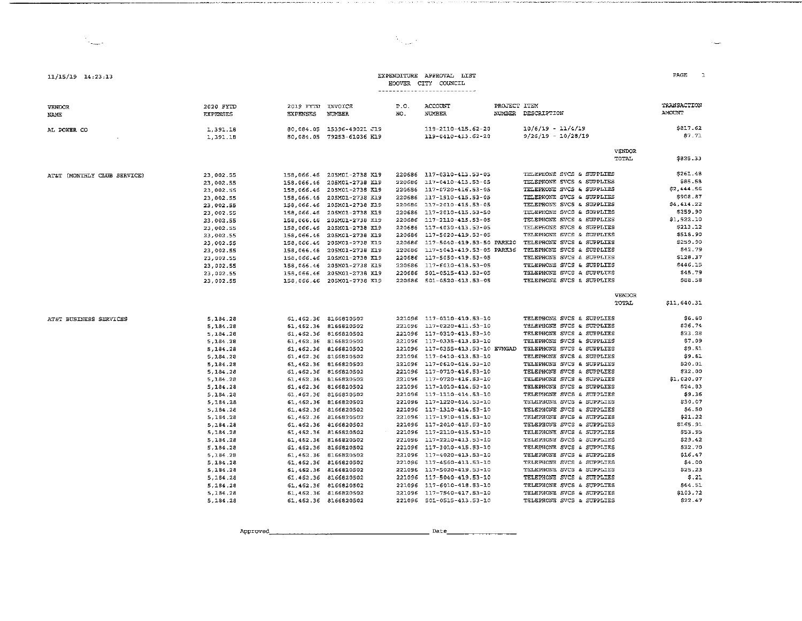| EXPENDITURE | APPROVAL. | LIST |
|-------------|-----------|------|
| HOOVER CITY | COUNCIL   |      |

 $\lambda_{\rm max}$  .

### 

| <b>VENDOR</b><br>NAME       | 2020 FYTD<br><b>EXPENSES</b> | 2019 FYTD INVOICE<br><b>EXPENSES</b> | <b>NUMBER</b>              | P.O.<br>NO. | ACCOUNT<br><b>NUMBER</b>         | PROJECT ITEM | NUMBER DESCRIPTION        |               | TRANSACTION<br><b>AMOUNT</b> |
|-----------------------------|------------------------------|--------------------------------------|----------------------------|-------------|----------------------------------|--------------|---------------------------|---------------|------------------------------|
| AL POWER CO                 | 1,391.18                     | 80.084.05                            | 15396-49021 J19            |             | 119-2110-415.62-20               |              | $10/6/19 - 11/4/19$       |               | \$817.62                     |
|                             | 1,391.18                     |                                      | 80.084.05 79253-61036 H19  |             | 119-0410-413.62-20               |              | $9/26/19 - 10/28/19$      |               | \$7.71                       |
|                             |                              |                                      |                            |             |                                  |              |                           | <b>VENDOR</b> |                              |
|                             |                              |                                      |                            |             |                                  |              |                           | TOTAL         | \$825.33                     |
| AT&T (MONTHLY CLUB SERVICE) | 23.002.55                    |                                      | 158,066.46 205M01-2738 K19 |             | 220686 117-0310-413.53-05        |              | TELEPHONE SVCS & SUPPLIES |               | \$261.48                     |
|                             | 23,002.55                    |                                      | 158.066.46 205M01-2738 K19 |             | 220686 117-0410-413.53-05        |              | TELEPHONE SVCS & SUPPLIES |               | \$85.58                      |
|                             | 23 002.55                    |                                      | 158,066.46 205M01-2738 K19 |             | 220686 117-0720-416.53-05        |              | TELEPHONE SVCS & SUPPLIES |               | \$2,444.56                   |
|                             | 23.002.55                    |                                      | 158.066.46 205M01-2738 KI9 |             | 220686 117-1910-415.53-05        |              | TELEPHONE SVCS & SUPPLIES |               | \$908.87                     |
|                             | 23,002.55                    |                                      | 158,066.46 205M01-2738 K19 |             | 220686 117-2010-415.53-05        |              | TELEPHONE SVCS & SUPPLIES |               | \$4,414.22                   |
|                             | 23.002.55                    |                                      | 158,066.46 205M01-2738 K19 | 220686      | 117-2010-415.53-50               |              | TELEPHONE SVCS & SUPPLIES |               | \$259.90                     |
|                             | 23,002.55                    |                                      | 158.066.46 205M01-2738 K19 |             | 220686 117-2110-415.53-05        |              | TELEPHONE SVCS & SUPPLIES |               | \$1,522.10                   |
|                             | 23,002.55                    |                                      | 158.066.46 205M01-2738 K19 |             | 220686 117-4030-413.53-05        |              | TELEPRONE SVCS & SUPPLIES |               | \$213.12                     |
|                             | 23,002.55                    |                                      | 158.066.46 205M01-2738 K19 |             | 220686 117-5020-419.53-05        |              | TELEPHONE SVCS & SUPPLIES |               | \$518.90                     |
|                             | 23,002.55                    |                                      | 158,066.46 205M01-2738 K19 |             | 220686 117-5040-419.53-50 PARK20 |              | TELEPRONE SVCS & SUPPLIES |               | \$259.90                     |
|                             | 23,002.55                    |                                      | 158,066.46 205M01-2738 K19 | 220686      | 117-5043-419.53-05 PARK36        |              | TELEPHONE SVCS & SUPPLIES |               | \$42.79                      |
|                             | 23,002.55                    |                                      | 158.066.46 205M01-2738 K19 | 220686      | 117-5050-419.53-05               |              | TELEPHONE SVCS & SUPPLIES |               | \$128.37                     |
|                             | 23.002.55                    |                                      | 158,066.46 205M01-2738 KL9 |             | 220686 117-6010-418.53-05        |              | TELEPHONE SVCS & SUPPLIES |               | \$446.15                     |
|                             | 23,002.55                    |                                      | 158.066.46 205M01-2738 K19 | 220686      | 501-0515-413.53-05               |              | TELEPHONE SVCS & SUPPLIES |               | \$45.79                      |
|                             | 23,002.55                    |                                      | 158,066.46 205M01-2738 K19 |             | 220686 501-0520-413.53-05        |              | TELEPHONE SVCS & SUPPLIES |               | \$88.58                      |
|                             |                              |                                      |                            |             |                                  |              |                           | <b>VENDOR</b> |                              |
|                             |                              |                                      |                            |             |                                  |              |                           | TOTAL         | \$11,640.31                  |
| AT&T BUSINESS SERVICES      | 5.184.28                     |                                      | 61.462.36 8166820502       |             | 221096 117-0110-410.53-10        |              | TELEPHONE SVCS & SUPPLIES |               | \$6.60                       |
|                             | 5,184.28                     |                                      | 61,462.36 8166820502       |             | 221096 117-0220-411.53-10        |              | TELEPHONE SVCS & SUPPLIES |               | 526.74                       |
|                             | 5.184.28                     |                                      | 61,462.36 8166820502       |             | 221096 117-0310-413.53-10        |              | TELEPHONE SVCS & SUPPLIES |               | \$23.28                      |
|                             | 5, 184.28                    |                                      | 61,462.36 8166820502       |             | 221096 117-0335-413.53-10        |              | TELEPHONE SVCS & SUPPLIES |               | \$7.09                       |
|                             | 5, 184.28                    |                                      | 61 462.36 8166820502       |             | 221096 117-0355-413.53-10 EVMGAD |              | TELEPHONE SVCS & SUPPLIES |               | \$9.51                       |
|                             | 5.184.28                     |                                      | 61.462.36 8166820502       |             | 221096 117-0410-413.53-10        |              | TELEPHONE SVCS & SUPPLIES |               | \$9.61                       |
|                             | 5,184.28                     |                                      | 61,462.36 8166820502       |             | 221096 117-0610-416.53-10        |              | TELEPHONE SVCS & SUPPLIES |               | \$20.01                      |
|                             | 5,184.28                     |                                      | 61,462.36 8166820502       |             | 221096 117-0710-416.53-10        |              | TELEPHONE SVCS & SUPPLIES |               | \$32.00                      |
|                             | 5, 184.28                    |                                      | 61,462.36 8166820502       |             | 221096 117-0720-416.53-10        |              | TELEPHONE SVCS & SUPPLIES |               | \$1,020.07                   |
|                             | 5,184.28                     |                                      | 61 462.36 8166820502       |             | 221096 117-1010-414.53-10        |              | TELEPHONE SVCS & SUPPLIES |               | 524.83                       |
|                             | 5.184.28                     |                                      | 61,462.36 8166820502       |             | 221096 117-1110-414.53-10        |              | TELEPHONE SVCS & SUPPLIES |               | \$9.36                       |
|                             | 5,184.28                     |                                      | 61,462.36 8166820502       |             | 221096 117-1220-414.53-10        |              | TELEPHONE SVCS & SUPPLIES |               | \$30.07                      |
|                             | 5,184.28                     |                                      | 61,462.36 8166820502       |             | 221096 117-1310-414.53-10        |              | TELEPHONE SVCS & SUPPLIES |               | \$6.50                       |
|                             | 5,184.28                     |                                      | 61,462.36 8166820502       |             | 221096 117-1910-415.53-10        |              | TELEPHONE SVCS & SUPPLIES |               | \$21.22                      |
|                             | 5,184.28                     |                                      | 61,462.36 8166820502       |             | 221096 117-2010-415.53-10        |              | TELEPHONE SVCS & SUPPLIES |               | \$165.91                     |
|                             | 5, 184.28                    |                                      | 61.462.36 8166820502       |             | 221096 117-2110-415.53-10        |              | TELEPHONE SVCS & SUPPLIES |               | \$53.95                      |
|                             | 5,184.28                     |                                      | 61.462.36 8166820502       |             | 221096 117-2210-413.53-10        |              | TELEPHONE SVCS & SUPPLIES |               | \$29.42                      |
|                             | 5,184.28                     |                                      | 61,462.36 8166820502       |             | 221096 117-3010-415.53-10        |              | TELEPHONE SVCS & SUPPLIES |               | \$32.70                      |
|                             | 5,184.28                     |                                      | 61,462.36 8166820502       |             | 221096 117-4020-413.53-10        |              | TELEPHONE SVCS & SUPPLIES |               | \$16.47                      |
|                             | 5,184.28                     |                                      | 61,462.36 8166820502       |             | 221096 117-4560-413.53-10        |              | TELEPHONE SVCS & SUPPLIES |               | \$4.00                       |
|                             | 5,184.28                     |                                      | 61 462 36 8166820502       |             | 221096 117-5020-419.53-10        |              | TELEPHONE SVCS & SUPPLIES |               | \$25.23                      |
|                             | 5.184.28                     |                                      | 61,462.36 8166820502       |             | 221096 117-5040-419.53-10        |              | TELEPHONE SVCS & SUPPLIES |               | \$.21                        |
|                             | 5.184.28                     |                                      | 61, 462.36 8166820502      |             | 221096 117-6010-418.53-10        |              | TELEPHONE SVCS & SUPPLIES |               | \$64.51                      |
|                             | 5.184.28                     |                                      | 61,462.36 8166820502       | 221096      | 117-7540-417.53-10               |              | TELEPHONE SVCS & SUPPLIES |               | \$103.72                     |
|                             | 5.184.28                     |                                      | 61,462.36 8166820502       |             | 221096 501-0515-413.53-10        |              | TELEPHONE SVCS & SUPPLIES |               | \$22.47                      |

.<br>Keningan mengentukan bertama pada terbangan

 $11/15/19$   $14:23:13$ 

**The Contract** 

the company's company's compa-

Approved  $set$  Date

PAGE 1

 $\sim$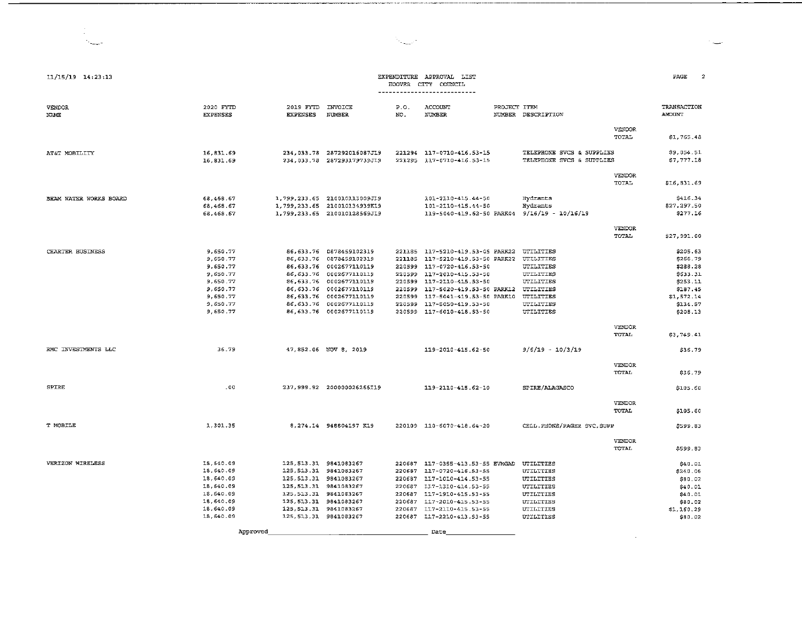| 11/15/19 14:23:13       |                                                                                                          |                                                                                                                                                                                                          |                                                                                                                                                                                                                                                     |                            | EXPENDITURE APPROVAL LIST<br>HOOVER CITY COUNCIL<br>---------------------------                                                                                                                                                                                                                                  |              |                                                                                                |                               | PACE                                                                                                       |
|-------------------------|----------------------------------------------------------------------------------------------------------|----------------------------------------------------------------------------------------------------------------------------------------------------------------------------------------------------------|-----------------------------------------------------------------------------------------------------------------------------------------------------------------------------------------------------------------------------------------------------|----------------------------|------------------------------------------------------------------------------------------------------------------------------------------------------------------------------------------------------------------------------------------------------------------------------------------------------------------|--------------|------------------------------------------------------------------------------------------------|-------------------------------|------------------------------------------------------------------------------------------------------------|
| VENDOR<br>NAME          | 2020 FYTD<br><b>EXPENSES</b>                                                                             | 2019 FYTD INVOICE<br><b>EXPENSES</b>                                                                                                                                                                     | NUMBER                                                                                                                                                                                                                                              | P.0.<br>NO.                | ACCOUNT<br>NUMBER                                                                                                                                                                                                                                                                                                | PROJECT ITEM | NUMBER DESCRIPTION                                                                             |                               | TRANSACTION<br>AMOUNT                                                                                      |
|                         |                                                                                                          |                                                                                                                                                                                                          |                                                                                                                                                                                                                                                     |                            |                                                                                                                                                                                                                                                                                                                  |              |                                                                                                | VENDOR<br><b>TOTAL</b>        | \$1,765.48                                                                                                 |
| AT&T MOBILITY           | 16,831.69<br>16,831.69                                                                                   |                                                                                                                                                                                                          | 234,033.78 287292016087J19<br>234,033.78 287293179739J19                                                                                                                                                                                            |                            | 221294 117-0710-416.53-15<br>221295 117-0710-416.53-15                                                                                                                                                                                                                                                           |              | TELEPHONE SVCS & SUPPLIES<br>TELEPHONE SVCS & SUPPLIES                                         |                               | \$9,054.51<br>\$7,777.18                                                                                   |
|                         |                                                                                                          |                                                                                                                                                                                                          |                                                                                                                                                                                                                                                     |                            |                                                                                                                                                                                                                                                                                                                  |              |                                                                                                | VENDOR<br>TOTAL               | \$16,831.69                                                                                                |
| BHAM WATER WORKS BOARD  | 68,468.67<br>68,468.67<br>68,463.67                                                                      |                                                                                                                                                                                                          | 1,799.233.65 210010113009J19<br>1,799,233.65 210010134939K19<br>1,799,233.65 210010128569J19                                                                                                                                                        |                            | 101-2110-415.44-50<br>101-2110-415.44-50                                                                                                                                                                                                                                                                         |              | Hydrants<br>Hydrants<br>119-5040-419.62-50 PARK04 9/16/19 - 10/16/19                           |                               | \$416.34<br>\$27,297.50<br>\$277.16                                                                        |
|                         |                                                                                                          |                                                                                                                                                                                                          |                                                                                                                                                                                                                                                     |                            |                                                                                                                                                                                                                                                                                                                  |              |                                                                                                | <b>VENDOR</b><br><b>TOTAL</b> | \$27,991.00                                                                                                |
| <b>CHARTER BUSINESS</b> | 9,650.77<br>9,650.77<br>9.650.77<br>9,650.77<br>9,650.77<br>9,650.77<br>9,650.77<br>9 650.77<br>9.650.77 |                                                                                                                                                                                                          | 86,633.76 0878459102319<br>86, 633.76 0878459102319<br>86.633.76 0002677110119<br>86, 633.76 0002677110119<br>86,633.76 0002677110119<br>86, 633.76 0002677110119<br>86,633.76 0002677110119<br>86.633.76 0002677110119<br>86, 633.76 0002677110119 | 220599<br>220599<br>220599 | 221185 117-5210-419.53-05 PARK22 UTILITIES<br>221185 117-5210-419.53-50 PARK22 UTILITIES<br>117-0720-416.53-50<br>117-2010-415.53-50<br>220599 117-2110-415.53-50<br>220599 117-5020-419.53-50 PARK12 UTILITIES<br>117-5041-419.53-50 PARK10 UTILITIES<br>220599 117-5050-419.53-50<br>220599 117-6010-418.53-50 |              | UTILITIES<br><b>UTILITIES</b><br>UTILITIES<br>UTILITIES<br>UTILITIES                           |                               | \$205.63<br>\$266.79<br>\$288.28<br>\$633.31<br>\$253.11<br>\$187.45<br>\$1,572.14<br>\$134.57<br>\$208.13 |
|                         |                                                                                                          |                                                                                                                                                                                                          |                                                                                                                                                                                                                                                     |                            |                                                                                                                                                                                                                                                                                                                  |              |                                                                                                | VENDOR<br>TOTAL               | \$3,749.41                                                                                                 |
| RMC INVESTMENTS LLC     | 36.79                                                                                                    |                                                                                                                                                                                                          | 47, 852.06 NOV 8, 2019                                                                                                                                                                                                                              |                            | 119-2010-415.62-50                                                                                                                                                                                                                                                                                               |              | $9/5/19 - 10/3/19$                                                                             |                               | \$36.79                                                                                                    |
|                         |                                                                                                          |                                                                                                                                                                                                          |                                                                                                                                                                                                                                                     |                            |                                                                                                                                                                                                                                                                                                                  |              |                                                                                                | <b>VENDOR</b><br>TOTAL        | \$36.79                                                                                                    |
| SPIRE                   | .00.                                                                                                     |                                                                                                                                                                                                          | 237.999.92 200000026266I19                                                                                                                                                                                                                          |                            | 119-2110-415.62-10                                                                                                                                                                                                                                                                                               |              | SPIRE/ALAGASCO                                                                                 |                               | \$105.60                                                                                                   |
|                         |                                                                                                          |                                                                                                                                                                                                          |                                                                                                                                                                                                                                                     |                            |                                                                                                                                                                                                                                                                                                                  |              |                                                                                                | VENDOR<br>TOTAL               | \$105.60                                                                                                   |
| T MOBILE                | 1,301.35                                                                                                 |                                                                                                                                                                                                          | 8,274.14 948804197 K19                                                                                                                                                                                                                              |                            | 220109 110-6070-418.64-20                                                                                                                                                                                                                                                                                        |              | CELL. PHONE/PAGER SVC, SUPP                                                                    |                               | \$599.83                                                                                                   |
|                         |                                                                                                          |                                                                                                                                                                                                          |                                                                                                                                                                                                                                                     |                            |                                                                                                                                                                                                                                                                                                                  |              |                                                                                                | <b>VENDOR</b><br>TOTAL        | \$599.83                                                                                                   |
| VERIZON WIRELESS        | 18,640.09<br>18,640.09<br>18,640.09<br>18,640.09<br>18,640.09<br>18,640.09<br>18, 640.09<br>18,640.09    | 125, 513.31 9841083267<br>125.513.31 9841083267<br>125, 513.31 9841083267<br>125, 513.31 9841083267<br>125.513.31 9841083267<br>125, 513.31 9841083267<br>125.513.31 9841083267<br>125.513.31 9841083267 |                                                                                                                                                                                                                                                     |                            | 220687 117-0355-413.53-55 EVMGAD UTILITIES<br>220687 117-0720-416.53-55<br>220687 117-1010-414.53-55<br>220687 117-1310-414.53-55<br>220687 117-1910-415.53-55<br>220687 117-2010-415.53-55<br>220687 117-2110-415.53-55<br>220687 117-2210-413.53-55                                                            |              | UTILITIES<br>UTILITIES<br>UTILITIES<br>UTILITIES<br><b>UTILITIES</b><br>UTILITIES<br>UTILITIES |                               | \$40.01<br>\$240.06<br>\$80.02<br>\$40.01<br>\$40.01<br>\$80.02<br>\$1,160.29<br>\$80.02                   |
|                         | Approved                                                                                                 |                                                                                                                                                                                                          |                                                                                                                                                                                                                                                     |                            | Date                                                                                                                                                                                                                                                                                                             |              |                                                                                                |                               |                                                                                                            |

 $\mathcal{N}_{\text{GFTP}}$  .

 $\mathcal{C}=\mathcal{C}$ 

 $\sim 100$  km s  $^{-1}$ 

---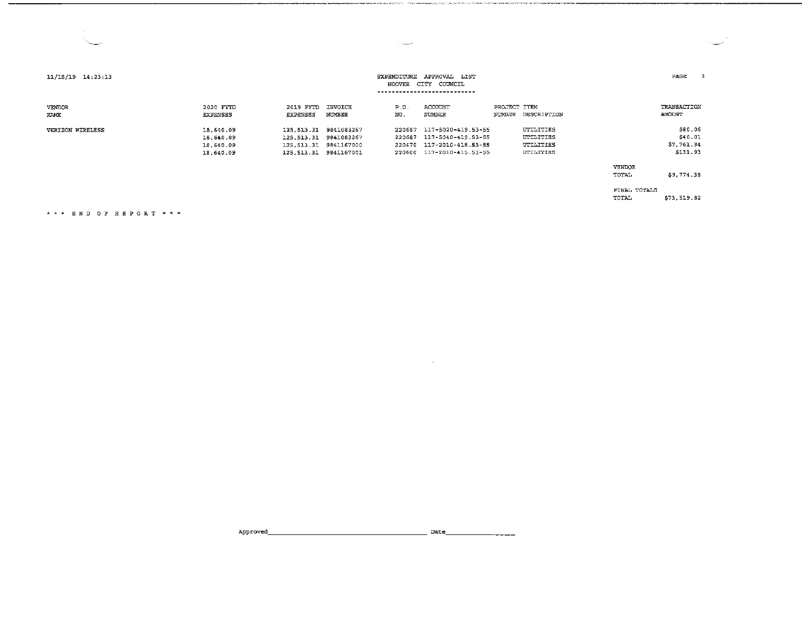| $11/15/19$ $14:23:13$   | APPROVAL LIST<br>EXPENDITURE<br>HOOVER CITY<br>COUNCIL<br>---------------- |                                                                                         |                   |                                      |                                                                                      |              |                                                         |                       |                                              |
|-------------------------|----------------------------------------------------------------------------|-----------------------------------------------------------------------------------------|-------------------|--------------------------------------|--------------------------------------------------------------------------------------|--------------|---------------------------------------------------------|-----------------------|----------------------------------------------|
| VENDOR<br>NAME          | 2020 FYTD<br><b>EXPENSES</b>                                               | 2019 FYTD<br>EXPENSES                                                                   | INVOICE<br>NUMBER | P.0.<br>NO.                          | ACCOUNT<br><b>NUMBER</b>                                                             | PROJECT ITEM | NUMBER DESCRIPTION                                      |                       | TRANSACTION<br>AMOUNT                        |
| <b>VERIZON WIRELESS</b> | 18,640.09<br>18,640.09<br>18 640.09<br>18.640.09                           | 125.513.31<br>125, 513.31 9841083267<br>125.513.31 9841167000<br>125, 513.31 9841167001 | 9841083267        | 220687<br>220587<br>220470<br>220600 | 117-5020-419.53-55<br>117-5040-419.53-55<br>117-2010-415.53-55<br>117-2010-415.53-55 |              | UTILITIES<br>UTILITIES<br>UTILITIES<br><b>UTILITIES</b> |                       | \$80.06<br>\$40.01<br>\$7,761.94<br>\$131.93 |
|                         |                                                                            |                                                                                         |                   |                                      |                                                                                      |              |                                                         | VENDOR<br>TOTAL       | \$9,774.38                                   |
|                         |                                                                            |                                                                                         |                   |                                      |                                                                                      |              |                                                         | FINAL TOTALS<br>TOTAL | \$73,319.82                                  |

 $\mathcal{A} \rightarrow \mathcal{A}$  .

the contract of the contract of the contract of

,r,,\_.\_.,\_r~-~•··--------------------------------

 $\frac{1}{2}$ 

END OF REPORT\*\*"'

·--,

Approved~------------------- Date \_\_\_\_\_\_\_\_ \_